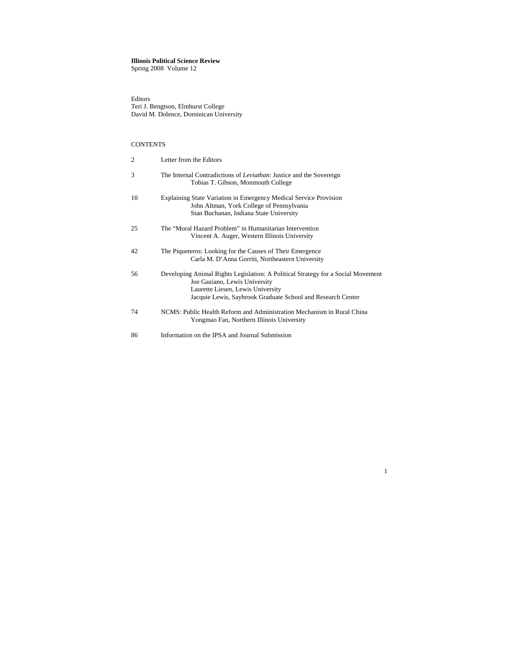# **Illinois Political Science Review**

Spring 2008 Volume 12

Editors Teri J. Bengtson, Elmhurst College David M. Dolence, Dominican University

# **CONTENTS**

| $\overline{2}$ | Letter from the Editors                                                                                                                                                                                               |
|----------------|-----------------------------------------------------------------------------------------------------------------------------------------------------------------------------------------------------------------------|
| 3              | The Internal Contradictions of <i>Leviathan</i> : Justice and the Sovereign<br>Tobias T. Gibson, Monmouth College                                                                                                     |
| 10             | Explaining State Variation in Emergency Medical Service Provision<br>John Altman, York College of Pennsylvania<br>Stan Buchanan, Indiana State University                                                             |
| 25             | The "Moral Hazard Problem" in Humanitarian Intervention<br>Vincent A. Auger, Western Illinois University                                                                                                              |
| 42             | The Piqueteros: Looking for the Causes of Their Emergence<br>Carla M. D'Anna Gorriti, Northeastern University                                                                                                         |
| 56             | Developing Animal Rights Legislation: A Political Strategy for a Social Movement<br>Joe Gaziano, Lewis University<br>Laurette Liesen, Lewis University<br>Jacquie Lewis, Saybrook Graduate School and Research Center |
| 74             | NCMS: Public Health Reform and Administration Mechanism in Rural China<br>Yongmao Fan, Northern Illinois University                                                                                                   |
| 86             | Information on the IPSA and Journal Submission                                                                                                                                                                        |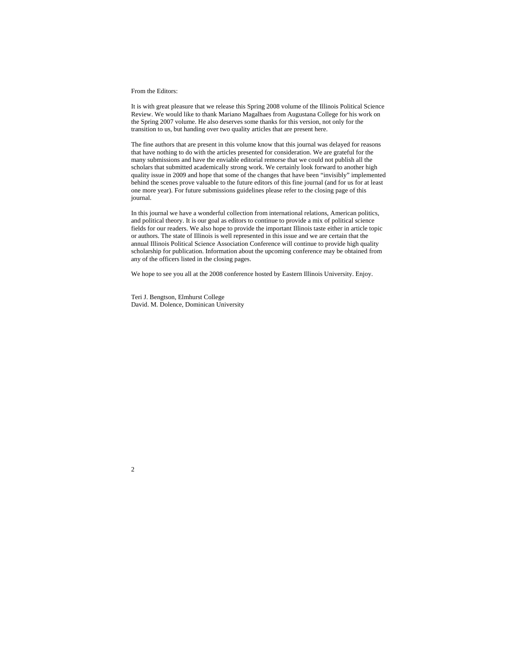#### From the Editors:

It is with great pleasure that we release this Spring 2008 volume of the Illinois Political Science Review. We would like to thank Mariano Magalhaes from Augustana College for his work on the Spring 2007 volume. He also deserves some thanks for this version, not only for the transition to us, but handing over two quality articles that are present here.

The fine authors that are present in this volume know that this journal was delayed for reasons that have nothing to do with the articles presented for consideration. We are grateful for the many submissions and have the enviable editorial remorse that we could not publish all the scholars that submitted academically strong work. We certainly look forward to another high quality issue in 2009 and hope that some of the changes that have been "invisibly" implemented behind the scenes prove valuable to the future editors of this fine journal (and for us for at least one more year). For future submissions guidelines please refer to the closing page of this journal.

In this journal we have a wonderful collection from international relations, American politics, and political theory. It is our goal as editors to continue to provide a mix of political science fields for our readers. We also hope to provide the important Illinois taste either in article topic or authors. The state of Illinois is well represented in this issue and we are certain that the annual Illinois Political Science Association Conference will continue to provide high quality scholarship for publication. Information about the upcoming conference may be obtained from any of the officers listed in the closing pages.

We hope to see you all at the 2008 conference hosted by Eastern Illinois University. Enjoy.

Teri J. Bengtson, Elmhurst College David. M. Dolence, Dominican University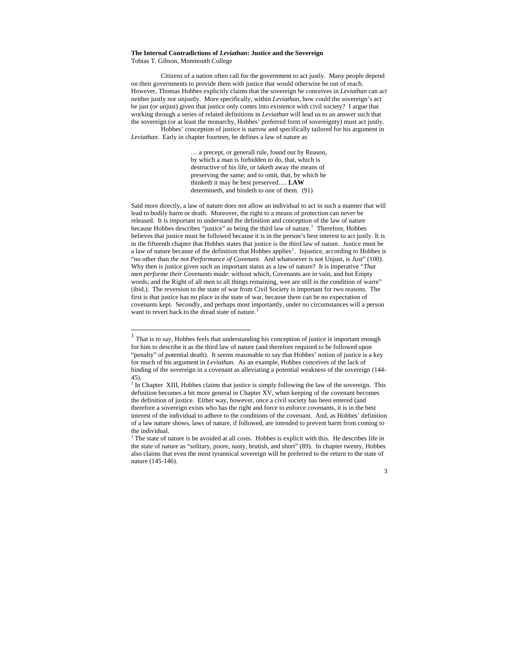#### **The Internal Contradictions of** *Leviathan***: Justice and the Sovereign**  Tobias T. Gibson, Monmouth College

Citizens of a nation often call for the government to act justly. Many people depend on their governments to provide them with justice that would otherwise be out of reach. However, Thomas Hobbes explicitly claims that the sovereign he conceives in *Leviathan* can act neither justly nor unjustly. More specifically, within *Leviathan*, how could the sovereign's act be just (or unjust) given that justice only comes into existence with civil society? I argue that working through a series of related definitions in *Leviathan* will lead us to an answer such that the sovereign (or at least the monarchy, Hobbes' preferred form of sovereignty) must act justly.

 Hobbes' conception of justice is narrow and specifically tailored for his argument in *Leviathan*. Early in chapter fourteen, he defines a law of nature as

> … a precept, or generall rule, found out by Reason, by which a man is forbidden to do, that, which is destructive of his life, or taketh away the means of preserving the same; and to omit, that, by which he thinketh it may be best preserved…. **LAW**  determineth, and bindeth to one of them. (91)

Said more directly, a law of nature does not allow an individual to act in such a manner that will lead to bodily harm or death. Moreover, the right to a means of protection can never be released. It is important to understand the definition and conception of the law of nature because Hobbes describes "justice" as being the third law of nature.<sup>[1](#page-2-0)</sup> Therefore, Hobbes believes that justice must be followed because it is in the person's best interest to act justly. It is in the fifteenth chapter that Hobbes states that justice is the third law of nature. Justice must be a law of nature because of the definition that Hobbes applies<sup>[2](#page-2-1)</sup>. Injustice, according to Hobbes is "no other than *the not Performance of Covenant*. And whatsoever is not Unjust, is *Just*" (100). Why then is justice given such an important status as a law of nature? It is imperative "*That men performe their Covenants made*: without which, Covenants are in vain, and but Empty words; and the Right of all men to all things remaining, wee are still in the condition of warre" (ibid.). The reversion to the state of war from Civil Society is important for two reasons. The first is that justice has no place in the state of war, because there can be no expectation of covenants kept. Secondly, and perhaps most importantly, under no circumstances will a person want to revert back to the dread state of nature.<sup>[3](#page-2-2)</sup>

 $<sup>1</sup>$  That is to say, Hobbes feels that understanding his conception of justice is important enough</sup> for him to describe it as the third law of nature (and therefore required to be followed upon "penalty" of potential death). It seems reasonable to say that Hobbes' notion of justice is a key for much of his argument in *Leviathan*. As an example, Hobbes conceives of the lack of binding of the sovereign in a covenant as alleviating a potential weakness of the sovereign (144- 45).

 $2^2$  In Chapter XIII, Hobbes claims that justice is simply following the law of the sovereign. This definition becomes a bit more general in Chapter XV, when keeping of the covenant becomes the definition of justice. Either way, however, once a civil society has been entered (and therefore a sovereign exists who has the right and force to enforce covenants, it is in the best interest of the individual to adhere to the conditions of the covenant. And, as Hobbes' definition of a law nature shows, laws of nature, if followed, are intended to prevent harm from coming to the individual.

<span id="page-2-2"></span><span id="page-2-1"></span><span id="page-2-0"></span><sup>&</sup>lt;sup>3</sup> The state of nature is be avoided at all costs. Hobbes is explicit with this. He describes life in the state of nature as "solitary, poore, nasty, brutish, and short" (89). In chapter twenty, Hobbes also claims that even the most tyrannical sovereign will be preferred to the return to the state of nature (145-146).

<sup>3</sup>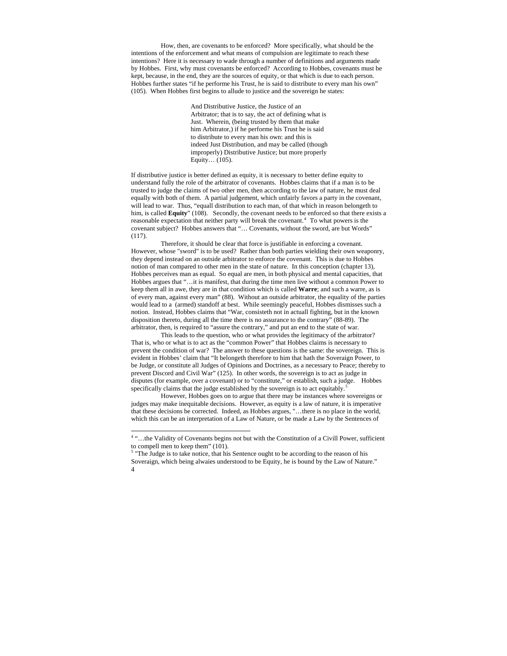How, then, are covenants to be enforced? More specifically, what should be the intentions of the enforcement and what means of compulsion are legitimate to reach these intentions? Here it is necessary to wade through a number of definitions and arguments made by Hobbes. First, why must covenants be enforced? According to Hobbes, covenants must be kept, because, in the end, they are the sources of equity, or that which is due to each person. Hobbes further states "if he performe his Trust, he is said to distribute to every man his own" (105). When Hobbes first begins to allude to justice and the sovereign he states:

> And Distributive Justice, the Justice of an Arbitrator; that is to say, the act of defining what is Just. Wherein, (being trusted by them that make him Arbitrator,) if he performe his Trust he is said to distribute to every man his own: and this is indeed Just Distribution, and may be called (though improperly) Distributive Justice; but more properly Equity… (105).

If distributive justice is better defined as equity, it is necessary to better define equity to understand fully the role of the arbitrator of covenants. Hobbes claims that if a man is to be trusted to judge the claims of two other men, then according to the law of nature, he must deal equally with both of them. A partial judgement, which unfairly favors a party in the covenant, will lead to war. Thus, "equall distribution to each man, of that which in reason belongeth to him, is called **Equity**" (108). Secondly, the covenant needs to be enforced so that there exists a reasonable expectation that neither party will break the covenant.<sup>[4](#page-3-0)</sup> To what powers is the covenant subject? Hobbes answers that "… Covenants, without the sword, are but Words" (117).

Therefore, it should be clear that force is justifiable in enforcing a covenant. However, whose "sword" is to be used? Rather than both parties wielding their own weaponry, they depend instead on an outside arbitrator to enforce the covenant. This is due to Hobbes notion of man compared to other men in the state of nature. In this conception (chapter 13), Hobbes perceives man as equal. So equal are men, in both physical and mental capacities, that Hobbes argues that "…it is manifest, that during the time men live without a common Power to keep them all in awe, they are in that condition which is called **Warre**; and such a warre, as is of every man, against every man" (88). Without an outside arbitrator, the equality of the parties would lead to a (armed) standoff at best. While seemingly peaceful, Hobbes dismisses such a notion. Instead, Hobbes claims that "War, consisteth not in actuall fighting, but in the known disposition thereto, during all the time there is no assurance to the contrary" (88-89). The arbitrator, then, is required to "assure the contrary," and put an end to the state of war.

This leads to the question, who or what provides the legitimacy of the arbitrator? That is, who or what is to act as the "common Power" that Hobbes claims is necessary to prevent the condition of war? The answer to these questions is the same: the sovereign. This is evident in Hobbes' claim that "It belongeth therefore to him that hath the Soveraign Power, to be Judge, or constitute all Judges of Opinions and Doctrines, as a necessary to Peace; thereby to prevent Discord and Civil War" (125). In other words, the sovereign is to act as judge in disputes (for example, over a covenant) or to "constitute," or establish, such a judge. Hobbes specifically claims that the judge established by the sovereign is to act equitably.

 However, Hobbes goes on to argue that there may be instances where sovereigns or judges may make inequitable decisions. However, as equity is a law of nature, it is imperative that these decisions be corrected. Indeed, as Hobbes argues, "…there is no place in the world, which this can be an interpretation of a Law of Nature, or be made a Law by the Sentences of

 4 "…the Validity of Covenants begins not but with the Constitution of a Civill Power, sufficient to compell men to keep them" (101).

<span id="page-3-1"></span><span id="page-3-0"></span><sup>4</sup>  <sup>5</sup> "The Judge is to take notice, that his Sentence ought to be according to the reason of his Soveraign, which being alwaies understood to be Equity, he is bound by the Law of Nature."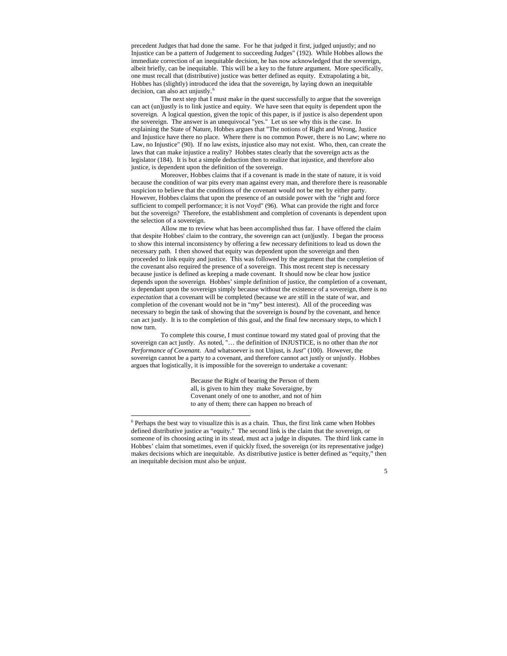precedent Judges that had done the same. For he that judged it first, judged unjustly; and no Injustice can be a pattern of Judgement to succeeding Judges" (192). While Hobbes allows the immediate correction of an inequitable decision, he has now acknowledged that the sovereign, albeit briefly, can be inequitable. This will be a key to the future argument. More specifically, one must recall that (distributive) justice was better defined as equity. Extrapolating a bit, Hobbes has (slightly) introduced the idea that the sovereign, by laying down an inequitable decision, can also act unjustly.<sup>[6](#page-4-0)</sup>

 The next step that I must make in the quest successfully to argue that the sovereign can act (un)justly is to link justice and equity. We have seen that equity is dependent upon the sovereign. A logical question, given the topic of this paper, is if justice is also dependent upon the sovereign. The answer is an unequivocal "yes." Let us see why this is the case. In explaining the State of Nature, Hobbes argues that "The notions of Right and Wrong, Justice and Injustice have there no place. Where there is no common Power, there is no Law; where no Law, no Injustice" (90). If no law exists, injustice also may not exist. Who, then, can create the laws that can make injustice a reality? Hobbes states clearly that the sovereign acts as the legislator (184). It is but a simple deduction then to realize that injustice, and therefore also justice, is dependent upon the definition of the sovereign.

 Moreover, Hobbes claims that if a covenant is made in the state of nature, it is void because the condition of war pits every man against every man, and therefore there is reasonable suspicion to believe that the conditions of the covenant would not be met by either party. However, Hobbes claims that upon the presence of an outside power with the "right and force sufficient to compell performance; it is not Voyd" (96). What can provide the right and force but the sovereign? Therefore, the establishment and completion of covenants is dependent upon the selection of a sovereign.

 Allow me to review what has been accomplished thus far. I have offered the claim that despite Hobbes' claim to the contrary, the sovereign can act (un)justly. I began the process to show this internal inconsistency by offering a few necessary definitions to lead us down the necessary path. I then showed that equity was dependent upon the sovereign and then proceeded to link equity and justice. This was followed by the argument that the completion of the covenant also required the presence of a sovereign. This most recent step is necessary because justice is defined as keeping a made covenant. It should now be clear how justice depends upon the sovereign. Hobbes' simple definition of justice, the completion of a covenant, is dependant upon the sovereign simply because without the existence of a sovereign, there is no *expectation* that a covenant will be completed (because we are still in the state of war, and completion of the covenant would not be in "my" best interest). All of the proceeding was necessary to begin the task of showing that the sovereign is *bound* by the covenant, and hence can act justly. It is to the completion of this goal, and the final few necessary steps, to which I now turn.

To complete this course, I must continue toward my stated goal of proving that the sovereign can act justly. As noted, "… the definition of INJUSTICE, is no other than *the not Performance of Covenant.* And whatsoever is not Unjust, is *Just*" (100). However, the sovereign cannot be a party to a covenant, and therefore cannot act justly or unjustly. Hobbes argues that logistically, it is impossible for the sovereign to undertake a covenant:

> Because the Right of bearing the Person of them all, is given to him they make Soveraigne, by Covenant onely of one to another, and not of him to any of them; there can happen no breach of

<span id="page-4-0"></span> $6$  Perhaps the best way to visualize this is as a chain. Thus, the first link came when Hobbes defined distributive justice as "equity." The second link is the claim that the sovereign, or someone of its choosing acting in its stead, must act a judge in disputes. The third link came in Hobbes' claim that sometimes, even if quickly fixed, the sovereign (or its representative judge) makes decisions which are inequitable. As distributive justice is better defined as "equity," then an inequitable decision must also be unjust.

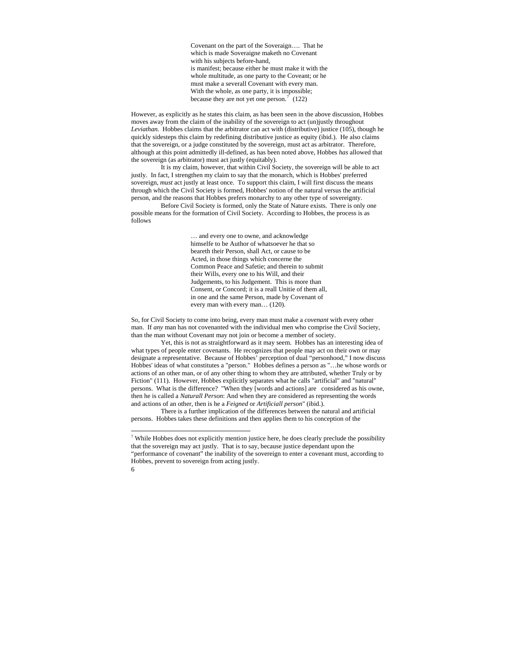Covenant on the part of the Soveraign…. That he which is made Soveraigne maketh no Covenant with his subjects before-hand, is manifest; because either he must make it with the whole multitude, as one party to the Coveant; or he must make a severall Covenant with every man. With the whole, as one party, it is impossible; because they are not yet one person.<sup>[7](#page-5-0)</sup> (122)

However, as explicitly as he states this claim, as has been seen in the above discussion, Hobbes moves away from the claim of the inability of the sovereign to act (un)justly throughout *Leviathan.* Hobbes claims that the arbitrator can act with (distributive) justice (105), though he quickly sidesteps this claim by redefining distributive justice as equity (ibid.). He also claims that the sovereign, or a judge constituted by the sovereign, must act as arbitrator. Therefore, although at this point admittedly ill-defined, as has been noted above, Hobbes *has* allowed that the sovereign (as arbitrator) must act justly (equitably).

 It is my claim, however, that within Civil Society, the sovereign will be able to act justly. In fact, I strengthen my claim to say that the monarch, which is Hobbes' preferred sovereign, *must* act justly at least once. To support this claim, I will first discuss the means through which the Civil Society is formed, Hobbes' notion of the natural versus the artificial person, and the reasons that Hobbes prefers monarchy to any other type of sovereignty.

 Before Civil Society is formed, only the State of Nature exists. There is only one possible means for the formation of Civil Society. According to Hobbes, the process is as follows

> … and every one to owne, and acknowledge himselfe to be Author of whatsoever he that so beareth their Person, shall Act, or cause to be Acted, in those things which concerne the Common Peace and Safetie; and therein to submit their Wills, every one to his Will, and their Judgements, to his Judgement. This is more than Consent, or Concord; it is a reall Unitie of them all, in one and the same Person, made by Covenant of every man with every man… (120).

So, for Civil Society to come into being, every man must make a *covenant* with every other man. If *any* man has not covenanted with the individual men who comprise the Civil Society, than the man without Covenant may not join or become a member of society.

 Yet, this is not as straightforward as it may seem. Hobbes has an interesting idea of what types of people enter covenants. He recognizes that people may act on their own or may designate a representative. Because of Hobbes' perception of dual "personhood," I now discuss Hobbes' ideas of what constitutes a "person." Hobbes defines a person as "…he whose words or actions of an other man, or of any other thing to whom they are attributed, whether Truly or by Fiction" (111). However, Hobbes explicitly separates what he calls "artificial" and "natural" persons. What is the difference? "When they [words and actions] are considered as his owne, then he is called a *Naturall Person*: And when they are considered as representing the words and actions of an other, then is he a *Feigned* or *Artificiall person*" (ibid.).

There is a further implication of the differences between the natural and artificial persons. Hobbes takes these definitions and then applies them to his conception of the

<span id="page-5-0"></span> $7$  While Hobbes does not explicitly mention justice here, he does clearly preclude the possibility that the sovereign may act justly. That is to say, because justice dependant upon the "performance of covenant" the inability of the sovereign to enter a covenant must, according to Hobbes, prevent to sovereign from acting justly.

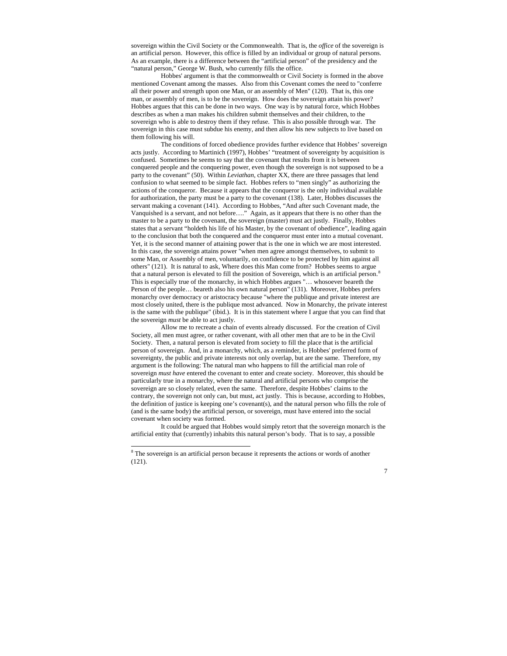sovereign within the Civil Society or the Commonwealth. That is, the *office* of the sovereign is an artificial person. However, this office is filled by an individual or group of natural persons. As an example, there is a difference between the "artificial person" of the presidency and the "natural person," George W. Bush, who currently fills the office.

 Hobbes' argument is that the commonwealth or Civil Society is formed in the above mentioned Covenant among the masses. Also from this Covenant comes the need to "conferre all their power and strength upon one Man, or an assembly of Men" (120). That is, this one man, or assembly of men, is to be the sovereign. How does the sovereign attain his power? Hobbes argues that this can be done in two ways. One way is by natural force, which Hobbes describes as when a man makes his children submit themselves and their children, to the sovereign who is able to destroy them if they refuse. This is also possible through war. The sovereign in this case must subdue his enemy, and then allow his new subjects to live based on them following his will.

 The conditions of forced obedience provides further evidence that Hobbes' sovereign acts justly. According to Martinich (1997), Hobbes' "treatment of sovereignty by acquisition is confused. Sometimes he seems to say that the covenant that results from it is between conquered people and the conquering power, even though the sovereign is not supposed to be a party to the covenant" (50). Within *Leviathan*, chapter XX, there are three passages that lend confusion to what seemed to be simple fact. Hobbes refers to "men singly" as authorizing the actions of the conqueror. Because it appears that the conqueror is the only individual available for authorization, the party must be a party to the covenant (138). Later, Hobbes discusses the servant making a covenant (141). According to Hobbes, "And after such Covenant made, the Vanquished is a servant, and not before…." Again, as it appears that there is no other than the master to be a party to the covenant, the sovereign (master) must act justly. Finally, Hobbes states that a servant "holdeth his life of his Master, by the covenant of obedience", leading again to the conclusion that both the conquered and the conqueror must enter into a mutual covenant. Yet, it is the second manner of attaining power that is the one in which we are most interested. In this case, the sovereign attains power "when men agree amongst themselves, to submit to some Man, or Assembly of men, voluntarily, on confidence to be protected by him against all others" (121). It is natural to ask, Where does this Man come from? Hobbes seems to argue that a natural person is elevated to fill the position of Sovereign, which is an artificial person.<sup>[8](#page-6-0)</sup> This is especially true of the monarchy, in which Hobbes argues "… whosoever beareth the Person of the people… beareth also his own natural person" (131). Moreover, Hobbes prefers monarchy over democracy or aristocracy because "where the publique and private interest are most closely united, there is the publique most advanced. Now in Monarchy, the private interest is the same with the publique" (ibid.). It is in this statement where I argue that you can find that the sovereign *must* be able to act justly.

Allow me to recreate a chain of events already discussed. For the creation of Civil Society, all men must agree, or rather covenant, with all other men that are to be in the Civil Society. Then, a natural person is elevated from society to fill the place that is the artificial person of sovereign. And, in a monarchy, which, as a reminder, is Hobbes' preferred form of sovereignty, the public and private interests not only overlap, but are the same. Therefore, my argument is the following: The natural man who happens to fill the artificial man role of sovereign *must have* entered the covenant to enter and create society. Moreover, this should be particularly true in a monarchy, where the natural and artificial persons who comprise the sovereign are so closely related, even the same. Therefore, despite Hobbes' claims to the contrary, the sovereign not only can, but must, act justly. This is because, according to Hobbes, the definition of justice is keeping one's covenant(s), and the natural person who fills the role of (and is the same body) the artificial person, or sovereign, must have entered into the social covenant when society was formed.

It could be argued that Hobbes would simply retort that the sovereign monarch is the artificial entity that (currently) inhabits this natural person's body. That is to say, a possible



<span id="page-6-0"></span><sup>&</sup>lt;sup>8</sup> The sovereign is an artificial person because it represents the actions or words of another (121).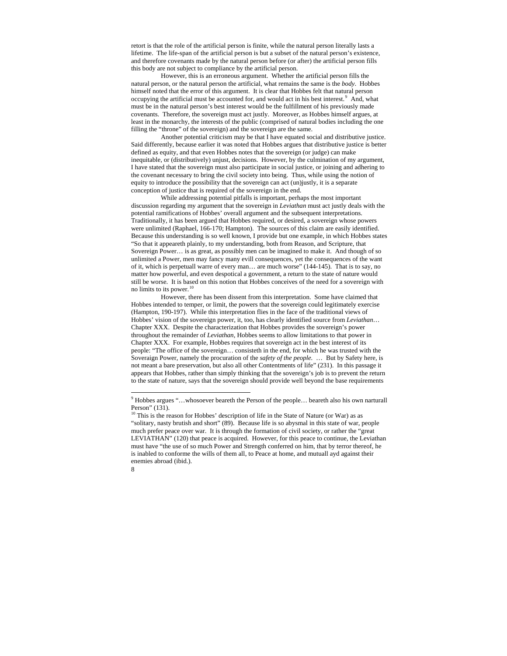retort is that the role of the artificial person is finite, while the natural person literally lasts a lifetime. The life-span of the artificial person is but a subset of the natural person's existence, and therefore covenants made by the natural person before (or after) the artificial person fills this body are not subject to compliance by the artificial person.

However, this is an erroneous argument. Whether the artificial person fills the natural person, or the natural person the artificial, what remains the same is the *body*. Hobbes himself noted that the error of this argument. It is clear that Hobbes felt that natural person occupying the artificial must be accounted for, and would act in his best interest.<sup>[9](#page-7-0)</sup> And, what must be in the natural person's best interest would be the fulfillment of his previously made covenants. Therefore, the sovereign must act justly. Moreover, as Hobbes himself argues, at least in the monarchy, the interests of the public (comprised of natural bodies including the one filling the "throne" of the sovereign) and the sovereign are the same.

Another potential criticism may be that I have equated social and distributive justice. Said differently, because earlier it was noted that Hobbes argues that distributive justice is better defined as equity, and that even Hobbes notes that the sovereign (or judge) can make inequitable, or (distributively) unjust, decisions. However, by the culmination of my argument, I have stated that the sovereign must also participate in social justice, or joining and adhering to the covenant necessary to bring the civil society into being. Thus, while using the notion of equity to introduce the possibility that the sovereign can act (un)justly, it is a separate conception of justice that is required of the sovereign in the end.

 While addressing potential pitfalls is important, perhaps the most important discussion regarding my argument that the sovereign in *Leviathan* must act justly deals with the potential ramifications of Hobbes' overall argument and the subsequent interpretations. Traditionally, it has been argued that Hobbes required, or desired, a sovereign whose powers were unlimited (Raphael, 166-170; Hampton). The sources of this claim are easily identified. Because this understanding is so well known, I provide but one example, in which Hobbes states "So that it appeareth plainly, to my understanding, both from Reason, and Scripture, that Sovereign Power… is as great, as possibly men can be imagined to make it. And though of so unlimited a Power, men may fancy many evill consequences, yet the consequences of the want of it, which is perpetuall warre of every man… are much worse" (144-145). That is to say, no matter how powerful, and even despotical a government, a return to the state of nature would still be worse. It is based on this notion that Hobbes conceives of the need for a sovereign with no limits to its power.  $10$ 

 However, there has been dissent from this interpretation. Some have claimed that Hobbes intended to temper, or limit, the powers that the sovereign could legitimately exercise (Hampton, 190-197). While this interpretation flies in the face of the traditional views of Hobbes' vision of the sovereign power, it, too, has clearly identified source from *Leviathan*… Chapter XXX. Despite the characterization that Hobbes provides the sovereign's power throughout the remainder of *Leviathan*, Hobbes seems to allow limitations to that power in Chapter XXX. For example, Hobbes requires that sovereign act in the best interest of its people: "The office of the sovereign… consisteth in the end, for which he was trusted with the Soveraign Power, namely the procuration of the *safety of the people.* … But by Safety here, is not meant a bare preservation, but also all other Contentments of life" (231). In this passage it appears that Hobbes, rather than simply thinking that the sovereign's job is to prevent the return to the state of nature, says that the sovereign should provide well beyond the base requirements

<span id="page-7-1"></span><span id="page-7-0"></span><sup>&</sup>lt;sup>10</sup> This is the reason for Hobbes' description of life in the State of Nature (or War) as as "solitary, nasty brutish and short" (89). Because life is so abysmal in this state of war, people much prefer peace over war. It is through the formation of civil society, or rather the "great LEVIATHAN" (120) that peace is acquired. However, for this peace to continue, the Leviathan must have "the use of so much Power and Strength conferred on him, that by terror thereof, he is inabled to conforme the wills of them all, to Peace at home, and mutuall ayd against their enemies abroad (ibid.).



<sup>&</sup>lt;sup>9</sup> Hobbes argues "...whosoever beareth the Person of the people... beareth also his own narturall Person" (131).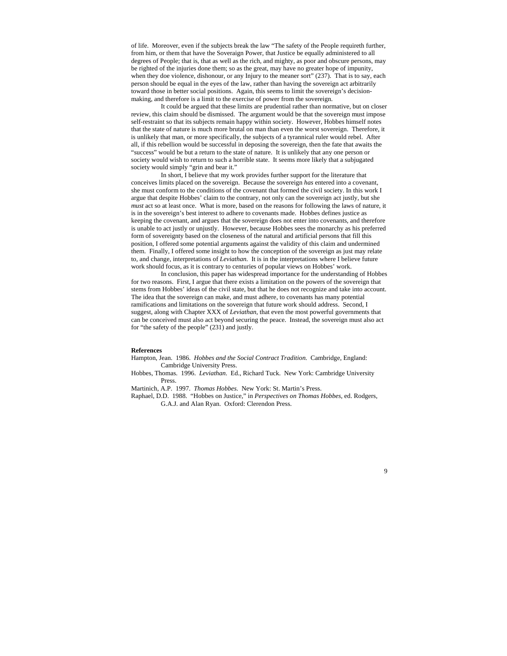of life. Moreover, even if the subjects break the law "The safety of the People requireth further, from him, or them that have the Soveraign Power, that Justice be equally administered to all degrees of People; that is, that as well as the rich, and mighty, as poor and obscure persons, may be righted of the injuries done them; so as the great, may have no greater hope of impunity, when they doe violence, dishonour, or any Injury to the meaner sort" (237). That is to say, each person should be equal in the eyes of the law, rather than having the sovereign act arbitrarily toward those in better social positions. Again, this seems to limit the sovereign's decisionmaking, and therefore is a limit to the exercise of power from the sovereign.

 It could be argued that these limits are prudential rather than normative, but on closer review, this claim should be dismissed. The argument would be that the sovereign must impose self-restraint so that its subjects remain happy within society. However, Hobbes himself notes that the state of nature is much more brutal on man than even the worst sovereign. Therefore, it is unlikely that man, or more specifically, the subjects of a tyrannical ruler would rebel. After all, if this rebellion would be successful in deposing the sovereign, then the fate that awaits the "success" would be but a return to the state of nature. It is unlikely that any one person or society would wish to return to such a horrible state. It seems more likely that a subjugated society would simply "grin and bear it."

 In short, I believe that my work provides further support for the literature that conceives limits placed on the sovereign. Because the sovereign *has* entered into a covenant, she must conform to the conditions of the covenant that formed the civil society. In this work I argue that despite Hobbes' claim to the contrary, not only can the sovereign act justly, but she *must* act so at least once. What is more, based on the reasons for following the laws of nature, it is in the sovereign's best interest to adhere to covenants made. Hobbes defines justice as keeping the covenant, and argues that the sovereign does not enter into covenants, and therefore is unable to act justly or unjustly. However, because Hobbes sees the monarchy as his preferred form of sovereignty based on the closeness of the natural and artificial persons that fill this position, I offered some potential arguments against the validity of this claim and undermined them. Finally, I offered some insight to how the conception of the sovereign as just may relate to, and change, interpretations of *Leviathan.* It is in the interpretations where I believe future work should focus, as it is contrary to centuries of popular views on Hobbes' work.

 In conclusion, this paper has widespread importance for the understanding of Hobbes for two reasons. First, I argue that there exists a limitation on the powers of the sovereign that stems from Hobbes' ideas of the civil state, but that he does not recognize and take into account. The idea that the sovereign can make, and must adhere, to covenants has many potential ramifications and limitations on the sovereign that future work should address. Second, I suggest, along with Chapter XXX of *Leviathan*, that even the most powerful governments that can be conceived must also act beyond securing the peace. Instead, the sovereign must also act for "the safety of the people" (231) and justly.

## **References**

Hampton, Jean. 1986. *Hobbes and the Social Contract Tradition.* Cambridge, England: Cambridge University Press.

Hobbes, Thomas. 1996. *Leviathan*. Ed., Richard Tuck. New York: Cambridge University Press.

Martinich, A.P. 1997. *Thomas Hobbes.* New York: St. Martin's Press.

Raphael, D.D. 1988. "Hobbes on Justice," in *Perspectives on Thomas Hobbes*, ed. Rodgers, G.A.J. and Alan Ryan. Oxford: Clerendon Press.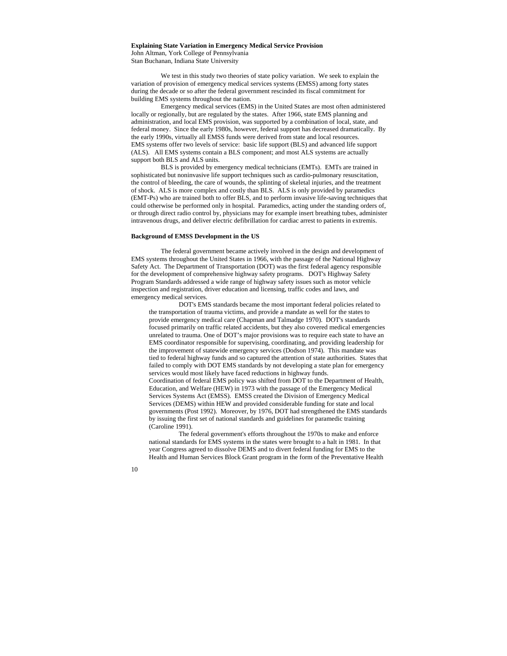## **Explaining State Variation in Emergency Medical Service Provision**

John Altman, York College of Pennsylvania Stan Buchanan, Indiana State University

We test in this study two theories of state policy variation. We seek to explain the variation of provision of emergency medical services systems (EMSS) among forty states during the decade or so after the federal government rescinded its fiscal commitment for building EMS systems throughout the nation.

Emergency medical services (EMS) in the United States are most often administered locally or regionally, but are regulated by the states. After 1966, state EMS planning and administration, and local EMS provision, was supported by a combination of local, state, and federal money. Since the early 1980s, however, federal support has decreased dramatically. By the early 1990s, virtually all EMSS funds were derived from state and local resources. EMS systems offer two levels of service: basic life support (BLS) and advanced life support (ALS). All EMS systems contain a BLS component; and most ALS systems are actually support both BLS and ALS units.

BLS is provided by emergency medical technicians (EMTs). EMTs are trained in sophisticated but noninvasive life support techniques such as cardio-pulmonary resuscitation, the control of bleeding, the care of wounds, the splinting of skeletal injuries, and the treatment of shock. ALS is more complex and costly than BLS. ALS is only provided by paramedics (EMT-Ps) who are trained both to offer BLS, and to perform invasive life-saving techniques that could otherwise be performed only in hospital. Paramedics, acting under the standing orders of, or through direct radio control by, physicians may for example insert breathing tubes, administer intravenous drugs, and deliver electric defibrillation for cardiac arrest to patients in extremis.

# **Background of EMSS Development in the US**

The federal government became actively involved in the design and development of EMS systems throughout the United States in 1966, with the passage of the National Highway Safety Act. The Department of Transportation (DOT) was the first federal agency responsible for the development of comprehensive highway safety programs. DOT's Highway Safety Program Standards addressed a wide range of highway safety issues such as motor vehicle inspection and registration, driver education and licensing, traffic codes and laws, and emergency medical services.

DOT's EMS standards became the most important federal policies related to the transportation of trauma victims, and provide a mandate as well for the states to provide emergency medical care (Chapman and Talmadge 1970). DOT's standards focused primarily on traffic related accidents, but they also covered medical emergencies unrelated to trauma. One of DOT's major provisions was to require each state to have an EMS coordinator responsible for supervising, coordinating, and providing leadership for the improvement of statewide emergency services (Dodson 1974). This mandate was tied to federal highway funds and so captured the attention of state authorities. States that failed to comply with DOT EMS standards by not developing a state plan for emergency services would most likely have faced reductions in highway funds. Coordination of federal EMS policy was shifted from DOT to the Department of Health, Education, and Welfare (HEW) in 1973 with the passage of the Emergency Medical Services Systems Act (EMSS). EMSS created the Division of Emergency Medical Services (DEMS) within HEW and provided considerable funding for state and local governments (Post 1992). Moreover, by 1976, DOT had strengthened the EMS standards by issuing the first set of national standards and guidelines for paramedic training (Caroline 1991).

The federal government's efforts throughout the 1970s to make and enforce national standards for EMS systems in the states were brought to a halt in 1981. In that year Congress agreed to dissolve DEMS and to divert federal funding for EMS to the Health and Human Services Block Grant program in the form of the Preventative Health

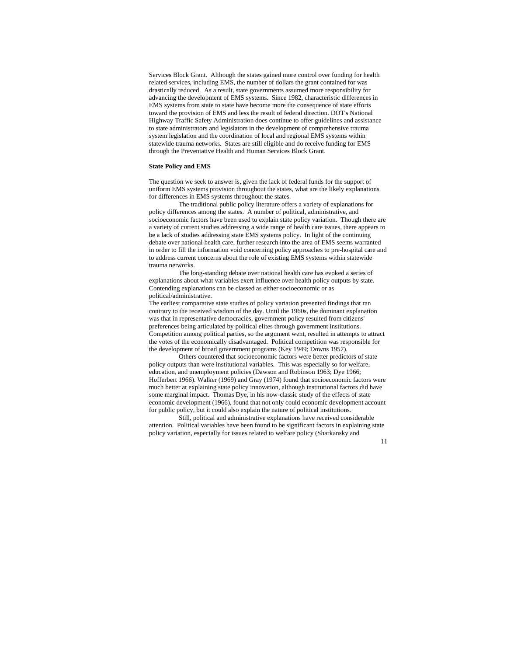Services Block Grant. Although the states gained more control over funding for health related services, including EMS, the number of dollars the grant contained for was drastically reduced. As a result, state governments assumed more responsibility for advancing the development of EMS systems. Since 1982, characteristic differences in EMS systems from state to state have become more the consequence of state efforts toward the provision of EMS and less the result of federal direction. DOT's National Highway Traffic Safety Administration does continue to offer guidelines and assistance to state administrators and legislators in the development of comprehensive trauma system legislation and the coordination of local and regional EMS systems within statewide trauma networks. States are still eligible and do receive funding for EMS through the Preventative Health and Human Services Block Grant.

## **State Policy and EMS**

The question we seek to answer is, given the lack of federal funds for the support of uniform EMS systems provision throughout the states, what are the likely explanations for differences in EMS systems throughout the states.

The traditional public policy literature offers a variety of explanations for policy differences among the states. A number of political, administrative, and socioeconomic factors have been used to explain state policy variation. Though there are a variety of current studies addressing a wide range of health care issues, there appears to be a lack of studies addressing state EMS systems policy. In light of the continuing debate over national health care, further research into the area of EMS seems warranted in order to fill the information void concerning policy approaches to pre-hospital care and to address current concerns about the role of existing EMS systems within statewide trauma networks.

The long-standing debate over national health care has evoked a series of explanations about what variables exert influence over health policy outputs by state. Contending explanations can be classed as either socioeconomic or as political/administrative.

The earliest comparative state studies of policy variation presented findings that ran contrary to the received wisdom of the day. Until the 1960s, the dominant explanation was that in representative democracies, government policy resulted from citizens' preferences being articulated by political elites through government institutions. Competition among political parties, so the argument went, resulted in attempts to attract the votes of the economically disadvantaged. Political competition was responsible for the development of broad government programs (Key 1949; Downs 1957).

Others countered that socioeconomic factors were better predictors of state policy outputs than were institutional variables. This was especially so for welfare, education, and unemployment policies (Dawson and Robinson 1963; Dye 1966; Hofferbert 1966). Walker (1969) and Gray (1974) found that socioeconomic factors were much better at explaining state policy innovation, although institutional factors did have some marginal impact. Thomas Dye, in his now-classic study of the effects of state economic development (1966), found that not only could economic development account for public policy, but it could also explain the nature of political institutions.

Still, political and administrative explanations have received considerable attention. Political variables have been found to be significant factors in explaining state policy variation, especially for issues related to welfare policy (Sharkansky and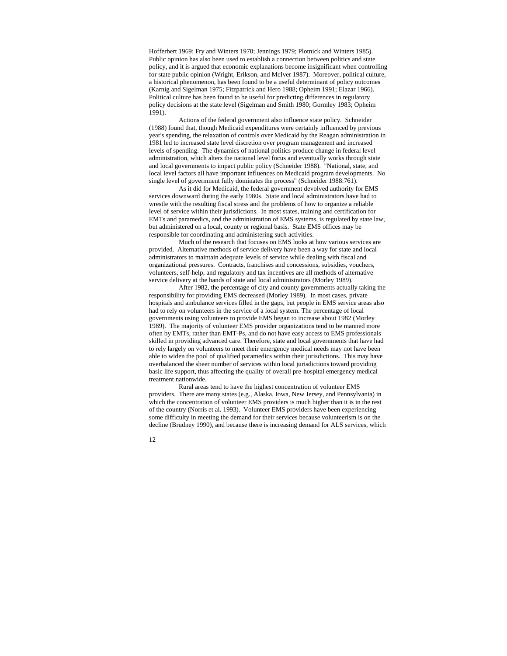Hofferbert 1969; Fry and Winters 1970; Jennings 1979; Plotnick and Winters 1985). Public opinion has also been used to establish a connection between politics and state policy, and it is argued that economic explanations become insignificant when controlling for state public opinion (Wright, Erikson, and McIver 1987). Moreover, political culture, a historical phenomenon, has been found to be a useful determinant of policy outcomes (Karnig and Sigelman 1975; Fitzpatrick and Hero 1988; Opheim 1991; Elazar 1966). Political culture has been found to be useful for predicting differences in regulatory policy decisions at the state level (Sigelman and Smith 1980; Gormley 1983; Opheim 1991).

Actions of the federal government also influence state policy. Schneider (1988) found that, though Medicaid expenditures were certainly influenced by previous year's spending, the relaxation of controls over Medicaid by the Reagan administration in 1981 led to increased state level discretion over program management and increased levels of spending. The dynamics of national politics produce change in federal level administration, which alters the national level focus and eventually works through state and local governments to impact public policy (Schneider 1988). "National, state, and local level factors all have important influences on Medicaid program developments. No single level of government fully dominates the process" (Schneider 1988:761).

As it did for Medicaid, the federal government devolved authority for EMS services downward during the early 1980s. State and local administrators have had to wrestle with the resulting fiscal stress and the problems of how to organize a reliable level of service within their jurisdictions. In most states, training and certification for EMTs and paramedics, and the administration of EMS systems, is regulated by state law, but administered on a local, county or regional basis. State EMS offices may be responsible for coordinating and administering such activities.

Much of the research that focuses on EMS looks at how various services are provided. Alternative methods of service delivery have been a way for state and local administrators to maintain adequate levels of service while dealing with fiscal and organizational pressures. Contracts, franchises and concessions, subsidies, vouchers, volunteers, self-help, and regulatory and tax incentives are all methods of alternative service delivery at the hands of state and local administrators (Morley 1989).

After 1982, the percentage of city and county governments actually taking the responsibility for providing EMS decreased (Morley 1989). In most cases, private hospitals and ambulance services filled in the gaps, but people in EMS service areas also had to rely on volunteers in the service of a local system. The percentage of local governments using volunteers to provide EMS began to increase about 1982 (Morley 1989). The majority of volunteer EMS provider organizations tend to be manned more often by EMTs, rather than EMT-Ps, and do not have easy access to EMS professionals skilled in providing advanced care. Therefore, state and local governments that have had to rely largely on volunteers to meet their emergency medical needs may not have been able to widen the pool of qualified paramedics within their jurisdictions. This may have overbalanced the sheer number of services within local jurisdictions toward providing basic life support, thus affecting the quality of overall pre-hospital emergency medical treatment nationwide.

Rural areas tend to have the highest concentration of volunteer EMS providers. There are many states (e.g., Alaska, Iowa, New Jersey, and Pennsylvania) in which the concentration of volunteer EMS providers is much higher than it is in the rest of the country (Norris et al. 1993). Volunteer EMS providers have been experiencing some difficulty in meeting the demand for their services because volunteerism is on the decline (Brudney 1990), and because there is increasing demand for ALS services, which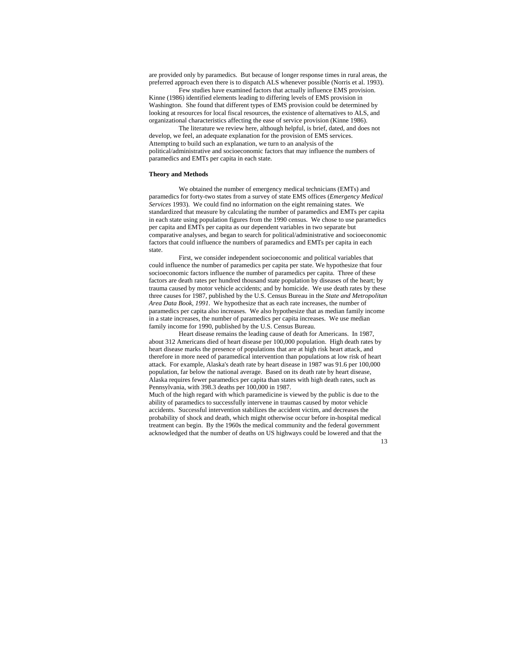are provided only by paramedics. But because of longer response times in rural areas, the preferred approach even there is to dispatch ALS whenever possible (Norris et al. 1993).

Few studies have examined factors that actually influence EMS provision. Kinne (1986) identified elements leading to differing levels of EMS provision in Washington. She found that different types of EMS provision could be determined by looking at resources for local fiscal resources, the existence of alternatives to ALS, and organizational characteristics affecting the ease of service provision (Kinne 1986).

The literature we review here, although helpful, is brief, dated, and does not develop, we feel, an adequate explanation for the provision of EMS services. Attempting to build such an explanation, we turn to an analysis of the political/administrative and socioeconomic factors that may influence the numbers of paramedics and EMTs per capita in each state.

#### **Theory and Methods**

We obtained the number of emergency medical technicians (EMTs) and paramedics for forty-two states from a survey of state EMS offices (*Emergency Medical Services* 1993). We could find no information on the eight remaining states. We standardized that measure by calculating the number of paramedics and EMTs per capita in each state using population figures from the 1990 census. We chose to use paramedics per capita and EMTs per capita as our dependent variables in two separate but comparative analyses, and began to search for political/administrative and socioeconomic factors that could influence the numbers of paramedics and EMTs per capita in each state.

First, we consider independent socioeconomic and political variables that could influence the number of paramedics per capita per state. We hypothesize that four socioeconomic factors influence the number of paramedics per capita. Three of these factors are death rates per hundred thousand state population by diseases of the heart; by trauma caused by motor vehicle accidents; and by homicide. We use death rates by these three causes for 1987, published by the U.S. Census Bureau in the *State and Metropolitan Area Data Book, 1991*. We hypothesize that as each rate increases, the number of paramedics per capita also increases. We also hypothesize that as median family income in a state increases, the number of paramedics per capita increases. We use median family income for 1990, published by the U.S. Census Bureau.

Heart disease remains the leading cause of death for Americans. In 1987, about 312 Americans died of heart disease per 100,000 population. High death rates by heart disease marks the presence of populations that are at high risk heart attack, and therefore in more need of paramedical intervention than populations at low risk of heart attack. For example, Alaska's death rate by heart disease in 1987 was 91.6 per 100,000 population, far below the national average. Based on its death rate by heart disease, Alaska requires fewer paramedics per capita than states with high death rates, such as Pennsylvania, with 398.3 deaths per 100,000 in 1987.

Much of the high regard with which paramedicine is viewed by the public is due to the ability of paramedics to successfully intervene in traumas caused by motor vehicle accidents. Successful intervention stabilizes the accident victim, and decreases the probability of shock and death, which might otherwise occur before in-hospital medical treatment can begin. By the 1960s the medical community and the federal government acknowledged that the number of deaths on US highways could be lowered and that the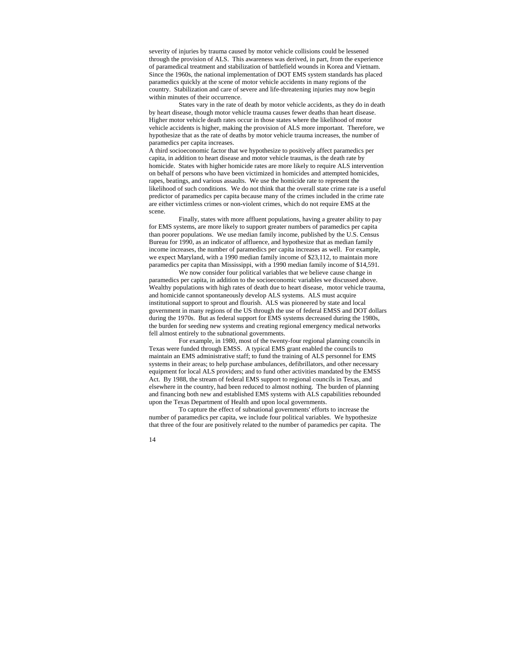severity of injuries by trauma caused by motor vehicle collisions could be lessened through the provision of ALS. This awareness was derived, in part, from the experience of paramedical treatment and stabilization of battlefield wounds in Korea and Vietnam. Since the 1960s, the national implementation of DOT EMS system standards has placed paramedics quickly at the scene of motor vehicle accidents in many regions of the country. Stabilization and care of severe and life-threatening injuries may now begin within minutes of their occurrence.

States vary in the rate of death by motor vehicle accidents, as they do in death by heart disease, though motor vehicle trauma causes fewer deaths than heart disease. Higher motor vehicle death rates occur in those states where the likelihood of motor vehicle accidents is higher, making the provision of ALS more important. Therefore, we hypothesize that as the rate of deaths by motor vehicle trauma increases, the number of paramedics per capita increases.

A third socioeconomic factor that we hypothesize to positively affect paramedics per capita, in addition to heart disease and motor vehicle traumas, is the death rate by homicide. States with higher homicide rates are more likely to require ALS intervention on behalf of persons who have been victimized in homicides and attempted homicides, rapes, beatings, and various assaults. We use the homicide rate to represent the likelihood of such conditions. We do not think that the overall state crime rate is a useful predictor of paramedics per capita because many of the crimes included in the crime rate are either victimless crimes or non-violent crimes, which do not require EMS at the scene.

Finally, states with more affluent populations, having a greater ability to pay for EMS systems, are more likely to support greater numbers of paramedics per capita than poorer populations. We use median family income, published by the U.S. Census Bureau for 1990, as an indicator of affluence, and hypothesize that as median family income increases, the number of paramedics per capita increases as well. For example, we expect Maryland, with a 1990 median family income of \$23,112, to maintain more paramedics per capita than Mississippi, with a 1990 median family income of \$14,591.

We now consider four political variables that we believe cause change in paramedics per capita, in addition to the socioeconomic variables we discussed above. Wealthy populations with high rates of death due to heart disease, motor vehicle trauma, and homicide cannot spontaneously develop ALS systems. ALS must acquire institutional support to sprout and flourish. ALS was pioneered by state and local government in many regions of the US through the use of federal EMSS and DOT dollars during the 1970s. But as federal support for EMS systems decreased during the 1980s, the burden for seeding new systems and creating regional emergency medical networks fell almost entirely to the subnational governments.

For example, in 1980, most of the twenty-four regional planning councils in Texas were funded through EMSS. A typical EMS grant enabled the councils to maintain an EMS administrative staff; to fund the training of ALS personnel for EMS systems in their areas; to help purchase ambulances, defibrillators, and other necessary equipment for local ALS providers; and to fund other activities mandated by the EMSS Act. By 1988, the stream of federal EMS support to regional councils in Texas, and elsewhere in the country, had been reduced to almost nothing. The burden of planning and financing both new and established EMS systems with ALS capabilities rebounded upon the Texas Department of Health and upon local governments.

To capture the effect of subnational governments' efforts to increase the number of paramedics per capita, we include four political variables. We hypothesize that three of the four are positively related to the number of paramedics per capita. The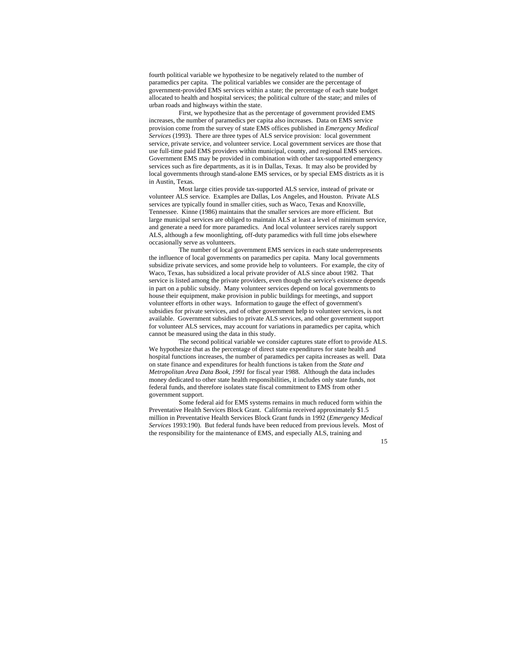fourth political variable we hypothesize to be negatively related to the number of paramedics per capita. The political variables we consider are the percentage of government-provided EMS services within a state; the percentage of each state budget allocated to health and hospital services; the political culture of the state; and miles of urban roads and highways within the state.

First, we hypothesize that as the percentage of government provided EMS increases, the number of paramedics per capita also increases. Data on EMS service provision come from the survey of state EMS offices published in *Emergency Medical Services* (1993). There are three types of ALS service provision: local government service, private service, and volunteer service. Local government services are those that use full-time paid EMS providers within municipal, county, and regional EMS services. Government EMS may be provided in combination with other tax-supported emergency services such as fire departments, as it is in Dallas, Texas. It may also be provided by local governments through stand-alone EMS services, or by special EMS districts as it is in Austin, Texas.

Most large cities provide tax-supported ALS service, instead of private or volunteer ALS service. Examples are Dallas, Los Angeles, and Houston. Private ALS services are typically found in smaller cities, such as Waco, Texas and Knoxville, Tennessee. Kinne (1986) maintains that the smaller services are more efficient. But large municipal services are obliged to maintain ALS at least a level of minimum service, and generate a need for more paramedics. And local volunteer services rarely support ALS, although a few moonlighting, off-duty paramedics with full time jobs elsewhere occasionally serve as volunteers.

The number of local government EMS services in each state underrepresents the influence of local governments on paramedics per capita. Many local governments subsidize private services, and some provide help to volunteers. For example, the city of Waco, Texas, has subsidized a local private provider of ALS since about 1982. That service is listed among the private providers, even though the service's existence depends in part on a public subsidy. Many volunteer services depend on local governments to house their equipment, make provision in public buildings for meetings, and support volunteer efforts in other ways. Information to gauge the effect of government's subsidies for private services, and of other government help to volunteer services, is not available. Government subsidies to private ALS services, and other government support for volunteer ALS services, may account for variations in paramedics per capita, which cannot be measured using the data in this study.

The second political variable we consider captures state effort to provide ALS. We hypothesize that as the percentage of direct state expenditures for state health and hospital functions increases, the number of paramedics per capita increases as well. Data on state finance and expenditures for health functions is taken from the *State and Metropolitan Area Data Book, 1991* for fiscal year 1988. Although the data includes money dedicated to other state health responsibilities, it includes only state funds, not federal funds, and therefore isolates state fiscal commitment to EMS from other government support.

Some federal aid for EMS systems remains in much reduced form within the Preventative Health Services Block Grant. California received approximately \$1.5 million in Preventative Health Services Block Grant funds in 1992 (*Emergency Medical Services* 1993:190). But federal funds have been reduced from previous levels. Most of the responsibility for the maintenance of EMS, and especially ALS, training and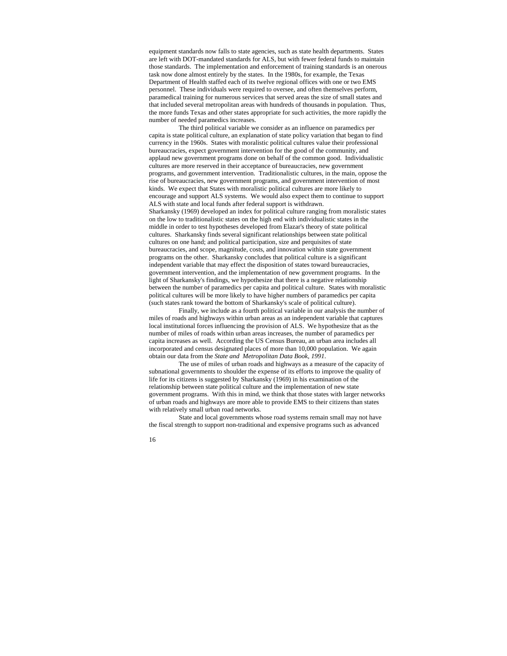equipment standards now falls to state agencies, such as state health departments. States are left with DOT-mandated standards for ALS, but with fewer federal funds to maintain those standards. The implementation and enforcement of training standards is an onerous task now done almost entirely by the states. In the 1980s, for example, the Texas Department of Health staffed each of its twelve regional offices with one or two EMS personnel. These individuals were required to oversee, and often themselves perform, paramedical training for numerous services that served areas the size of small states and that included several metropolitan areas with hundreds of thousands in population. Thus, the more funds Texas and other states appropriate for such activities, the more rapidly the number of needed paramedics increases.

The third political variable we consider as an influence on paramedics per capita is state political culture, an explanation of state policy variation that began to find currency in the 1960s. States with moralistic political cultures value their professional bureaucracies, expect government intervention for the good of the community, and applaud new government programs done on behalf of the common good. Individualistic cultures are more reserved in their acceptance of bureaucracies, new government programs, and government intervention. Traditionalistic cultures, in the main, oppose the rise of bureaucracies, new government programs, and government intervention of most kinds. We expect that States with moralistic political cultures are more likely to encourage and support ALS systems. We would also expect them to continue to support ALS with state and local funds after federal support is withdrawn. Sharkansky (1969) developed an index for political culture ranging from moralistic states on the low to traditionalistic states on the high end with individualistic states in the middle in order to test hypotheses developed from Elazar's theory of state political cultures. Sharkansky finds several significant relationships between state political cultures on one hand; and political participation, size and perquisites of state bureaucracies, and scope, magnitude, costs, and innovation within state government programs on the other. Sharkansky concludes that political culture is a significant independent variable that may effect the disposition of states toward bureaucracies, government intervention, and the implementation of new government programs. In the light of Sharkansky's findings, we hypothesize that there is a negative relationship between the number of paramedics per capita and political culture. States with moralistic political cultures will be more likely to have higher numbers of paramedics per capita (such states rank toward the bottom of Sharkansky's scale of political culture).

Finally, we include as a fourth political variable in our analysis the number of miles of roads and highways within urban areas as an independent variable that captures local institutional forces influencing the provision of ALS. We hypothesize that as the number of miles of roads within urban areas increases, the number of paramedics per capita increases as well. According the US Census Bureau, an urban area includes all incorporated and census designated places of more than 10,000 population. We again obtain our data from the *State and Metropolitan Data Book, 1991*.

The use of miles of urban roads and highways as a measure of the capacity of subnational governments to shoulder the expense of its efforts to improve the quality of life for its citizens is suggested by Sharkansky (1969) in his examination of the relationship between state political culture and the implementation of new state government programs. With this in mind, we think that those states with larger networks of urban roads and highways are more able to provide EMS to their citizens than states with relatively small urban road networks.

State and local governments whose road systems remain small may not have the fiscal strength to support non-traditional and expensive programs such as advanced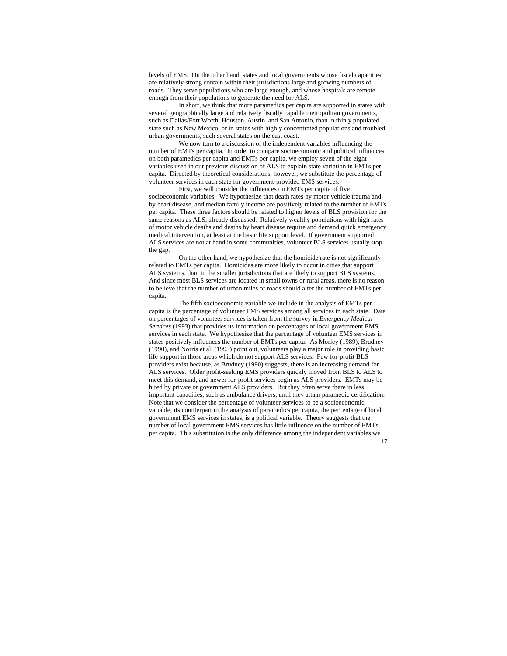levels of EMS. On the other hand, states and local governments whose fiscal capacities are relatively strong contain within their jurisdictions large and growing numbers of roads. They serve populations who are large enough, and whose hospitals are remote enough from their populations to generate the need for ALS.

In short, we think that more paramedics per capita are supported in states with several geographically large and relatively fiscally capable metropolitan governments, such as Dallas/Fort Worth, Houston, Austin, and San Antonio, than in thinly populated state such as New Mexico, or in states with highly concentrated populations and troubled urban governments, such several states on the east coast.

We now turn to a discussion of the independent variables influencing the number of EMTs per capita. In order to compare socioeconomic and political influences on both paramedics per capita and EMTs per capita, we employ seven of the eight variables used in our previous discussion of ALS to explain state variation in EMTs per capita. Directed by theoretical considerations, however, we substitute the percentage of volunteer services in each state for government-provided EMS services.

First, we will consider the influences on EMTs per capita of five socioeconomic variables. We hypothesize that death rates by motor vehicle trauma and by heart disease, and median family income are positively related to the number of EMTs per capita. These three factors should be related to higher levels of BLS provision for the same reasons as ALS, already discussed. Relatively wealthy populations with high rates of motor vehicle deaths and deaths by heart disease require and demand quick emergency medical intervention, at least at the basic life support level. If government supported ALS services are not at hand in some communities, volunteer BLS services usually stop the gap.

On the other hand, we hypothesize that the homicide rate is not significantly related to EMTs per capita. Homicides are more likely to occur in cities that support ALS systems, than in the smaller jurisdictions that are likely to support BLS systems. And since most BLS services are located in small towns or rural areas, there is no reason to believe that the number of urban miles of roads should alter the number of EMTs per capita.

The fifth socioeconomic variable we include in the analysis of EMTs per capita is the percentage of volunteer EMS services among all services in each state. Data on percentages of volunteer services is taken from the survey in *Emergency Medical Services* (1993) that provides us information on percentages of local government EMS services in each state. We hypothesize that the percentage of volunteer EMS services in states positively influences the number of EMTs per capita. As Morley (1989), Brudney (1990), and Norris et al. (1993) point out, volunteers play a major role in providing basic life support in those areas which do not support ALS services. Few for-profit BLS providers exist because, as Brudney (1990) suggests, there is an increasing demand for ALS services. Older profit-seeking EMS providers quickly moved from BLS to ALS to meet this demand, and newer for-profit services begin as ALS providers. EMTs may be hired by private or government ALS providers. But they often serve there in less important capacities, such as ambulance drivers, until they attain paramedic certification. Note that we consider the percentage of volunteer services to be a socioeconomic variable; its counterpart in the analysis of paramedics per capita, the percentage of local government EMS services in states, is a political variable. Theory suggests that the number of local government EMS services has little influence on the number of EMTs per capita. This substitution is the only difference among the independent variables we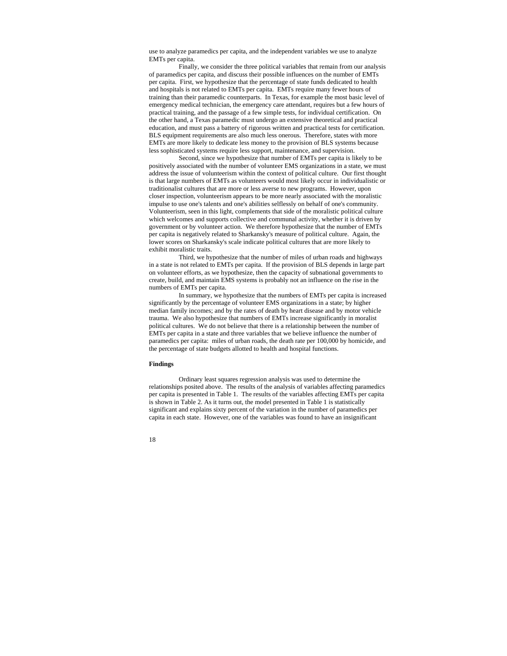use to analyze paramedics per capita, and the independent variables we use to analyze EMTs per capita.

Finally, we consider the three political variables that remain from our analysis of paramedics per capita, and discuss their possible influences on the number of EMTs per capita. First, we hypothesize that the percentage of state funds dedicated to health and hospitals is not related to EMTs per capita. EMTs require many fewer hours of training than their paramedic counterparts. In Texas, for example the most basic level of emergency medical technician, the emergency care attendant, requires but a few hours of practical training, and the passage of a few simple tests, for individual certification. On the other hand, a Texas paramedic must undergo an extensive theoretical and practical education, and must pass a battery of rigorous written and practical tests for certification. BLS equipment requirements are also much less onerous. Therefore, states with more EMTs are more likely to dedicate less money to the provision of BLS systems because less sophisticated systems require less support, maintenance, and supervision.

Second, since we hypothesize that number of EMTs per capita is likely to be positively associated with the number of volunteer EMS organizations in a state, we must address the issue of volunteerism within the context of political culture. Our first thought is that large numbers of EMTs as volunteers would most likely occur in individualistic or traditionalist cultures that are more or less averse to new programs. However, upon closer inspection, volunteerism appears to be more nearly associated with the moralistic impulse to use one's talents and one's abilities selflessly on behalf of one's community. Volunteerism, seen in this light, complements that side of the moralistic political culture which welcomes and supports collective and communal activity, whether it is driven by government or by volunteer action. We therefore hypothesize that the number of EMTs per capita is negatively related to Sharkansky's measure of political culture. Again, the lower scores on Sharkansky's scale indicate political cultures that are more likely to exhibit moralistic traits.

Third, we hypothesize that the number of miles of urban roads and highways in a state is not related to EMTs per capita. If the provision of BLS depends in large part on volunteer efforts, as we hypothesize, then the capacity of subnational governments to create, build, and maintain EMS systems is probably not an influence on the rise in the numbers of EMTs per capita.

In summary, we hypothesize that the numbers of EMTs per capita is increased significantly by the percentage of volunteer EMS organizations in a state; by higher median family incomes; and by the rates of death by heart disease and by motor vehicle trauma. We also hypothesize that numbers of EMTs increase significantly in moralist political cultures. We do not believe that there is a relationship between the number of EMTs per capita in a state and three variables that we believe influence the number of paramedics per capita: miles of urban roads, the death rate per 100,000 by homicide, and the percentage of state budgets allotted to health and hospital functions.

## **Findings**

Ordinary least squares regression analysis was used to determine the relationships posited above. The results of the analysis of variables affecting paramedics per capita is presented in Table 1. The results of the variables affecting EMTs per capita is shown in Table 2. As it turns out, the model presented in Table 1 is statistically significant and explains sixty percent of the variation in the number of paramedics per capita in each state. However, one of the variables was found to have an insignificant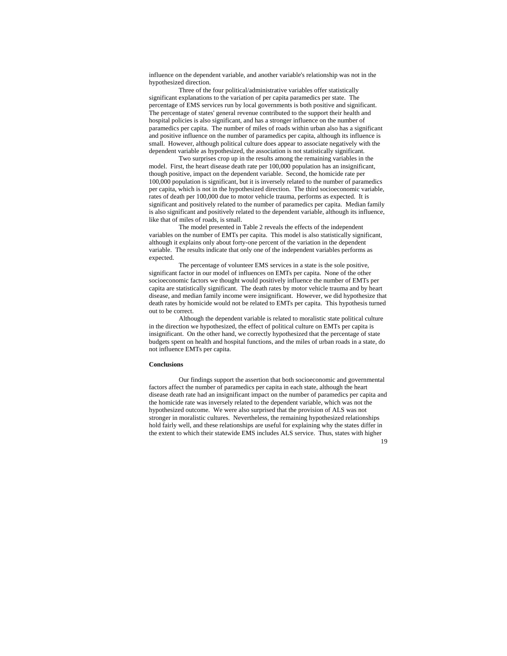influence on the dependent variable, and another variable's relationship was not in the hypothesized direction.

Three of the four political/administrative variables offer statistically significant explanations to the variation of per capita paramedics per state. The percentage of EMS services run by local governments is both positive and significant. The percentage of states' general revenue contributed to the support their health and hospital policies is also significant, and has a stronger influence on the number of paramedics per capita. The number of miles of roads within urban also has a significant and positive influence on the number of paramedics per capita, although its influence is small. However, although political culture does appear to associate negatively with the dependent variable as hypothesized, the association is not statistically significant.

Two surprises crop up in the results among the remaining variables in the model. First, the heart disease death rate per 100,000 population has an insignificant, though positive, impact on the dependent variable. Second, the homicide rate per 100,000 population is significant, but it is inversely related to the number of paramedics per capita, which is not in the hypothesized direction. The third socioeconomic variable, rates of death per 100,000 due to motor vehicle trauma, performs as expected. It is significant and positively related to the number of paramedics per capita. Median family is also significant and positively related to the dependent variable, although its influence, like that of miles of roads, is small.

The model presented in Table 2 reveals the effects of the independent variables on the number of EMTs per capita. This model is also statistically significant, although it explains only about forty-one percent of the variation in the dependent variable. The results indicate that only one of the independent variables performs as expected.

The percentage of volunteer EMS services in a state is the sole positive, significant factor in our model of influences on EMTs per capita. None of the other socioeconomic factors we thought would positively influence the number of EMTs per capita are statistically significant. The death rates by motor vehicle trauma and by heart disease, and median family income were insignificant. However, we did hypothesize that death rates by homicide would not be related to EMTs per capita. This hypothesis turned out to be correct.

Although the dependent variable is related to moralistic state political culture in the direction we hypothesized, the effect of political culture on EMTs per capita is insignificant. On the other hand, we correctly hypothesized that the percentage of state budgets spent on health and hospital functions, and the miles of urban roads in a state, do not influence EMTs per capita.

#### **Conclusions**

Our findings support the assertion that both socioeconomic and governmental factors affect the number of paramedics per capita in each state, although the heart disease death rate had an insignificant impact on the number of paramedics per capita and the homicide rate was inversely related to the dependent variable, which was not the hypothesized outcome. We were also surprised that the provision of ALS was not stronger in moralistic cultures. Nevertheless, the remaining hypothesized relationships hold fairly well, and these relationships are useful for explaining why the states differ in the extent to which their statewide EMS includes ALS service. Thus, states with higher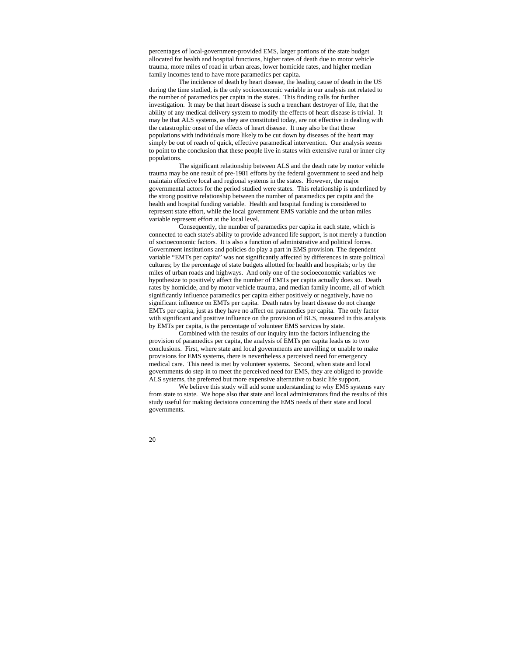percentages of local-government-provided EMS, larger portions of the state budget allocated for health and hospital functions, higher rates of death due to motor vehicle trauma, more miles of road in urban areas, lower homicide rates, and higher median family incomes tend to have more paramedics per capita.

The incidence of death by heart disease, the leading cause of death in the US during the time studied, is the only socioeconomic variable in our analysis not related to the number of paramedics per capita in the states. This finding calls for further investigation. It may be that heart disease is such a trenchant destroyer of life, that the ability of any medical delivery system to modify the effects of heart disease is trivial. It may be that ALS systems, as they are constituted today, are not effective in dealing with the catastrophic onset of the effects of heart disease. It may also be that those populations with individuals more likely to be cut down by diseases of the heart may simply be out of reach of quick, effective paramedical intervention. Our analysis seems to point to the conclusion that these people live in states with extensive rural or inner city populations.

The significant relationship between ALS and the death rate by motor vehicle trauma may be one result of pre-1981 efforts by the federal government to seed and help maintain effective local and regional systems in the states. However, the major governmental actors for the period studied were states. This relationship is underlined by the strong positive relationship between the number of paramedics per capita and the health and hospital funding variable. Health and hospital funding is considered to represent state effort, while the local government EMS variable and the urban miles variable represent effort at the local level.

Consequently, the number of paramedics per capita in each state, which is connected to each state's ability to provide advanced life support, is not merely a function of socioeconomic factors. It is also a function of administrative and political forces. Government institutions and policies do play a part in EMS provision. The dependent variable "EMTs per capita" was not significantly affected by differences in state political cultures; by the percentage of state budgets allotted for health and hospitals; or by the miles of urban roads and highways. And only one of the socioeconomic variables we hypothesize to positively affect the number of EMTs per capita actually does so. Death rates by homicide, and by motor vehicle trauma, and median family income, all of which significantly influence paramedics per capita either positively or negatively, have no significant influence on EMTs per capita. Death rates by heart disease do not change EMTs per capita, just as they have no affect on paramedics per capita. The only factor with significant and positive influence on the provision of BLS, measured in this analysis by EMTs per capita, is the percentage of volunteer EMS services by state.

Combined with the results of our inquiry into the factors influencing the provision of paramedics per capita, the analysis of EMTs per capita leads us to two conclusions. First, where state and local governments are unwilling or unable to make provisions for EMS systems, there is nevertheless a perceived need for emergency medical care. This need is met by volunteer systems. Second, when state and local governments do step in to meet the perceived need for EMS, they are obliged to provide ALS systems, the preferred but more expensive alternative to basic life support.

We believe this study will add some understanding to why EMS systems vary from state to state. We hope also that state and local administrators find the results of this study useful for making decisions concerning the EMS needs of their state and local governments.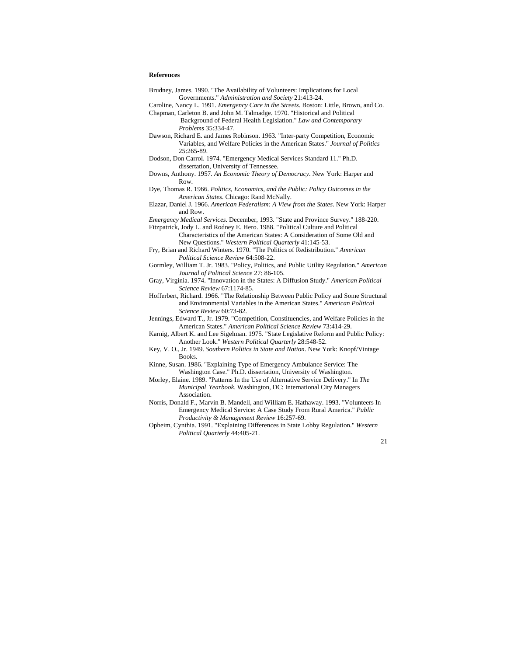# **References**

| Brudney, James. 1990. "The Availability of Volunteers: Implications for Local |
|-------------------------------------------------------------------------------|
| Governments." Administration and Society 21:413-24.                           |

- Caroline, Nancy L. 1991. *Emergency Care in the Streets*. Boston: Little, Brown, and Co. Chapman, Carleton B. and John M. Talmadge. 1970. "Historical and Political
	- Background of Federal Health Legislation." *Law and Contemporary Problems* 35:334-47.
- Dawson, Richard E. and James Robinson. 1963. "Inter-party Competition, Economic Variables, and Welfare Policies in the American States." *Journal of Politics* 25:265-89.
- Dodson, Don Carrol. 1974. "Emergency Medical Services Standard 11." Ph.D. dissertation, University of Tennessee.
- Downs, Anthony. 1957. *An Economic Theory of Democracy*. New York: Harper and Row.
- Dye, Thomas R. 1966. *Politics, Economics, and the Public: Policy Outcomes in the American States*. Chicago: Rand McNally.
- Elazar, Daniel J. 1966. *American Federalism: A View from the States*. New York: Harper and Row.
- *Emergency Medical Services*. December, 1993. "State and Province Survey." 188-220.
- Fitzpatrick, Jody L. and Rodney E. Hero. 1988. "Political Culture and Political Characteristics of the American States: A Consideration of Some Old and
	- New Questions." *Western Political Quarterly* 41:145-53.
- Fry, Brian and Richard Winters. 1970. "The Politics of Redistribution." *American Political Science Review* 64:508-22.
- Gormley, William T. Jr. 1983. "Policy, Politics, and Public Utility Regulation." *American Journal of Political Science* 27: 86-105.
- Gray, Virginia. 1974. "Innovation in the States: A Diffusion Study." *American Political Science Review* 67:1174-85.
- Hofferbert, Richard. 1966. "The Relationship Between Public Policy and Some Structural and Environmental Variables in the American States." *American Political Science Review* 60:73-82.
- Jennings, Edward T., Jr. 1979. "Competition, Constituencies, and Welfare Policies in the American States." *American Political Science Review* 73:414-29.
- Karnig, Albert K. and Lee Sigelman. 1975. "State Legislative Reform and Public Policy: Another Look." *Western Political Quarterly* 28:548-52.
- Key, V. O., Jr. 1949. *Southern Politics in State and Nation*. New York: Knopf/Vintage Books.
- Kinne, Susan. 1986. "Explaining Type of Emergency Ambulance Service: The Washington Case." Ph.D. dissertation, University of Washington.
- Morley, Elaine. 1989. "Patterns In the Use of Alternative Service Delivery." In *The Municipal Yearbook*. Washington, DC: International City Managers Association.
- Norris, Donald F., Marvin B. Mandell, and William E. Hathaway. 1993. "Volunteers In Emergency Medical Service: A Case Study From Rural America." *Public Productivity & Management Review* 16:257-69.
- Opheim, Cynthia. 1991. "Explaining Differences in State Lobby Regulation." *Western Political Quarterly* 44:405-21.
	- 21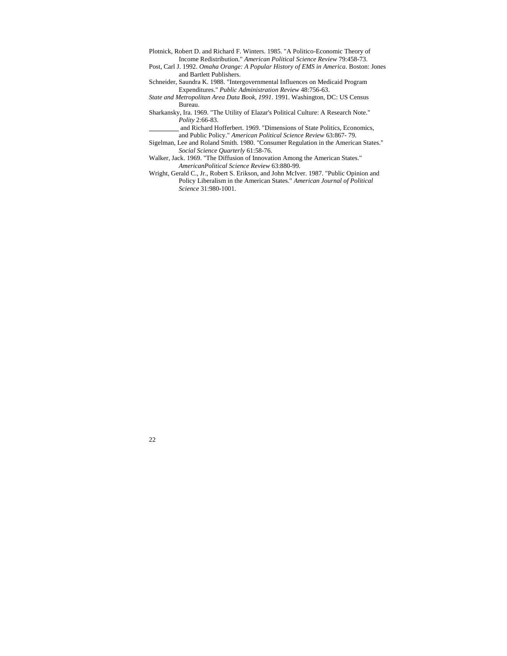Plotnick, Robert D. and Richard F. Winters. 1985. "A Politico-Economic Theory of Income Redistribution." *American Political Science Review* 79:458-73.

Post, Carl J. 1992. *Omaha Orange: A Popular History of EMS in America*. Boston: Jones and Bartlett Publishers.

Schneider, Saundra K. 1988. "Intergovernmental Influences on Medicaid Program Expenditures." *Public Administration Review* 48:756-63.

*State and Metropolitan Area Data Book, 1991*. 1991. Washington, DC: US Census Bureau.

Sharkansky, Ira. 1969. "The Utility of Elazar's Political Culture: A Research Note." *Polity* 2:66-83.

 and Richard Hofferbert. 1969. "Dimensions of State Politics, Economics, and Public Policy." *American Political Science Review* 63:867- 79.

Sigelman, Lee and Roland Smith. 1980. "Consumer Regulation in the American States." *Social Science Quarterly* 61:58-76.

Walker, Jack. 1969. "The Diffusion of Innovation Among the American States." *AmericanPolitical Science Review* 63:880-99.

Wright, Gerald C., Jr., Robert S. Erikson, and John McIver. 1987. "Public Opinion and Policy Liberalism in the American States." *American Journal of Political Science* 31:980-1001.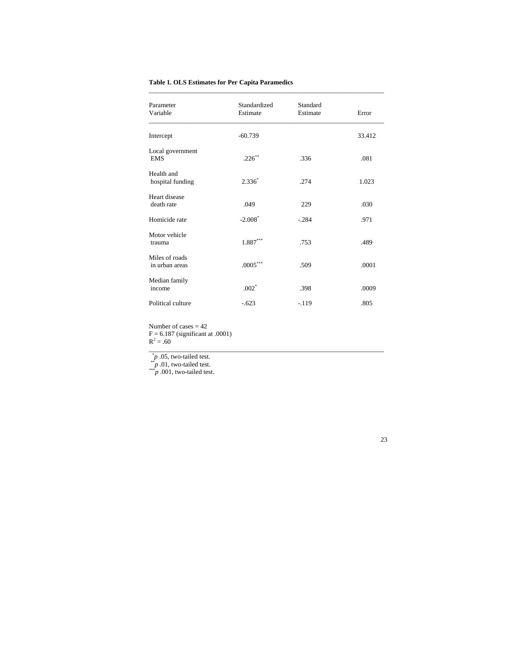| <b>Table 1. OLS Estimates for Per Capita Paramedics</b> |  |
|---------------------------------------------------------|--|
|---------------------------------------------------------|--|

| Parameter<br>Variable            | Standardized<br>Estimate | Standard<br>Estimate | Error  |
|----------------------------------|--------------------------|----------------------|--------|
| Intercept                        | $-60.739$                |                      | 33.412 |
| Local government<br><b>EMS</b>   | $.226***$                | .336                 | .081   |
| Health and<br>hospital funding   | $2.336^*$                | .274                 | 1.023  |
| Heart disease<br>death rate      | .049                     | 229                  | .030   |
| Homicide rate                    | $-2.008*$                | $-.284$              | .971   |
| Motor vehicle<br>trauma          | $1.887***$               | .753                 | .489   |
| Miles of roads<br>in urban areas | $.0005***$               | .509                 | .0001  |
| Median family<br>income          | $.002*$                  | .398                 | .0009  |
| Political culture                | $-.623$                  | $-119$               | .805   |

\_\_\_\_\_\_\_\_\_\_\_\_\_\_\_\_\_\_\_\_\_\_\_\_\_\_\_\_\_\_\_\_\_\_\_\_\_\_\_\_\_\_\_\_\_\_\_\_\_\_\_\_\_\_\_\_\_\_\_\_\_\_\_\_\_\_\_\_\_\_\_

Number of cases  $= 42$  $F = 6.187$  (significant at .0001)

 $R^2 = .60$ \_\_\_\_\_\_\_\_\_\_\_\_\_\_\_\_\_\_\_\_\_\_\_\_\_\_\_\_\_\_\_\_\_\_\_\_\_\_\_\_\_\_\_\_\_\_\_\_\_\_\_\_\_\_\_\_\_\_\_\_\_\_\_\_\_\_\_\_\_\_\_

 $*^{*}p$  .05, two-tailed test.<br> $*^{*}p$  .01, two-tailed test.<br> $*^{**}p$  .001, two-tailed test.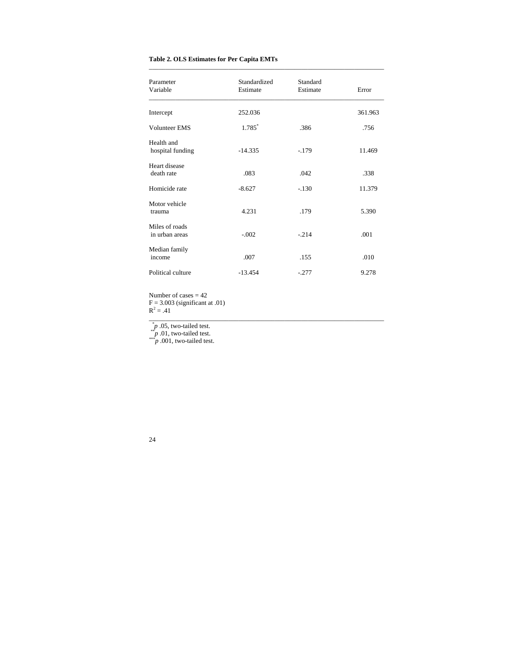# **Table 2. OLS Estimates for Per Capita EMTs**

| Parameter<br>Variable            | Standardized<br>Estimate | Standard<br>Estimate | Error   |
|----------------------------------|--------------------------|----------------------|---------|
| Intercept                        | 252.036                  |                      | 361.963 |
| <b>Volunteer EMS</b>             | 1.785*                   | .386                 | .756    |
| Health and<br>hospital funding   | $-14.335$                | $-179$               | 11.469  |
| Heart disease<br>death rate      | .083                     | .042                 | .338    |
| Homicide rate                    | $-8.627$                 | $-.130$              | 11.379  |
| Motor vehicle<br>trauma          | 4.231                    | .179                 | 5.390   |
| Miles of roads<br>in urban areas | $-.002$                  | $-.214$              | .001    |
| Median family<br>income          | .007                     | .155                 | .010    |
| Political culture                | $-13.454$                | $-.277$              | 9.278   |

\_\_\_\_\_\_\_\_\_\_\_\_\_\_\_\_\_\_\_\_\_\_\_\_\_\_\_\_\_\_\_\_\_\_\_\_\_\_\_\_\_\_\_\_\_\_\_\_\_\_\_\_\_\_\_\_\_\_\_\_\_\_\_\_\_\_\_\_\_\_\_

Number of cases  $= 42$  $F = 3.003$  (significant at .01)  $R^2 = .41$ 

\_\_\_\_\_\_\_\_\_\_\_\_\_\_\_\_\_\_\_\_\_\_\_\_\_\_\_\_\_\_\_\_\_\_\_\_\_\_\_\_\_\_\_\_\_\_\_\_\_\_\_\_\_\_\_\_\_\_\_\_\_\_\_\_\_\_\_\_\_\_\_

\* *<sup>p</sup>* .05, two-tailed test. \*\**p* .01, two-tailed test. \*\*\**p* .001, two-tailed test.

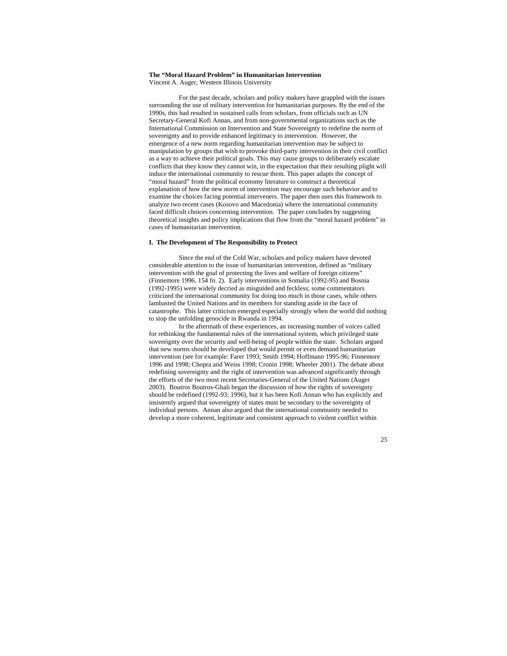## **The "Moral Hazard Problem" in Humanitarian Intervention**  Vincent A. Auger, Western Illinois University

 For the past decade, scholars and policy makers have grappled with the issues surrounding the use of military intervention for humanitarian purposes. By the end of the 1990s, this had resulted in sustained calls from scholars, from officials such as UN Secretary-General Kofi Annan, and from non-governmental organizations such as the International Commission on Intervention and State Sovereignty to redefine the norm of sovereignty and to provide enhanced legitimacy to intervention. However, the emergence of a new norm regarding humanitarian intervention may be subject to manipulation by groups that wish to provoke third-party intervention in their civil conflict as a way to achieve their political goals. This may cause groups to deliberately escalate conflicts that they know they cannot win, in the expectation that their resulting plight will induce the international community to rescue them. This paper adapts the concept of "moral hazard" from the political economy literature to construct a theoretical explanation of how the new norm of intervention may encourage such behavior and to examine the choices facing potential interveners. The paper then uses this framework to analyze two recent cases (Kosovo and Macedonia) where the international community faced difficult choices concerning intervention. The paper concludes by suggesting theoretical insights and policy implications that flow from the "moral hazard problem" in cases of humanitarian intervention.

## **I. The Development of The Responsibility to Protect**

 Since the end of the Cold War, scholars and policy makers have devoted considerable attention to the issue of humanitarian intervention, defined as "military intervention with the goal of protecting the lives and welfare of foreign citizens" (Finnemore 1996, 154 fn. 2). Early interventions in Somalia (1992-95) and Bosnia (1992-1995) were widely decried as misguided and feckless; some commentators criticized the international community for doing too much in those cases, while others lambasted the United Nations and its members for standing aside in the face of catastrophe. This latter criticism emerged especially strongly when the world did nothing to stop the unfolding genocide in Rwanda in 1994.

 In the aftermath of these experiences, an increasing number of voices called for rethinking the fundamental rules of the international system, which privileged state sovereignty over the security and well-being of people within the state. Scholars argued that new norms should be developed that would permit or even demand humanitarian intervention (see for example: Farer 1993; Smith 1994; Hoffmann 1995-96; Finnemore 1996 and 1998; Chopra and Weiss 1998; Cronin 1998; Wheeler 2001). The debate about redefining sovereignty and the right of intervention was advanced significantly through the efforts of the two most recent Secretaries-General of the United Nations (Auger 2003). Boutros Boutros-Ghali began the discussion of how the rights of sovereignty should be redefined (1992-93; 1996), but it has been Kofi Annan who has explicitly and insistently argued that sovereignty of states must be secondary to the sovereignty of individual persons. Annan also argued that the international community needed to develop a more coherent, legitimate and consistent approach to violent conflict within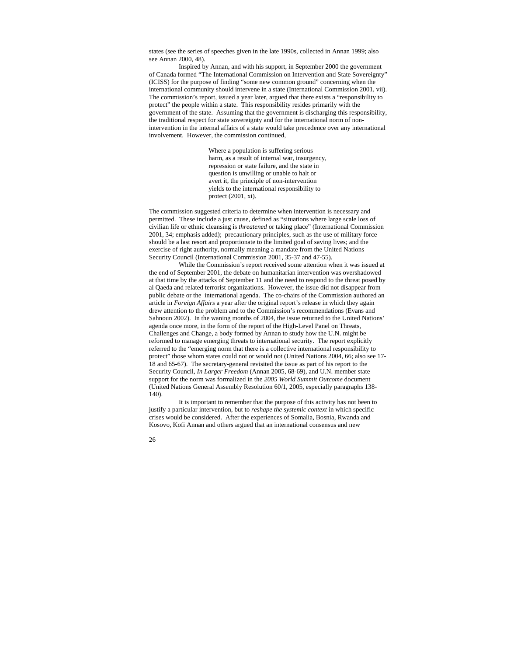states (see the series of speeches given in the late 1990s, collected in Annan 1999; also see Annan 2000, 48).

 Inspired by Annan, and with his support, in September 2000 the government of Canada formed "The International Commission on Intervention and State Sovereignty" (ICISS) for the purpose of finding "some new common ground" concerning when the international community should intervene in a state (International Commission 2001, vii). The commission's report, issued a year later, argued that there exists a "responsibility to protect" the people within a state. This responsibility resides primarily with the government of the state. Assuming that the government is discharging this responsibility, the traditional respect for state sovereignty and for the international norm of nonintervention in the internal affairs of a state would take precedence over any international involvement. However, the commission continued,

> Where a population is suffering serious harm, as a result of internal war, insurgency, repression or state failure, and the state in question is unwilling or unable to halt or avert it, the principle of non-intervention yields to the international responsibility to protect (2001, xi).

The commission suggested criteria to determine when intervention is necessary and permitted. These include a just cause, defined as "situations where large scale loss of civilian life or ethnic cleansing is *threatened* or taking place" (International Commission 2001, 34; emphasis added); precautionary principles, such as the use of military force should be a last resort and proportionate to the limited goal of saving lives; and the exercise of right authority, normally meaning a mandate from the United Nations Security Council (International Commission 2001, 35-37 and 47-55).

 While the Commission's report received some attention when it was issued at the end of September 2001, the debate on humanitarian intervention was overshadowed at that time by the attacks of September 11 and the need to respond to the threat posed by al Qaeda and related terrorist organizations. However, the issue did not disappear from public debate or the international agenda. The co-chairs of the Commission authored an article in *Foreign Affairs* a year after the original report's release in which they again drew attention to the problem and to the Commission's recommendations (Evans and Sahnoun 2002). In the waning months of 2004, the issue returned to the United Nations' agenda once more, in the form of the report of the High-Level Panel on Threats, Challenges and Change, a body formed by Annan to study how the U.N. might be reformed to manage emerging threats to international security. The report explicitly referred to the "emerging norm that there is a collective international responsibility to protect" those whom states could not or would not (United Nations 2004, 66; also see 17- 18 and 65-67). The secretary-general revisited the issue as part of his report to the Security Council, *In Larger Freedom* (Annan 2005, 68-69), and U.N. member state support for the norm was formalized in the *2005 World Summit Outcome* document (United Nations General Assembly Resolution 60/1, 2005, especially paragraphs 138- 140).

 It is important to remember that the purpose of this activity has not been to justify a particular intervention, but to *reshape the systemic context* in which specific crises would be considered. After the experiences of Somalia, Bosnia, Rwanda and Kosovo, Kofi Annan and others argued that an international consensus and new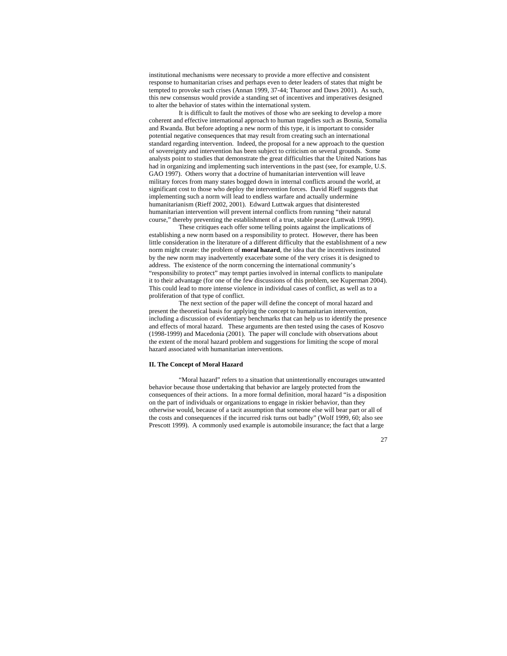institutional mechanisms were necessary to provide a more effective and consistent response to humanitarian crises and perhaps even to deter leaders of states that might be tempted to provoke such crises (Annan 1999, 37-44; Tharoor and Daws 2001). As such, this new consensus would provide a standing set of incentives and imperatives designed to alter the behavior of states within the international system.

 It is difficult to fault the motives of those who are seeking to develop a more coherent and effective international approach to human tragedies such as Bosnia, Somalia and Rwanda. But before adopting a new norm of this type, it is important to consider potential negative consequences that may result from creating such an international standard regarding intervention. Indeed, the proposal for a new approach to the question of sovereignty and intervention has been subject to criticism on several grounds. Some analysts point to studies that demonstrate the great difficulties that the United Nations has had in organizing and implementing such interventions in the past (see, for example, U.S. GAO 1997). Others worry that a doctrine of humanitarian intervention will leave military forces from many states bogged down in internal conflicts around the world, at significant cost to those who deploy the intervention forces. David Rieff suggests that implementing such a norm will lead to endless warfare and actually undermine humanitarianism (Rieff 2002, 2001). Edward Luttwak argues that disinterested humanitarian intervention will prevent internal conflicts from running "their natural course," thereby preventing the establishment of a true, stable peace (Luttwak 1999).

 These critiques each offer some telling points against the implications of establishing a new norm based on a responsibility to protect. However, there has been little consideration in the literature of a different difficulty that the establishment of a new norm might create: the problem of **moral hazard**, the idea that the incentives instituted by the new norm may inadvertently exacerbate some of the very crises it is designed to address. The existence of the norm concerning the international community's "responsibility to protect" may tempt parties involved in internal conflicts to manipulate it to their advantage (for one of the few discussions of this problem, see Kuperman 2004). This could lead to more intense violence in individual cases of conflict, as well as to a proliferation of that type of conflict.

 The next section of the paper will define the concept of moral hazard and present the theoretical basis for applying the concept to humanitarian intervention, including a discussion of evidentiary benchmarks that can help us to identify the presence and effects of moral hazard. These arguments are then tested using the cases of Kosovo (1998-1999) and Macedonia (2001). The paper will conclude with observations about the extent of the moral hazard problem and suggestions for limiting the scope of moral hazard associated with humanitarian interventions.

## **II. The Concept of Moral Hazard**

 "Moral hazard" refers to a situation that unintentionally encourages unwanted behavior because those undertaking that behavior are largely protected from the consequences of their actions. In a more formal definition, moral hazard "is a disposition on the part of individuals or organizations to engage in riskier behavior, than they otherwise would, because of a tacit assumption that someone else will bear part or all of the costs and consequences if the incurred risk turns out badly" (Wolf 1999, 60; also see Prescott 1999). A commonly used example is automobile insurance; the fact that a large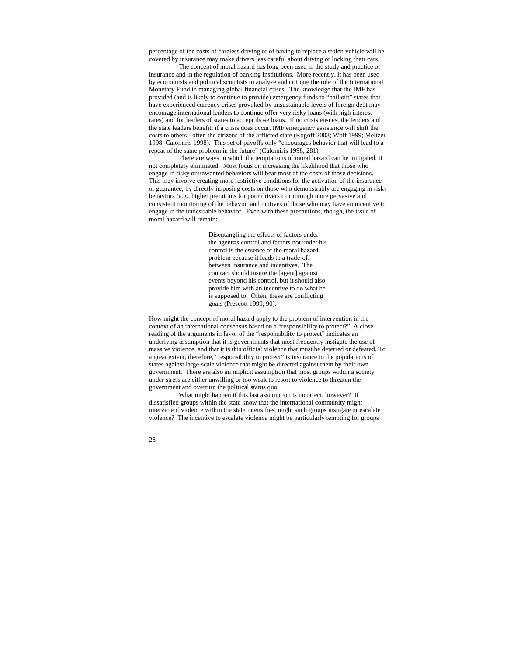percentage of the costs of careless driving or of having to replace a stolen vehicle will be covered by insurance may make drivers less careful about driving or locking their cars.

 The concept of moral hazard has long been used in the study and practice of insurance and in the regulation of banking institutions. More recently, it has been used by economists and political scientists to analyze and critique the role of the International Monetary Fund in managing global financial crises. The knowledge that the IMF has provided (and is likely to continue to provide) emergency funds to "bail out" states that have experienced currency crises provoked by unsustainable levels of foreign debt may encourage international lenders to continue offer very risky loans (with high interest rates) and for leaders of states to accept those loans. If no crisis ensues, the lenders and the state leaders benefit; if a crisis does occur, IMF emergency assistance will shift the costs to others - often the citizens of the afflicted state (Rogoff 2003; Wolf 1999; Meltzer 1998; Calomiris 1998). This set of payoffs only "encourages behavior that will lead to a repeat of the same problem in the future" (Calomiris 1998, 281).

 There are ways in which the temptations of moral hazard can be mitigated, if not completely eliminated. Most focus on increasing the likelihood that those who engage in risky or unwanted behaviors will bear most of the costs of those decisions. This may involve creating more restrictive conditions for the activation of the insurance or guarantee; by directly imposing costs on those who demonstrably are engaging in risky behaviors (e.g., higher premiums for poor drivers); or through more pervasive and consistent monitoring of the behavior and motives of those who may have an incentive to engage in the undesirable behavior. Even with these precautions, though, the issue of moral hazard will remain:

> Disentangling the effects of factors under the agent=s control and factors not under his control is the essence of the moral hazard problem because it leads to a trade-off between insurance and incentives. The contract should insure the [agent] against events beyond his control, but it should also provide him with an incentive to do what he is supposed to. Often, these are conflicting goals (Prescott 1999, 90).

How might the concept of moral hazard apply to the problem of intervention in the context of an international consensus based on a "responsibility to protect?" A close reading of the arguments in favor of the "responsibility to protect" indicates an underlying assumption that it is governments that most frequently instigate the use of massive violence, and that it is this official violence that must be deterred or defeated. To a great extent, therefore, "responsibility to protect" is insurance to the populations of states against large-scale violence that might be directed against them by their own government. There are also an implicit assumption that most groups within a society under stress are either unwilling or too weak to resort to violence to threaten the government and overturn the political status quo.

 What might happen if this last assumption is incorrect, however? If dissatisfied groups within the state know that the international community might intervene if violence within the state intensifies, might such groups instigate or escalate violence? The incentive to escalate violence might be particularly tempting for groups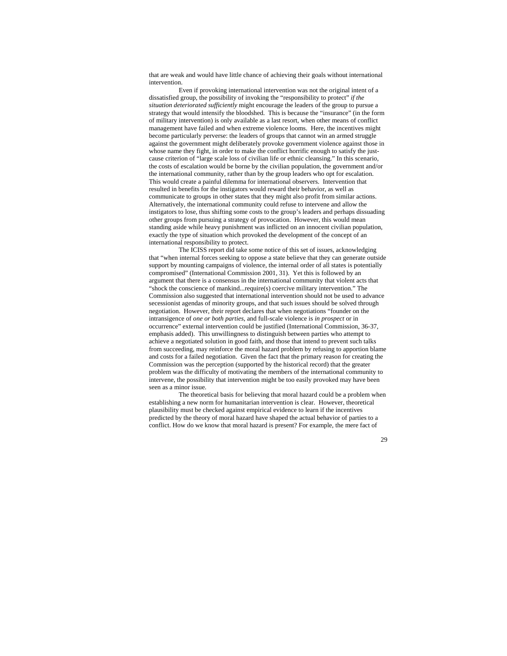that are weak and would have little chance of achieving their goals without international intervention.

 Even if provoking international intervention was not the original intent of a dissatisfied group, the possibility of invoking the "responsibility to protect" *if the situation deteriorated sufficiently* might encourage the leaders of the group to pursue a strategy that would intensify the bloodshed. This is because the "insurance" (in the form of military intervention) is only available as a last resort, when other means of conflict management have failed and when extreme violence looms. Here, the incentives might become particularly perverse: the leaders of groups that cannot win an armed struggle against the government might deliberately provoke government violence against those in whose name they fight, in order to make the conflict horrific enough to satisfy the justcause criterion of "large scale loss of civilian life or ethnic cleansing." In this scenario, the costs of escalation would be borne by the civilian population, the government and/or the international community, rather than by the group leaders who opt for escalation. This would create a painful dilemma for international observers. Intervention that resulted in benefits for the instigators would reward their behavior, as well as communicate to groups in other states that they might also profit from similar actions. Alternatively, the international community could refuse to intervene and allow the instigators to lose, thus shifting some costs to the group's leaders and perhaps dissuading other groups from pursuing a strategy of provocation. However, this would mean standing aside while heavy punishment was inflicted on an innocent civilian population, exactly the type of situation which provoked the development of the concept of an international responsibility to protect.

 The ICISS report did take some notice of this set of issues, acknowledging that "when internal forces seeking to oppose a state believe that they can generate outside support by mounting campaigns of violence, the internal order of all states is potentially compromised" (International Commission 2001, 31). Yet this is followed by an argument that there is a consensus in the international community that violent acts that "shock the conscience of mankind...require(s) coercive military intervention." The Commission also suggested that international intervention should not be used to advance secessionist agendas of minority groups, and that such issues should be solved through negotiation. However, their report declares that when negotiations "founder on the intransigence of *one or both parties*, and full-scale violence is *in prospect* or in occurrence" external intervention could be justified (International Commission, 36-37, emphasis added). This unwillingness to distinguish between parties who attempt to achieve a negotiated solution in good faith, and those that intend to prevent such talks from succeeding, may reinforce the moral hazard problem by refusing to apportion blame and costs for a failed negotiation. Given the fact that the primary reason for creating the Commission was the perception (supported by the historical record) that the greater problem was the difficulty of motivating the members of the international community to intervene, the possibility that intervention might be too easily provoked may have been seen as a minor issue.

 The theoretical basis for believing that moral hazard could be a problem when establishing a new norm for humanitarian intervention is clear. However, theoretical plausibility must be checked against empirical evidence to learn if the incentives predicted by the theory of moral hazard have shaped the actual behavior of parties to a conflict. How do we know that moral hazard is present? For example, the mere fact of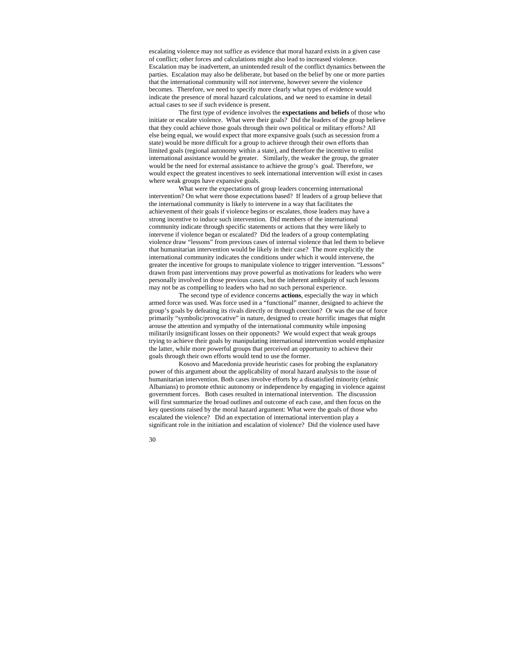escalating violence may not suffice as evidence that moral hazard exists in a given case of conflict; other forces and calculations might also lead to increased violence. Escalation may be inadvertent, an unintended result of the conflict dynamics between the parties. Escalation may also be deliberate, but based on the belief by one or more parties that the international community will *not* intervene, however severe the violence becomes. Therefore, we need to specify more clearly what types of evidence would indicate the presence of moral hazard calculations, and we need to examine in detail actual cases to see if such evidence is present.

 The first type of evidence involves the **expectations and beliefs** of those who initiate or escalate violence. What were their goals? Did the leaders of the group believe that they could achieve those goals through their own political or military efforts? All else being equal, we would expect that more expansive goals (such as secession from a state) would be more difficult for a group to achieve through their own efforts than limited goals (regional autonomy within a state), and therefore the incentive to enlist international assistance would be greater. Similarly, the weaker the group, the greater would be the need for external assistance to achieve the group's goal. Therefore, we would expect the greatest incentives to seek international intervention will exist in cases where weak groups have expansive goals.

 What were the expectations of group leaders concerning international intervention? On what were those expectations based? If leaders of a group believe that the international community is likely to intervene in a way that facilitates the achievement of their goals if violence begins or escalates, those leaders may have a strong incentive to induce such intervention. Did members of the international community indicate through specific statements or actions that they were likely to intervene if violence began or escalated? Did the leaders of a group contemplating violence draw "lessons" from previous cases of internal violence that led them to believe that humanitarian intervention would be likely in their case? The more explicitly the international community indicates the conditions under which it would intervene, the greater the incentive for groups to manipulate violence to trigger intervention. "Lessons" drawn from past interventions may prove powerful as motivations for leaders who were personally involved in those previous cases, but the inherent ambiguity of such lessons may not be as compelling to leaders who had no such personal experience.

 The second type of evidence concerns **actions**, especially the way in which armed force was used. Was force used in a "functional" manner, designed to achieve the group's goals by defeating its rivals directly or through coercion? Or was the use of force primarily "symbolic/provocative" in nature, designed to create horrific images that might arouse the attention and sympathy of the international community while imposing militarily insignificant losses on their opponents? We would expect that weak groups trying to achieve their goals by manipulating international intervention would emphasize the latter, while more powerful groups that perceived an opportunity to achieve their goals through their own efforts would tend to use the former.

 Kosovo and Macedonia provide heuristic cases for probing the explanatory power of this argument about the applicability of moral hazard analysis to the issue of humanitarian intervention. Both cases involve efforts by a dissatisfied minority (ethnic Albanians) to promote ethnic autonomy or independence by engaging in violence against government forces. Both cases resulted in international intervention. The discussion will first summarize the broad outlines and outcome of each case, and then focus on the key questions raised by the moral hazard argument: What were the goals of those who escalated the violence? Did an expectation of international intervention play a significant role in the initiation and escalation of violence? Did the violence used have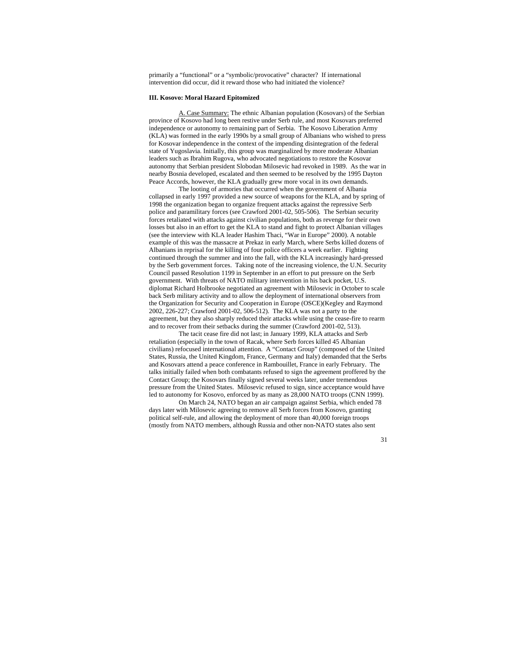primarily a "functional" or a "symbolic/provocative" character? If international intervention did occur, did it reward those who had initiated the violence?

#### **III. Kosovo: Moral Hazard Epitomized**

A. Case Summary: The ethnic Albanian population (Kosovars) of the Serbian province of Kosovo had long been restive under Serb rule, and most Kosovars preferred independence or autonomy to remaining part of Serbia. The Kosovo Liberation Army (KLA) was formed in the early 1990s by a small group of Albanians who wished to press for Kosovar independence in the context of the impending disintegration of the federal state of Yugoslavia. Initially, this group was marginalized by more moderate Albanian leaders such as Ibrahim Rugova, who advocated negotiations to restore the Kosovar autonomy that Serbian president Slobodan Milosevic had revoked in 1989. As the war in nearby Bosnia developed, escalated and then seemed to be resolved by the 1995 Dayton Peace Accords, however, the KLA gradually grew more vocal in its own demands.

 The looting of armories that occurred when the government of Albania collapsed in early 1997 provided a new source of weapons for the KLA, and by spring of 1998 the organization began to organize frequent attacks against the repressive Serb police and paramilitary forces (see Crawford 2001-02, 505-506). The Serbian security forces retaliated with attacks against civilian populations, both as revenge for their own losses but also in an effort to get the KLA to stand and fight to protect Albanian villages (see the interview with KLA leader Hashim Thaci, "War in Europe" 2000). A notable example of this was the massacre at Prekaz in early March, where Serbs killed dozens of Albanians in reprisal for the killing of four police officers a week earlier. Fighting continued through the summer and into the fall, with the KLA increasingly hard-pressed by the Serb government forces. Taking note of the increasing violence, the U.N. Security Council passed Resolution 1199 in September in an effort to put pressure on the Serb government. With threats of NATO military intervention in his back pocket, U.S. diplomat Richard Holbrooke negotiated an agreement with Milosevic in October to scale back Serb military activity and to allow the deployment of international observers from the Organization for Security and Cooperation in Europe (OSCE)(Kegley and Raymond 2002, 226-227; Crawford 2001-02, 506-512). The KLA was not a party to the agreement, but they also sharply reduced their attacks while using the cease-fire to rearm and to recover from their setbacks during the summer (Crawford 2001-02, 513).

 The tacit cease fire did not last; in January 1999, KLA attacks and Serb retaliation (especially in the town of Racak, where Serb forces killed 45 Albanian civilians) refocused international attention. A "Contact Group" (composed of the United States, Russia, the United Kingdom, France, Germany and Italy) demanded that the Serbs and Kosovars attend a peace conference in Rambouillet, France in early February. The talks initially failed when both combatants refused to sign the agreement proffered by the Contact Group; the Kosovars finally signed several weeks later, under tremendous pressure from the United States. Milosevic refused to sign, since acceptance would have led to autonomy for Kosovo, enforced by as many as 28,000 NATO troops (CNN 1999).

 On March 24, NATO began an air campaign against Serbia, which ended 78 days later with Milosevic agreeing to remove all Serb forces from Kosovo, granting political self-rule, and allowing the deployment of more than 40,000 foreign troops (mostly from NATO members, although Russia and other non-NATO states also sent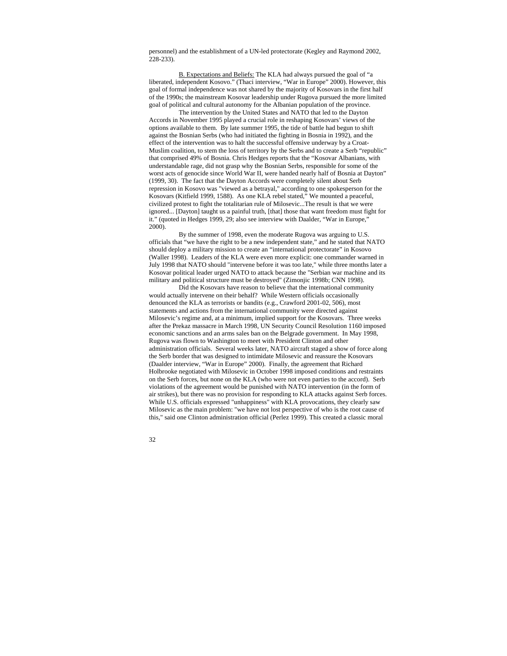personnel) and the establishment of a UN-led protectorate (Kegley and Raymond 2002, 228-233).

B. Expectations and Beliefs: The KLA had always pursued the goal of "a liberated, independent Kosovo." (Thaci interview, "War in Europe" 2000). However, this goal of formal independence was not shared by the majority of Kosovars in the first half of the 1990s; the mainstream Kosovar leadership under Rugova pursued the more limited goal of political and cultural autonomy for the Albanian population of the province.

 The intervention by the United States and NATO that led to the Dayton Accords in November 1995 played a crucial role in reshaping Kosovars' views of the options available to them. By late summer 1995, the tide of battle had begun to shift against the Bosnian Serbs (who had initiated the fighting in Bosnia in 1992), and the effect of the intervention was to halt the successful offensive underway by a Croat-Muslim coalition, to stem the loss of territory by the Serbs and to create a Serb "republic" that comprised 49% of Bosnia. Chris Hedges reports that the "Kosovar Albanians, with understandable rage, did not grasp why the Bosnian Serbs, responsible for some of the worst acts of genocide since World War II, were handed nearly half of Bosnia at Dayton" (1999, 30). The fact that the Dayton Accords were completely silent about Serb repression in Kosovo was "viewed as a betrayal," according to one spokesperson for the Kosovars (Kitfield 1999, 1588). As one KLA rebel stated," We mounted a peaceful, civilized protest to fight the totalitarian rule of Milosevic...The result is that we were ignored... [Dayton] taught us a painful truth, [that] those that want freedom must fight for it." (quoted in Hedges 1999, 29; also see interview with Daalder, "War in Europe," 2000).

 By the summer of 1998, even the moderate Rugova was arguing to U.S. officials that "we have the right to be a new independent state," and he stated that NATO should deploy a military mission to create an "international protectorate" in Kosovo (Waller 1998). Leaders of the KLA were even more explicit: one commander warned in July 1998 that NATO should "intervene before it was too late," while three months later a Kosovar political leader urged NATO to attack because the "Serbian war machine and its military and political structure must be destroyed" (Zimonjic 1998b; CNN 1998).

 Did the Kosovars have reason to believe that the international community would actually intervene on their behalf? While Western officials occasionally denounced the KLA as terrorists or bandits (e.g., Crawford 2001-02, 506), most statements and actions from the international community were directed against Milosevic's regime and, at a minimum, implied support for the Kosovars. Three weeks after the Prekaz massacre in March 1998, UN Security Council Resolution 1160 imposed economic sanctions and an arms sales ban on the Belgrade government. In May 1998, Rugova was flown to Washington to meet with President Clinton and other administration officials. Several weeks later, NATO aircraft staged a show of force along the Serb border that was designed to intimidate Milosevic and reassure the Kosovars (Daalder interview, "War in Europe" 2000). Finally, the agreement that Richard Holbrooke negotiated with Milosevic in October 1998 imposed conditions and restraints on the Serb forces, but none on the KLA (who were not even parties to the accord). Serb violations of the agreement would be punished with NATO intervention (in the form of air strikes), but there was no provision for responding to KLA attacks against Serb forces. While U.S. officials expressed "unhappiness" with KLA provocations, they clearly saw Milosevic as the main problem: "we have not lost perspective of who is the root cause of this," said one Clinton administration official (Perlez 1999). This created a classic moral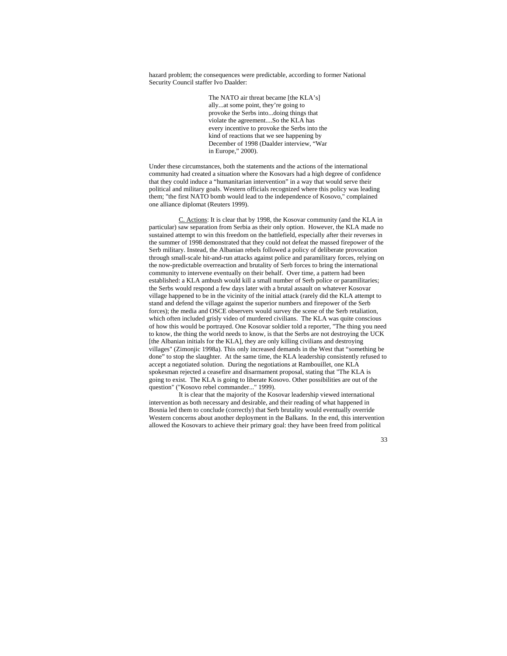hazard problem; the consequences were predictable, according to former National Security Council staffer Ivo Daalder:

> The NATO air threat became [the KLA's] ally...at some point, they're going to provoke the Serbs into...doing things that violate the agreement....So the KLA has every incentive to provoke the Serbs into the kind of reactions that we see happening by December of 1998 (Daalder interview, "War in Europe," 2000).

Under these circumstances, both the statements and the actions of the international community had created a situation where the Kosovars had a high degree of confidence that they could induce a "humanitarian intervention" in a way that would serve their political and military goals. Western officials recognized where this policy was leading them; "the first NATO bomb would lead to the independence of Kosovo," complained one alliance diplomat (Reuters 1999).

C. Actions: It is clear that by 1998, the Kosovar community (and the KLA in particular) saw separation from Serbia as their only option. However, the KLA made no sustained attempt to win this freedom on the battlefield, especially after their reverses in the summer of 1998 demonstrated that they could not defeat the massed firepower of the Serb military. Instead, the Albanian rebels followed a policy of deliberate provocation through small-scale hit-and-run attacks against police and paramilitary forces, relying on the now-predictable overreaction and brutality of Serb forces to bring the international community to intervene eventually on their behalf. Over time, a pattern had been established: a KLA ambush would kill a small number of Serb police or paramilitaries; the Serbs would respond a few days later with a brutal assault on whatever Kosovar village happened to be in the vicinity of the initial attack (rarely did the KLA attempt to stand and defend the village against the superior numbers and firepower of the Serb forces); the media and OSCE observers would survey the scene of the Serb retaliation, which often included grisly video of murdered civilians. The KLA was quite conscious of how this would be portrayed. One Kosovar soldier told a reporter, "The thing you need to know, the thing the world needs to know, is that the Serbs are not destroying the UCK [the Albanian initials for the KLA], they are only killing civilians and destroying villages" (Zimonjic 1998a). This only increased demands in the West that "something be done" to stop the slaughter. At the same time, the KLA leadership consistently refused to accept a negotiated solution. During the negotiations at Rambouillet, one KLA spokesman rejected a ceasefire and disarmament proposal, stating that "The KLA is going to exist. The KLA is going to liberate Kosovo. Other possibilities are out of the question" ("Kosovo rebel commander..." 1999).

 It is clear that the majority of the Kosovar leadership viewed international intervention as both necessary and desirable, and their reading of what happened in Bosnia led them to conclude (correctly) that Serb brutality would eventually override Western concerns about another deployment in the Balkans. In the end, this intervention allowed the Kosovars to achieve their primary goal: they have been freed from political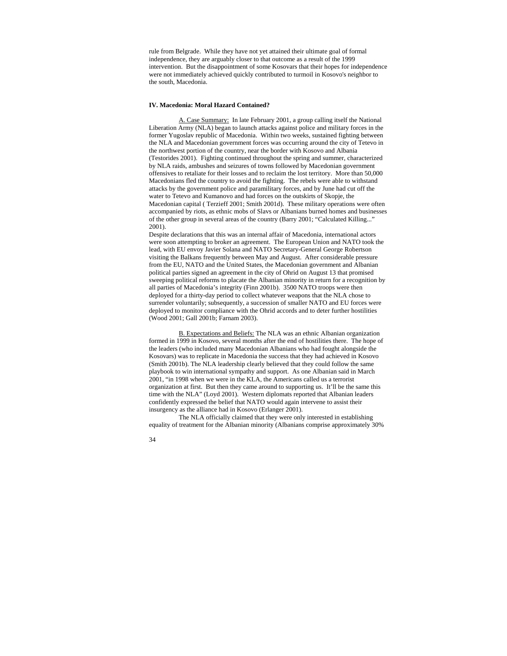rule from Belgrade. While they have not yet attained their ultimate goal of formal independence, they are arguably closer to that outcome as a result of the 1999 intervention. But the disappointment of some Kosovars that their hopes for independence were not immediately achieved quickly contributed to turmoil in Kosovo's neighbor to the south, Macedonia.

## **IV. Macedonia: Moral Hazard Contained?**

A. Case Summary: In late February 2001, a group calling itself the National Liberation Army (NLA) began to launch attacks against police and military forces in the former Yugoslav republic of Macedonia. Within two weeks, sustained fighting between the NLA and Macedonian government forces was occurring around the city of Tetevo in the northwest portion of the country, near the border with Kosovo and Albania (Testorides 2001). Fighting continued throughout the spring and summer, characterized by NLA raids, ambushes and seizures of towns followed by Macedonian government offensives to retaliate for their losses and to reclaim the lost territory. More than 50,000 Macedonians fled the country to avoid the fighting. The rebels were able to withstand attacks by the government police and paramilitary forces, and by June had cut off the water to Tetevo and Kumanovo and had forces on the outskirts of Skopje, the Macedonian capital ( Terzieff 2001; Smith 2001d). These military operations were often accompanied by riots, as ethnic mobs of Slavs or Albanians burned homes and businesses of the other group in several areas of the country (Barry 2001; "Calculated Killing..." 2001).

Despite declarations that this was an internal affair of Macedonia, international actors were soon attempting to broker an agreement. The European Union and NATO took the lead, with EU envoy Javier Solana and NATO Secretary-General George Robertson visiting the Balkans frequently between May and August. After considerable pressure from the EU, NATO and the United States, the Macedonian government and Albanian political parties signed an agreement in the city of Ohrid on August 13 that promised sweeping political reforms to placate the Albanian minority in return for a recognition by all parties of Macedonia's integrity (Finn 2001b). 3500 NATO troops were then deployed for a thirty-day period to collect whatever weapons that the NLA chose to surrender voluntarily; subsequently, a succession of smaller NATO and EU forces were deployed to monitor compliance with the Ohrid accords and to deter further hostilities (Wood 2001; Gall 2001b; Farnam 2003).

B. Expectations and Beliefs: The NLA was an ethnic Albanian organization formed in 1999 in Kosovo, several months after the end of hostilities there. The hope of the leaders (who included many Macedonian Albanians who had fought alongside the Kosovars) was to replicate in Macedonia the success that they had achieved in Kosovo (Smith 2001b). The NLA leadership clearly believed that they could follow the same playbook to win international sympathy and support. As one Albanian said in March 2001, "in 1998 when we were in the KLA, the Americans called us a terrorist organization at first. But then they came around to supporting us. It'll be the same this time with the NLA" (Loyd 2001). Western diplomats reported that Albanian leaders confidently expressed the belief that NATO would again intervene to assist their insurgency as the alliance had in Kosovo (Erlanger 2001).

 The NLA officially claimed that they were only interested in establishing equality of treatment for the Albanian minority (Albanians comprise approximately 30%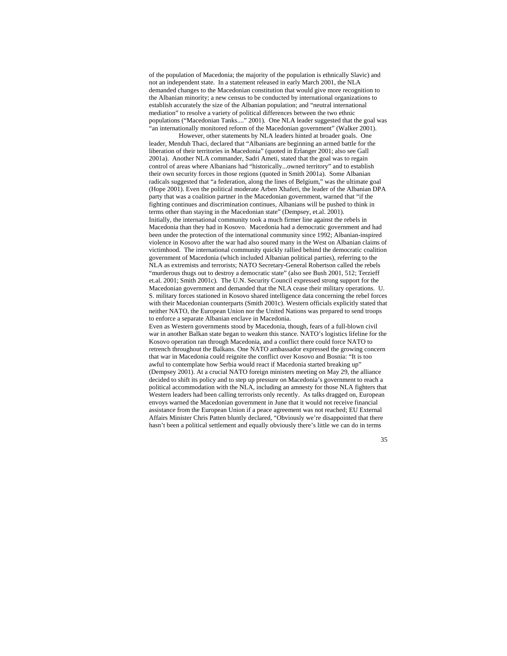of the population of Macedonia; the majority of the population is ethnically Slavic) and not an independent state. In a statement released in early March 2001, the NLA demanded changes to the Macedonian constitution that would give more recognition to the Albanian minority; a new census to be conducted by international organizations to establish accurately the size of the Albanian population; and "neutral international mediation" to resolve a variety of political differences between the two ethnic populations ("Macedonian Tanks...." 2001). One NLA leader suggested that the goal was "an internationally monitored reform of the Macedonian government" (Walker 2001).

 However, other statements by NLA leaders hinted at broader goals. One leader, Menduh Thaci, declared that "Albanians are beginning an armed battle for the liberation of their territories in Macedonia" (quoted in Erlanger 2001; also see Gall 2001a). Another NLA commander, Sadri Ameti, stated that the goal was to regain control of areas where Albanians had "historically...owned territory" and to establish their own security forces in those regions (quoted in Smith 2001a). Some Albanian radicals suggested that "a federation, along the lines of Belgium," was the ultimate goal (Hope 2001). Even the political moderate Arben Xhaferi, the leader of the Albanian DPA party that was a coalition partner in the Macedonian government, warned that "if the fighting continues and discrimination continues, Albanians will be pushed to think in terms other than staying in the Macedonian state" (Dempsey, et.al. 2001). Initially, the international community took a much firmer line against the rebels in Macedonia than they had in Kosovo. Macedonia had a democratic government and had been under the protection of the international community since 1992; Albanian-inspired violence in Kosovo after the war had also soured many in the West on Albanian claims of victimhood. The international community quickly rallied behind the democratic coalition government of Macedonia (which included Albanian political parties), referring to the NLA as extremists and terrorists; NATO Secretary-General Robertson called the rebels "murderous thugs out to destroy a democratic state" (also see Bush 2001, 512; Terzieff et.al. 2001; Smith 2001c). The U.N. Security Council expressed strong support for the Macedonian government and demanded that the NLA cease their military operations. U. S. military forces stationed in Kosovo shared intelligence data concerning the rebel forces with their Macedonian counterparts (Smith 2001c). Western officials explicitly stated that neither NATO, the European Union nor the United Nations was prepared to send troops to enforce a separate Albanian enclave in Macedonia. Even as Western governments stood by Macedonia, though, fears of a full-blown civil

war in another Balkan state began to weaken this stance. NATO's logistics lifeline for the Kosovo operation ran through Macedonia, and a conflict there could force NATO to retrench throughout the Balkans. One NATO ambassador expressed the growing concern that war in Macedonia could reignite the conflict over Kosovo and Bosnia: "It is too awful to contemplate how Serbia would react if Macedonia started breaking up" (Dempsey 2001). At a crucial NATO foreign ministers meeting on May 29, the alliance decided to shift its policy and to step up pressure on Macedonia's government to reach a political accommodation with the NLA, including an amnesty for those NLA fighters that Western leaders had been calling terrorists only recently. As talks dragged on, European envoys warned the Macedonian government in June that it would not receive financial assistance from the European Union if a peace agreement was not reached; EU External Affairs Minister Chris Patten bluntly declared, "Obviously we're disappointed that there hasn't been a political settlement and equally obviously there's little we can do in terms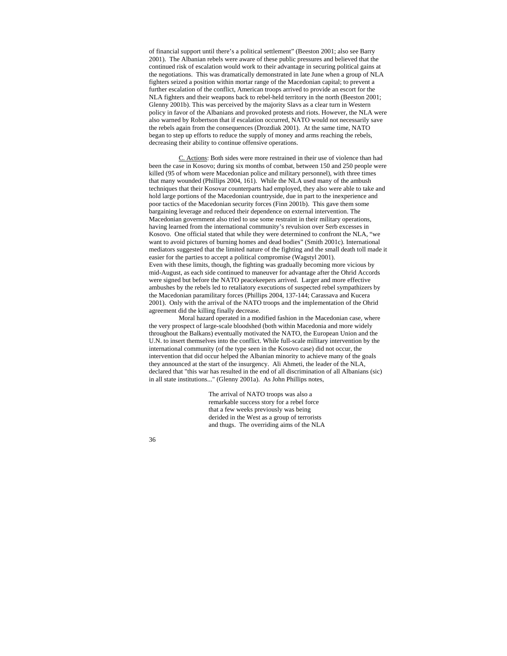of financial support until there's a political settlement" (Beeston 2001; also see Barry 2001). The Albanian rebels were aware of these public pressures and believed that the continued risk of escalation would work to their advantage in securing political gains at the negotiations. This was dramatically demonstrated in late June when a group of NLA fighters seized a position within mortar range of the Macedonian capital; to prevent a further escalation of the conflict, American troops arrived to provide an escort for the NLA fighters and their weapons back to rebel-held territory in the north (Beeston 2001; Glenny 2001b). This was perceived by the majority Slavs as a clear turn in Western policy in favor of the Albanians and provoked protests and riots. However, the NLA were also warned by Robertson that if escalation occurred, NATO would not necessarily save the rebels again from the consequences (Drozdiak 2001). At the same time, NATO began to step up efforts to reduce the supply of money and arms reaching the rebels, decreasing their ability to continue offensive operations.

C. Actions: Both sides were more restrained in their use of violence than had been the case in Kosovo; during six months of combat, between 150 and 250 people were killed (95 of whom were Macedonian police and military personnel), with three times that many wounded (Phillips 2004, 161). While the NLA used many of the ambush techniques that their Kosovar counterparts had employed, they also were able to take and hold large portions of the Macedonian countryside, due in part to the inexperience and poor tactics of the Macedonian security forces (Finn 2001b). This gave them some bargaining leverage and reduced their dependence on external intervention. The Macedonian government also tried to use some restraint in their military operations, having learned from the international community's revulsion over Serb excesses in Kosovo. One official stated that while they were determined to confront the NLA, "we want to avoid pictures of burning homes and dead bodies" (Smith 2001c). International mediators suggested that the limited nature of the fighting and the small death toll made it easier for the parties to accept a political compromise (Wagstyl 2001). Even with these limits, though, the fighting was gradually becoming more vicious by mid-August, as each side continued to maneuver for advantage after the Ohrid Accords were signed but before the NATO peacekeepers arrived. Larger and more effective ambushes by the rebels led to retaliatory executions of suspected rebel sympathizers by the Macedonian paramilitary forces (Phillips 2004, 137-144; Carassava and Kucera 2001). Only with the arrival of the NATO troops and the implementation of the Ohrid agreement did the killing finally decrease.

 Moral hazard operated in a modified fashion in the Macedonian case, where the very prospect of large-scale bloodshed (both within Macedonia and more widely throughout the Balkans) eventually motivated the NATO, the European Union and the U.N. to insert themselves into the conflict. While full-scale military intervention by the international community (of the type seen in the Kosovo case) did not occur, the intervention that did occur helped the Albanian minority to achieve many of the goals they announced at the start of the insurgency. Ali Ahmeti, the leader of the NLA, declared that "this war has resulted in the end of all discrimination of all Albanians (sic) in all state institutions..." (Glenny 2001a). As John Phillips notes,

> The arrival of NATO troops was also a remarkable success story for a rebel force that a few weeks previously was being derided in the West as a group of terrorists and thugs. The overriding aims of the NLA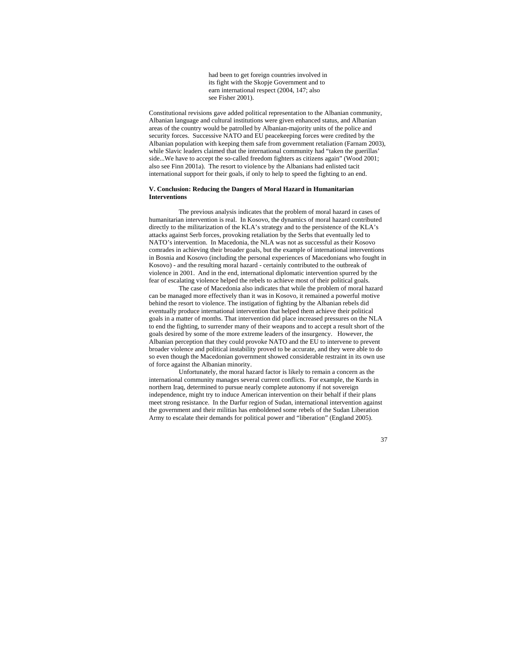had been to get foreign countries involved in its fight with the Skopje Government and to earn international respect (2004, 147; also see Fisher 2001).

Constitutional revisions gave added political representation to the Albanian community, Albanian language and cultural institutions were given enhanced status, and Albanian areas of the country would be patrolled by Albanian-majority units of the police and security forces. Successive NATO and EU peacekeeping forces were credited by the Albanian population with keeping them safe from government retaliation (Farnam 2003), while Slavic leaders claimed that the international community had "taken the guerillas' side...We have to accept the so-called freedom fighters as citizens again" (Wood 2001; also see Finn 2001a). The resort to violence by the Albanians had enlisted tacit international support for their goals, if only to help to speed the fighting to an end.

# **V. Conclusion: Reducing the Dangers of Moral Hazard in Humanitarian Interventions**

 The previous analysis indicates that the problem of moral hazard in cases of humanitarian intervention is real. In Kosovo, the dynamics of moral hazard contributed directly to the militarization of the KLA's strategy and to the persistence of the KLA's attacks against Serb forces, provoking retaliation by the Serbs that eventually led to NATO's intervention. In Macedonia, the NLA was not as successful as their Kosovo comrades in achieving their broader goals, but the example of international interventions in Bosnia and Kosovo (including the personal experiences of Macedonians who fought in Kosovo) - and the resulting moral hazard - certainly contributed to the outbreak of violence in 2001. And in the end, international diplomatic intervention spurred by the fear of escalating violence helped the rebels to achieve most of their political goals.

 The case of Macedonia also indicates that while the problem of moral hazard can be managed more effectively than it was in Kosovo, it remained a powerful motive behind the resort to violence. The instigation of fighting by the Albanian rebels did eventually produce international intervention that helped them achieve their political goals in a matter of months. That intervention did place increased pressures on the NLA to end the fighting, to surrender many of their weapons and to accept a result short of the goals desired by some of the more extreme leaders of the insurgency. However, the Albanian perception that they could provoke NATO and the EU to intervene to prevent broader violence and political instability proved to be accurate, and they were able to do so even though the Macedonian government showed considerable restraint in its own use of force against the Albanian minority.

 Unfortunately, the moral hazard factor is likely to remain a concern as the international community manages several current conflicts. For example, the Kurds in northern Iraq, determined to pursue nearly complete autonomy if not sovereign independence, might try to induce American intervention on their behalf if their plans meet strong resistance. In the Darfur region of Sudan, international intervention against the government and their militias has emboldened some rebels of the Sudan Liberation Army to escalate their demands for political power and "liberation" (England 2005).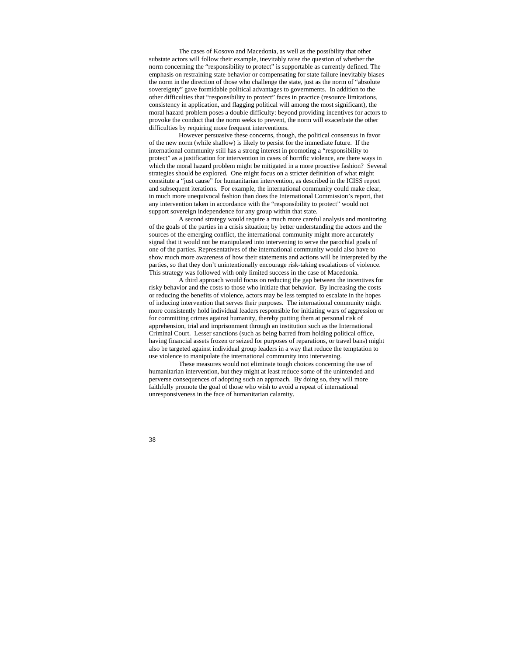The cases of Kosovo and Macedonia, as well as the possibility that other substate actors will follow their example, inevitably raise the question of whether the norm concerning the "responsibility to protect" is supportable as currently defined. The emphasis on restraining state behavior or compensating for state failure inevitably biases the norm in the direction of those who challenge the state, just as the norm of "absolute sovereignty" gave formidable political advantages to governments. In addition to the other difficulties that "responsibility to protect" faces in practice (resource limitations, consistency in application, and flagging political will among the most significant), the moral hazard problem poses a double difficulty: beyond providing incentives for actors to provoke the conduct that the norm seeks to prevent, the norm will exacerbate the other difficulties by requiring more frequent interventions.

 However persuasive these concerns, though, the political consensus in favor of the new norm (while shallow) is likely to persist for the immediate future. If the international community still has a strong interest in promoting a "responsibility to protect" as a justification for intervention in cases of horrific violence, are there ways in which the moral hazard problem might be mitigated in a more proactive fashion? Several strategies should be explored. One might focus on a stricter definition of what might constitute a "just cause" for humanitarian intervention, as described in the ICISS report and subsequent iterations. For example, the international community could make clear, in much more unequivocal fashion than does the International Commission's report, that any intervention taken in accordance with the "responsibility to protect" would not support sovereign independence for any group within that state.

 A second strategy would require a much more careful analysis and monitoring of the goals of the parties in a crisis situation; by better understanding the actors and the sources of the emerging conflict, the international community might more accurately signal that it would not be manipulated into intervening to serve the parochial goals of one of the parties. Representatives of the international community would also have to show much more awareness of how their statements and actions will be interpreted by the parties, so that they don't unintentionally encourage risk-taking escalations of violence. This strategy was followed with only limited success in the case of Macedonia.

 A third approach would focus on reducing the gap between the incentives for risky behavior and the costs to those who initiate that behavior. By increasing the costs or reducing the benefits of violence, actors may be less tempted to escalate in the hopes of inducing intervention that serves their purposes. The international community might more consistently hold individual leaders responsible for initiating wars of aggression or for committing crimes against humanity, thereby putting them at personal risk of apprehension, trial and imprisonment through an institution such as the International Criminal Court. Lesser sanctions (such as being barred from holding political office, having financial assets frozen or seized for purposes of reparations, or travel bans) might also be targeted against individual group leaders in a way that reduce the temptation to use violence to manipulate the international community into intervening.

 These measures would not eliminate tough choices concerning the use of humanitarian intervention, but they might at least reduce some of the unintended and perverse consequences of adopting such an approach. By doing so, they will more faithfully promote the goal of those who wish to avoid a repeat of international unresponsiveness in the face of humanitarian calamity.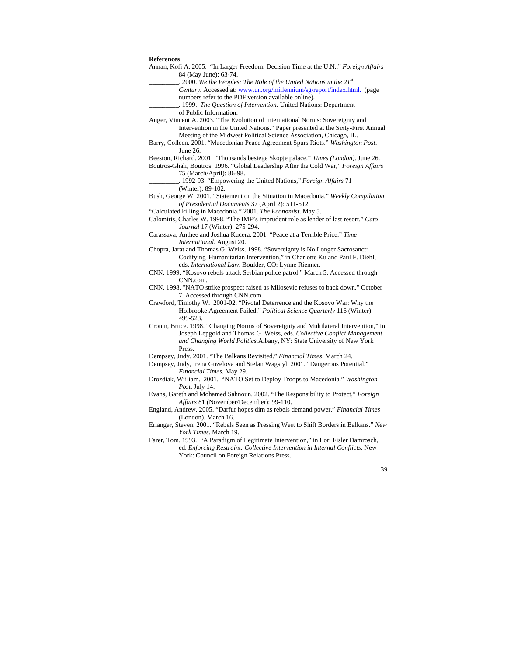#### **References**

- Annan, Kofi A. 2005. "In Larger Freedom: Decision Time at the U.N.," *Foreign Affairs* 84 (May June): 63-74.
	- \_\_\_\_\_\_\_\_\_. 2000. *We the Peoples: The Role of the United Nations in the 21st*
	- *Century.* Accessed at: www.un.org/millennium/sg/report/index.html. (page numbers refer to the PDF version available online).

\_\_\_\_\_\_\_\_\_. 1999. *The Question of Intervention*. United Nations: Department

of Public Information.

- Auger, Vincent A. 2003. "The Evolution of International Norms: Sovereignty and Intervention in the United Nations." Paper presented at the Sixty-First Annual Meeting of the Midwest Political Science Association, Chicago, IL.
- Barry, Colleen. 2001. "Macedonian Peace Agreement Spurs Riots." *Washington Post*. June 26.

Beeston, Richard. 2001. "Thousands besiege Skopje palace." *Times (London)*. June 26.

- Boutros-Ghali, Boutros. 1996. "Global Leadership After the Cold War," *Foreign Affairs* 75 (March/April): 86-98.
	- \_\_\_\_\_\_\_\_\_. 1992-93. "Empowering the United Nations," *Foreign Affairs* 71 (Winter): 89-102.
- Bush, George W. 2001. "Statement on the Situation in Macedonia." *Weekly Compilation of Presidential Documents* 37 (April 2): 511-512.
- "Calculated killing in Macedonia." 2001. *The Economist*. May 5.
- Calomiris, Charles W. 1998. "The IMF's imprudent role as lender of last resort." *Cato Journal* 17 (Winter): 275-294.
- Carassava, Anthee and Joshua Kucera. 2001. "Peace at a Terrible Price." *Time International*. August 20.
- Chopra, Jarat and Thomas G. Weiss. 1998. "Sovereignty is No Longer Sacrosanct: Codifying Humanitarian Intervention," in Charlotte Ku and Paul F. Diehl, eds. *International Law*. Boulder, CO: Lynne Rienner.
- CNN. 1999. "Kosovo rebels attack Serbian police patrol." March 5. Accessed through CNN.com.
- CNN. 1998. "NATO strike prospect raised as Milosevic refuses to back down." October 7. Accessed through CNN.com.
- Crawford, Timothy W. 2001-02. "Pivotal Deterrence and the Kosovo War: Why the Holbrooke Agreement Failed." *Political Science Quarterly* 116 (Winter): 499-523.
- Cronin, Bruce. 1998. "Changing Norms of Sovereignty and Multilateral Intervention," in Joseph Lepgold and Thomas G. Weiss, eds. *Collective Conflict Management and Changing World Politics.*Albany, NY: State University of New York Press.
- Dempsey, Judy. 2001. "The Balkans Revisited." *Financial Times*. March 24.
- Dempsey, Judy, Irena Guzelova and Stefan Wagstyl. 2001. "Dangerous Potential." *Financial Times*. May 29.
- Drozdiak, Wiiliam. 2001. "NATO Set to Deploy Troops to Macedonia." *Washington Post*. July 14.
- Evans, Gareth and Mohamed Sahnoun. 2002. "The Responsibility to Protect," *Foreign Affairs* 81 (November/December): 99-110.
- England, Andrew. 2005. "Darfur hopes dim as rebels demand power." *Financial Times* (London). March 16.
- Erlanger, Steven. 2001. "Rebels Seen as Pressing West to Shift Borders in Balkans." *New York Times*. March 19.
- Farer, Tom. 1993. "A Paradigm of Legitimate Intervention," in Lori Fisler Damrosch, ed. *Enforcing Restraint: Collective Intervention in Internal Conflicts*. New York: Council on Foreign Relations Press.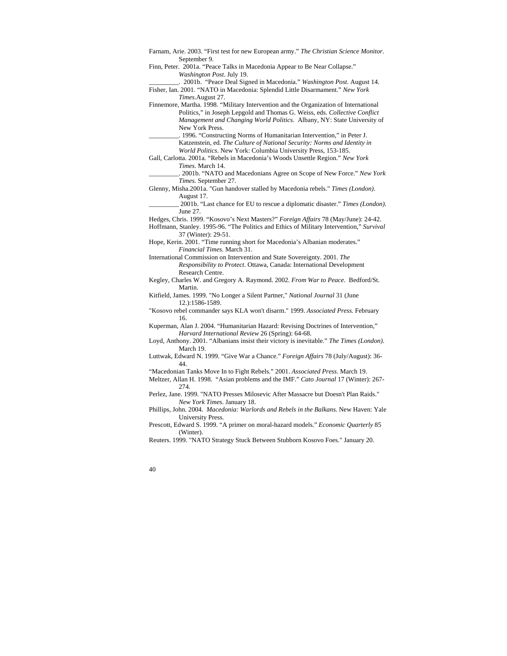- Farnam, Arie. 2003. "First test for new European army." *The Christian Science Monitor.* September 9.
- Finn, Peter. 2001a. "Peace Talks in Macedonia Appear to Be Near Collapse." *Washington Post*. July 19.
- \_\_\_\_\_\_\_\_\_. 2001b. "Peace Deal Signed in Macedonia." *Washington Post*. August 14. Fisher, Ian. 2001. "NATO in Macedonia: Splendid Little Disarmament." *New York Times*.August 27.
- Finnemore, Martha. 1998. "Military Intervention and the Organization of International Politics," in Joseph Lepgold and Thomas G. Weiss, eds. *Collective Conflict Management and Changing World Politics.* Albany, NY: State University of New York Press.
	- \_\_\_\_\_\_\_\_\_. 1996. "Constructing Norms of Humanitarian Intervention," in Peter J. Katzenstein, ed. *The Culture of National Security: Norms and Identity in World Politics*. New York: Columbia University Press, 153-185.
- Gall, Carlotta. 2001a. "Rebels in Macedonia's Woods Unsettle Region." *New York Times*. March 14.
	- \_\_\_\_\_\_\_\_\_. 2001b. "NATO and Macedonians Agree on Scope of New Force." *New York Times.* September 27.
- Glenny, Misha.2001a. "Gun handover stalled by Macedonia rebels." *Times (London)*. August 17.
	- \_\_\_\_\_\_\_\_\_ 2001b. "Last chance for EU to rescue a diplomatic disaster." *Times (London).* June 27.
- Hedges, Chris. 1999. "Kosovo's Next Masters?" *Foreign Affairs* 78 (May/June): 24-42.
- Hoffmann, Stanley. 1995-96. "The Politics and Ethics of Military Intervention," *Survival* 37 (Winter): 29-51.
- Hope, Kerin. 2001. "Time running short for Macedonia's Albanian moderates." *Financial Times*. March 31.
- International Commission on Intervention and State Sovereignty. 2001. *The Responsibility to Protect*. Ottawa, Canada: International Development Research Centre.
- Kegley, Charles W. and Gregory A. Raymond. 2002. *From War to Peace*. Bedford/St. Martin.
- Kitfield, James. 1999. "No Longer a Silent Partner," *National Journal* 31 (June 12.):1586-1589.
- "Kosovo rebel commander says KLA won't disarm." 1999. *Associated Press.* February 16.
- Kuperman, Alan J. 2004. "Humanitarian Hazard: Revising Doctrines of Intervention," *Harvard International Review* 26 (Spring): 64-68.
- Loyd, Anthony. 2001. "Albanians insist their victory is inevitable." *The Times (London)*. March 19.
- Luttwak, Edward N. 1999. "Give War a Chance." *Foreign Affairs* 78 (July/August): 36- 44.
- "Macedonian Tanks Move In to Fight Rebels." 2001. *Associated Press*. March 19.
- Meltzer, Allan H. 1998. "Asian problems and the IMF." *Cato Journal* 17 (Winter): 267- 274.
- Perlez, Jane. 1999. "NATO Presses Milosevic After Massacre but Doesn't Plan Raids." *New York Times*. January 18.
- Phillips, John. 2004. *Macedonia: Warlords and Rebels in the Balkans.* New Haven: Yale University Press.
- Prescott, Edward S. 1999. "A primer on moral-hazard models." *Economic Quarterly* 85 (Winter).
- Reuters. 1999. "NATO Strategy Stuck Between Stubborn Kosovo Foes." January 20.
- 40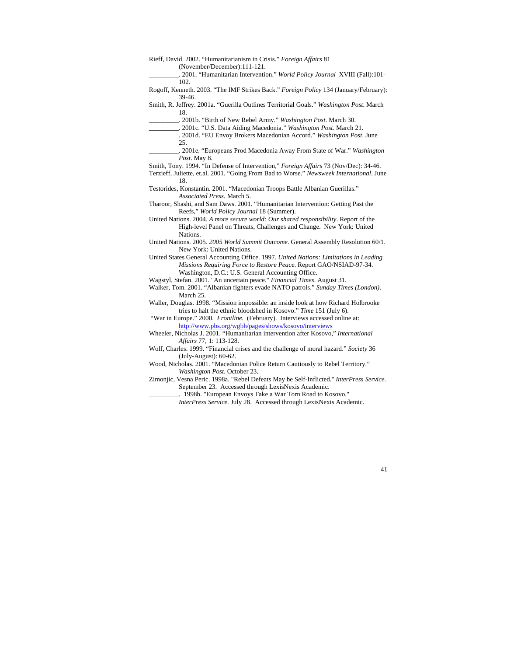| Rieff, David. 2002. "Humanitarianism in Crisis." Foreign Affairs 81                                                                                         |
|-------------------------------------------------------------------------------------------------------------------------------------------------------------|
| (November/December):111-121.<br>2001. "Humanitarian Intervention." World Policy Journal XVIII (Fall):101-                                                   |
| 102.                                                                                                                                                        |
| Rogoff, Kenneth. 2003. "The IMF Strikes Back." Foreign Policy 134 (January/February):<br>39-46.                                                             |
| Smith, R. Jeffrey. 2001a. "Guerilla Outlines Territorial Goals." Washington Post. March<br>18.                                                              |
| . 2001b. "Birth of New Rebel Army." Washington Post. March 30.                                                                                              |
| .___________. 2001c. "U.S. Data Aiding Macedonia." Washington Post. March 21.                                                                               |
| . 2001d. "EU Envoy Brokers Macedonian Accord." Washington Post. June                                                                                        |
| 25.                                                                                                                                                         |
|                                                                                                                                                             |
| Post. May 8.                                                                                                                                                |
| Smith, Tony. 1994. "In Defense of Intervention," Foreign Affairs 73 (Nov/Dec): 34-46.                                                                       |
| Terzieff, Juliette, et.al. 2001. "Going From Bad to Worse." Newsweek International. June                                                                    |
| 18.                                                                                                                                                         |
| Testorides, Konstantin. 2001. "Macedonian Troops Battle Albanian Guerillas."                                                                                |
| <i>Associated Press.</i> March 5.                                                                                                                           |
| Tharoor, Shashi, and Sam Daws. 2001. "Humanitarian Intervention: Getting Past the                                                                           |
| Reefs," World Policy Journal 18 (Summer).                                                                                                                   |
| United Nations. 2004. A more secure world: Our shared responsibility. Report of the                                                                         |
| High-level Panel on Threats, Challenges and Change. New York: United                                                                                        |
| Nations.                                                                                                                                                    |
| United Nations. 2005. 2005 World Summit Outcome. General Assembly Resolution 60/1.                                                                          |
| New York: United Nations.                                                                                                                                   |
| United States General Accounting Office. 1997. United Nations: Limitations in Leading<br>Missions Requiring Force to Restore Peace. Report GAO/NSIAD-97-34. |
| Washington, D.C.: U.S. General Accounting Office.<br>Wagstyl, Stefan. 2001. "An uncertain peace." Financial Times. August 31.                               |
| Walker, Tom. 2001. "Albanian fighters evade NATO patrols." Sunday Times (London).                                                                           |
| March 25.                                                                                                                                                   |
| Waller, Douglas. 1998. "Mission impossible: an inside look at how Richard Holbrooke                                                                         |
| tries to halt the ethnic bloodshed in Kosovo." Time 151 (July 6).                                                                                           |
| "War in Europe." 2000. Frontline. (February). Interviews accessed online at:                                                                                |
| http://www.pbs.org/wgbh/pages/shows/kosovo/interviews                                                                                                       |
| Wheeler, Nicholas J. 2001. "Humanitarian intervention after Kosovo," International                                                                          |
| Affairs 77, 1: 113-128.                                                                                                                                     |
| Wolf, Charles. 1999. "Financial crises and the challenge of moral hazard." Society 36                                                                       |
| $(July-August): 60-62.$                                                                                                                                     |
| Wood, Nicholas. 2001. "Macedonian Police Return Cautiously to Rebel Territory."                                                                             |
| Washington Post. October 23.                                                                                                                                |
| Zimonjic, Vesna Peric. 1998a. "Rebel Defeats May be Self-Inflicted." InterPress Service.                                                                    |
| September 23. Accessed through LexisNexis Academic.                                                                                                         |

\_\_\_\_\_\_\_\_\_. 1998b. "European Envoys Take a War Torn Road to Kosovo."

*InterPress Service.* July 28. Accessed through LexisNexis Academic.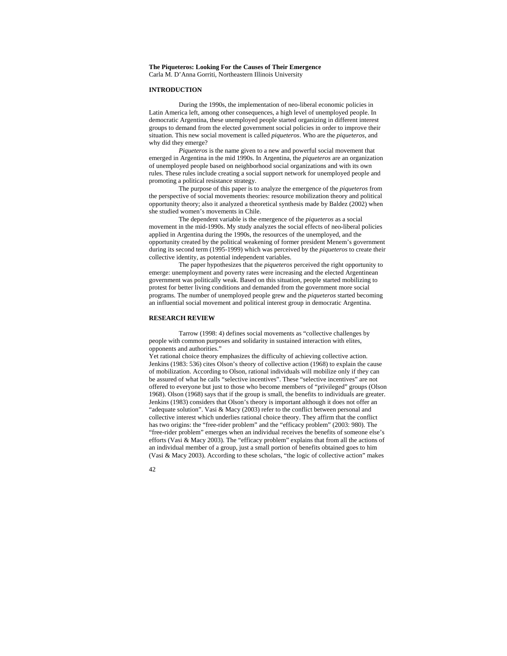## **The Piqueteros: Looking For the Causes of Their Emergence**  Carla M. D'Anna Gorriti, Northeastern Illinois University

## **INTRODUCTION**

During the 1990s, the implementation of neo-liberal economic policies in Latin America left, among other consequences, a high level of unemployed people. In democratic Argentina, these unemployed people started organizing in different interest groups to demand from the elected government social policies in order to improve their situation. This new social movement is called *piqueteros*. Who are the *piqueteros*, and why did they emerge?

*Piqueteros* is the name given to a new and powerful social movement that emerged in Argentina in the mid 1990s. In Argentina, the *piqueteros* are an organization of unemployed people based on neighborhood social organizations and with its own rules. These rules include creating a social support network for unemployed people and promoting a political resistance strategy.

 The purpose of this paper is to analyze the emergence of the *piqueteros* from the perspective of social movements theories: resource mobilization theory and political opportunity theory; also it analyzed a theoretical synthesis made by Baldez (2002) when she studied women's movements in Chile.

 The dependent variable is the emergence of the *piqueteros* as a social movement in the mid-1990s. My study analyzes the social effects of neo-liberal policies applied in Argentina during the 1990s, the resources of the unemployed, and the opportunity created by the political weakening of former president Menem's government during its second term (1995-1999) which was perceived by the *piqueteros* to create their collective identity, as potential independent variables.

 The paper hypothesizes that the *piqueteros* perceived the right opportunity to emerge: unemployment and poverty rates were increasing and the elected Argentinean government was politically weak. Based on this situation, people started mobilizing to protest for better living conditions and demanded from the government more social programs. The number of unemployed people grew and the *piqueteros* started becoming an influential social movement and political interest group in democratic Argentina.

# **RESEARCH REVIEW**

 Tarrow (1998: 4) defines social movements as "collective challenges by people with common purposes and solidarity in sustained interaction with elites, opponents and authorities."

Yet rational choice theory emphasizes the difficulty of achieving collective action. Jenkins (1983: 536) cites Olson's theory of collective action (1968) to explain the cause of mobilization. According to Olson, rational individuals will mobilize only if they can be assured of what he calls "selective incentives". These "selective incentives" are not offered to everyone but just to those who become members of "privileged" groups (Olson 1968). Olson (1968) says that if the group is small, the benefits to individuals are greater. Jenkins (1983) considers that Olson's theory is important although it does not offer an "adequate solution". Vasi & Macy (2003) refer to the conflict between personal and collective interest which underlies rational choice theory. They affirm that the conflict has two origins: the "free-rider problem" and the "efficacy problem" (2003: 980). The "free-rider problem" emerges when an individual receives the benefits of someone else's efforts (Vasi & Macy 2003). The "efficacy problem" explains that from all the actions of an individual member of a group, just a small portion of benefits obtained goes to him (Vasi & Macy 2003). According to these scholars, "the logic of collective action" makes

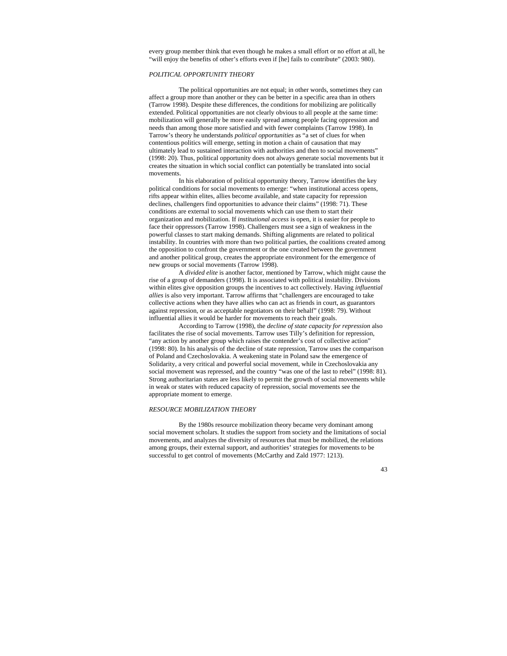every group member think that even though he makes a small effort or no effort at all, he "will enjoy the benefits of other's efforts even if [he] fails to contribute" (2003: 980).

# *POLITICAL OPPORTUNITY THEORY*

 The political opportunities are not equal; in other words, sometimes they can affect a group more than another or they can be better in a specific area than in others (Tarrow 1998). Despite these differences, the conditions for mobilizing are politically extended. Political opportunities are not clearly obvious to all people at the same time: mobilization will generally be more easily spread among people facing oppression and needs than among those more satisfied and with fewer complaints (Tarrow 1998). In Tarrow's theory he understands *political opportunities* as "a set of clues for when contentious politics will emerge, setting in motion a chain of causation that may ultimately lead to sustained interaction with authorities and then to social movements" (1998: 20). Thus, political opportunity does not always generate social movements but it creates the situation in which social conflict can potentially be translated into social movements.

 In his elaboration of political opportunity theory, Tarrow identifies the key political conditions for social movements to emerge: "when institutional access opens, rifts appear within elites, allies become available, and state capacity for repression declines, challengers find opportunities to advance their claims" (1998: 71). These conditions are external to social movements which can use them to start their organization and mobilization. If *institutional access* is open, it is easier for people to face their oppressors (Tarrow 1998). Challengers must see a sign of weakness in the powerful classes to start making demands. Shifting alignments are related to political instability. In countries with more than two political parties, the coalitions created among the opposition to confront the government or the one created between the government and another political group, creates the appropriate environment for the emergence of new groups or social movements (Tarrow 1998).

 A *divided elite* is another factor, mentioned by Tarrow, which might cause the rise of a group of demanders (1998). It is associated with political instability. Divisions within elites give opposition groups the incentives to act collectively. Having *influential allies* is also very important. Tarrow affirms that "challengers are encouraged to take collective actions when they have allies who can act as friends in court, as guarantors against repression, or as acceptable negotiators on their behalf" (1998: 79). Without influential allies it would be harder for movements to reach their goals.

 According to Tarrow (1998), the *decline of state capacity for repression* also facilitates the rise of social movements. Tarrow uses Tilly's definition for repression, "any action by another group which raises the contender's cost of collective action" (1998: 80). In his analysis of the decline of state repression, Tarrow uses the comparison of Poland and Czechoslovakia. A weakening state in Poland saw the emergence of Solidarity, a very critical and powerful social movement, while in Czechoslovakia any social movement was repressed, and the country "was one of the last to rebel" (1998: 81). Strong authoritarian states are less likely to permit the growth of social movements while in weak or states with reduced capacity of repression, social movements see the appropriate moment to emerge.

# *RESOURCE MOBILIZATION THEORY*

 By the 1980s resource mobilization theory became very dominant among social movement scholars. It studies the support from society and the limitations of social movements, and analyzes the diversity of resources that must be mobilized, the relations among groups, their external support, and authorities' strategies for movements to be successful to get control of movements (McCarthy and Zald 1977: 1213).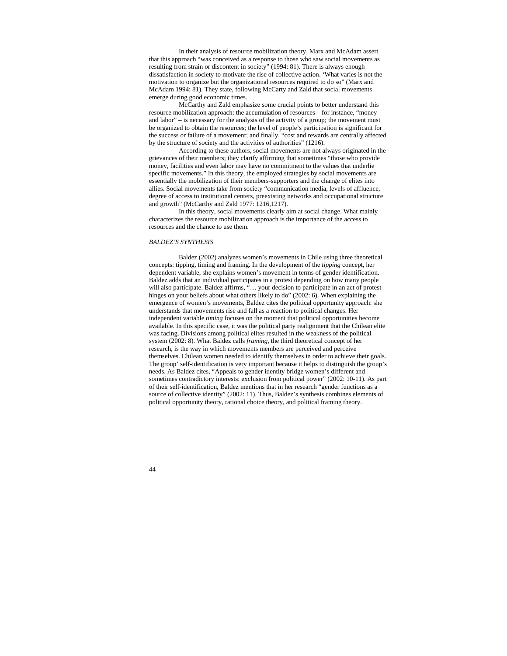In their analysis of resource mobilization theory, Marx and McAdam assert that this approach "was conceived as a response to those who saw social movements as resulting from strain or discontent in society" (1994: 81). There is always enough dissatisfaction in society to motivate the rise of collective action. 'What varies is not the motivation to organize but the organizational resources required to do so" (Marx and McAdam 1994: 81). They state, following McCarty and Zald that social movements emerge during good economic times.

 McCarthy and Zald emphasize some crucial points to better understand this resource mobilization approach: the accumulation of resources – for instance, "money and labor" – is necessary for the analysis of the activity of a group; the movement must be organized to obtain the resources; the level of people's participation is significant for the success or failure of a movement; and finally, "cost and rewards are centrally affected by the structure of society and the activities of authorities" (1216).

 According to these authors, social movements are not always originated in the grievances of their members; they clarify affirming that sometimes "those who provide money, facilities and even labor may have no commitment to the values that underlie specific movements." In this theory, the employed strategies by social movements are essentially the mobilization of their members-supporters and the change of elites into allies. Social movements take from society "communication media, levels of affluence, degree of access to institutional centers, preexisting networks and occupational structure and growth" (McCarthy and Zald 1977: 1216,1217).

 In this theory, social movements clearly aim at social change. What mainly characterizes the resource mobilization approach is the importance of the access to resources and the chance to use them.

# *BALDEZ'S SYNTHESIS*

 Baldez (2002) analyzes women's movements in Chile using three theoretical concepts: tipping, timing and framing. In the development of the *tipping* concept, her dependent variable, she explains women's movement in terms of gender identification. Baldez adds that an individual participates in a protest depending on how many people will also participate. Baldez affirms, "... your decision to participate in an act of protest hinges on your beliefs about what others likely to do" (2002: 6). When explaining the emergence of women's movements, Baldez cites the political opportunity approach: she understands that movements rise and fall as a reaction to political changes. Her independent variable *timing* focuses on the moment that political opportunities become available. In this specific case, it was the political party realignment that the Chilean elite was facing. Divisions among political elites resulted in the weakness of the political system (2002: 8). What Baldez calls *framing*, the third theoretical concept of her research, is the way in which movements members are perceived and perceive themselves. Chilean women needed to identify themselves in order to achieve their goals. The group' self-identification is very important because it helps to distinguish the group's needs. As Baldez cites, "Appeals to gender identity bridge women's different and sometimes contradictory interests: exclusion from political power" (2002: 10-11). As part of their self-identification, Baldez mentions that in her research "gender functions as a source of collective identity" (2002: 11). Thus, Baldez's synthesis combines elements of political opportunity theory, rational choice theory, and political framing theory.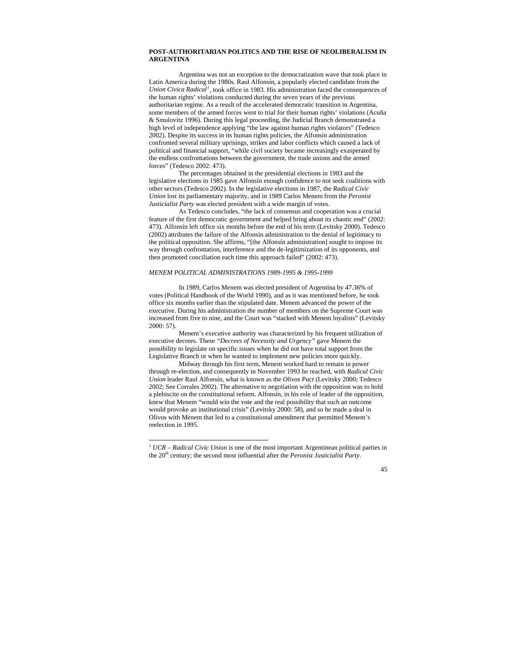## **POST-AUTHORITARIAN POLITICS AND THE RISE OF NEOLIBERALISM IN ARGENTINA**

 Argentina was not an exception to the democratization wave that took place in Latin America during the 1980s. Raul Alfonsín, a popularly elected candidate from the *Union Cívica Radical[1](#page-44-0)* , took office in 1983. His administration faced the consequences of the human rights' violations conducted during the seven years of the previous authoritarian regime. As a result of the accelerated democratic transition in Argentina, some members of the armed forces went to trial for their human rights' violations (Acuña & Smulovitz 1996). During this legal proceeding, the Judicial Branch demonstrated a high level of independence applying "the law against human rights violators" (Tedesco 2002). Despite its success in its human rights policies, the Alfonsín administration confronted several military uprisings, strikes and labor conflicts which caused a lack of political and financial support, "while civil society became increasingly exasperated by the endless confrontations between the government, the trade unions and the armed forces" (Tedesco 2002: 473).

 The percentages obtained in the presidential elections in 1983 and the legislative elections in 1985 gave Alfonsín enough confidence to not seek coalitions with other sectors (Tedesco 2002). In the legislative elections in 1987, the *Radical Civic Union* lost its parliamentary majority, and in 1989 Carlos Menem from the *Peronist Justicialist Party* was elected president with a wide margin of votes.

 As Tedesco concludes, "the lack of consensus and cooperation was a crucial feature of the first democratic government and helped bring about its chaotic end" (2002: 473). Alfonsín left office six months before the end of his term (Levitsky 2000). Tedesco (2002) attributes the failure of the Alfonsín administration to the denial of legitimacy to the political opposition. She affirms, "[the Alfonsín administration] sought to impose its way through confrontation, interference and the de-legitimization of its opponents, and then promoted conciliation each time this approach failed" (2002: 473).

# *MENEM POLITICAL ADMINISTRATIONS 1989-1995 & 1995-1999*

 In 1989, Carlos Menem was elected president of Argentina by 47.36% of votes (Political Handbook of the World 1990), and as it was mentioned before, he took office six months earlier than the stipulated date. Menem advanced the power of the executive. During his administration the number of members on the Supreme Court was increased from five to nine, and the Court was "stacked with Menem loyalists" (Levitsky 2000: 57).

 Menem's executive authority was characterized by his frequent utilization of executive decrees. These *"Decrees of Necessity and Urgency"* gave Menem the possibility to legislate on specific issues when he did not have total support from the Legislative Branch or when he wanted to implement new policies more quickly.

 Midway through his first term, Menem worked hard to remain in power through re-election, and consequently in November 1993 he reached, with *Radical Civic Union* leader Raul Alfonsín, what is known as the *Olivos Pact* (Levitsky 2000; Tedesco 2002; See Corrales 2002). The alternative to negotiation with the opposition was to hold a plebiscite on the constitutional reform. Alfonsín, in his role of leader of the opposition, knew that Menem "would win the vote and the real possibility that such an outcome would provoke an institutional crisis" (Levitsky 2000: 58), and so he made a deal in Olivos with Menem that led to a constitutional amendment that permitted Menem's reelection in 1995.

 $\overline{a}$ 



<span id="page-44-0"></span><sup>1</sup> *UCR* – *Radical Civic Union* is one of the most important Argentinean political parties in the 20<sup>th</sup> century; the second most influential after the *Peronist Justicialist Party*.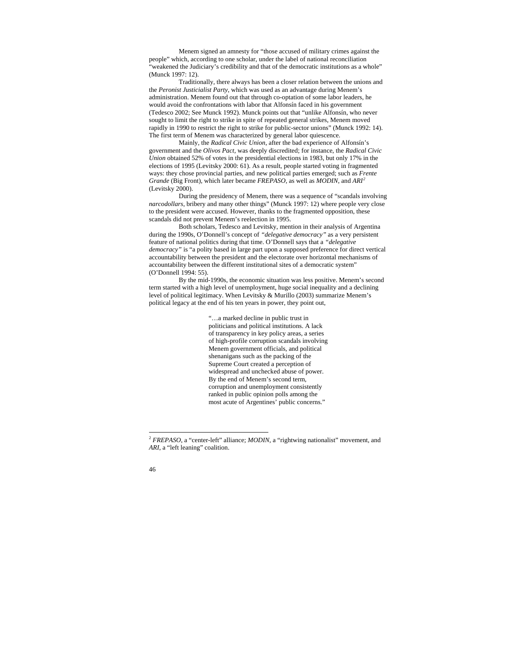Menem signed an amnesty for "those accused of military crimes against the people" which, according to one scholar, under the label of national reconciliation "weakened the Judiciary's credibility and that of the democratic institutions as a whole" (Munck 1997: 12).

 Traditionally, there always has been a closer relation between the unions and the *Peronist Justicialist Party*, which was used as an advantage during Menem's administration. Menem found out that through co-optation of some labor leaders, he would avoid the confrontations with labor that Alfonsín faced in his government (Tedesco 2002; See Munck 1992). Munck points out that "unlike Alfonsín, who never sought to limit the right to strike in spite of repeated general strikes, Menem moved rapidly in 1990 to restrict the right to strike for public-sector unions" (Munck 1992: 14). The first term of Menem was characterized by general labor quiescence.

 Mainly, the *Radical Civic Union*, after the bad experience of Alfonsín's government and the *Olivos Pact,* was deeply discredited; for instance, the *Radical Civic Union* obtained 52% of votes in the presidential elections in 1983, but only 17% in the elections of 1995 (Levitsky 2000: 61). As a result, people started voting in fragmented ways: they chose provincial parties, and new political parties emerged; such as *Frente Grande* (Big Front), which later became *FREPASO,* as well as *MODIN*, and *ARI[2](#page-45-0)* (Levitsky 2000).

 During the presidency of Menem, there was a sequence of "scandals involving *narcodollars*, bribery and many other things" (Munck 1997: 12) where people very close to the president were accused. However, thanks to the fragmented opposition, these scandals did not prevent Menem's reelection in 1995.

 Both scholars, Tedesco and Levitsky, mention in their analysis of Argentina during the 1990s, O'Donnell's concept of *"delegative democracy"* as a very persistent feature of national politics during that time. O'Donnell says that a *"delegative democracy"* is "a polity based in large part upon a supposed preference for direct vertical accountability between the president and the electorate over horizontal mechanisms of accountability between the different institutional sites of a democratic system" (O'Donnell 1994: 55).

 By the mid-1990s, the economic situation was less positive. Menem's second term started with a high level of unemployment, huge social inequality and a declining level of political legitimacy. When Levitsky & Murillo (2003) summarize Menem's political legacy at the end of his ten years in power, they point out,

> "…a marked decline in public trust in politicians and political institutions. A lack of transparency in key policy areas, a series of high-profile corruption scandals involving Menem government officials, and political shenanigans such as the packing of the Supreme Court created a perception of widespread and unchecked abuse of power. By the end of Menem's second term, corruption and unemployment consistently ranked in public opinion polls among the most acute of Argentines' public concerns."

<span id="page-45-0"></span><sup>2</sup> *FREPASO*, a "center-left" alliance; *MODIN*, a "rightwing nationalist" movement, and *ARI*, a "left leaning" coalition.



 $\overline{a}$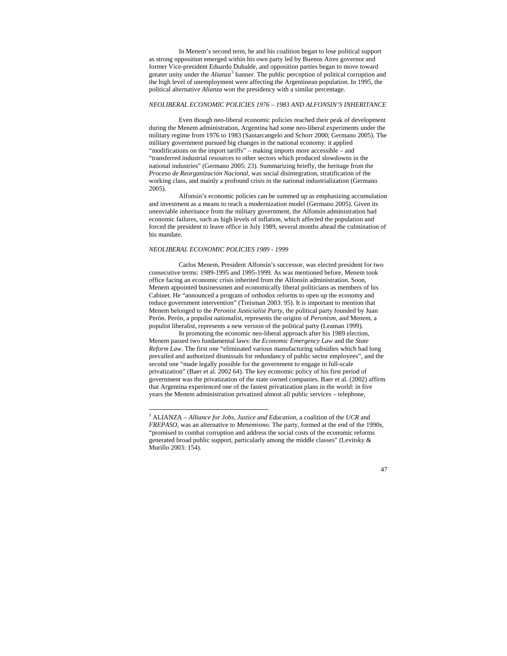In Menem's second term, he and his coalition began to lose political support as strong opposition emerged within his own party led by Buenos Aires governor and former Vice-president Eduardo Duhalde, and opposition parties began to move toward greater unity under the *Alianza[3](#page-46-0)* banner. The public perception of political corruption and the high level of unemployment were affecting the Argentinean population. In 1995, the political alternative *Alianza* won the presidency with a similar percentage.

## *NEOLIBERAL ECONOMIC POLICIES 1976 – 1983 AND ALFONSIN'S INHERITANCE*

 Even though neo-liberal economic policies reached their peak of development during the Menem administration, Argentina had some neo-liberal experiments under the military regime from 1976 to 1983 (Santarcangelo and Schorr 2000; Germano 2005). The military government pursued big changes in the national economy: it applied "modifications on the import tariffs" – making imports more accessible – and "transferred industrial resources to other sectors which produced slowdowns in the national industries" (Germano 2005: 23). Summarizing briefly, the heritage from the *Proceso de Reorganización Nacional*, was social disintegration, stratification of the working class, and mainly a profound crisis in the national industrialization (Germano 2005).

 Alfonsín's economic policies can be summed up as emphasizing accumulation and investment as a means to reach a modernization model (Germano 2005). Given its unenviable inheritance from the military government, the Alfonsín administration had economic failures, such as high levels of inflation, which affected the population and forced the president to leave office in July 1989, several months ahead the culmination of his mandate.

## *NEOLIBERAL ECONOMIC POLICIES 1989 - 1999*

 $\overline{a}$ 

 Carlos Menem, President Alfonsín's successor, was elected president for two consecutive terms: 1989-1995 and 1995-1999. As was mentioned before, Menem took office facing an economic crisis inherited from the Alfonsín administration. Soon, Menem appointed businessmen and economically liberal politicians as members of his Cabinet. He "announced a program of orthodox reforms to open up the economy and reduce government intervention" (Treisman 2003: 95). It is important to mention that Menem belonged to the *Peronist Justicialist Party*, the political party founded by Juan Perón. Perón, a populist nationalist, represents the origins of *Peronism*, and Menem, a populist liberalist, represents a new version of the political party (Leaman 1999).

 In promoting the economic neo-liberal approach after his 1989 election, Menem passed two fundamental laws: the *Economic Emergency Law* and the *State Reform Law*. The first one "eliminated various manufacturing subsidies which had long prevailed and authorized dismissals for redundancy of public sector employees", and the second one "made legally possible for the government to engage in full-scale privatization" (Baer et al. 2002 64). The key economic policy of his first period of government was the privatization of the state owned companies. Baer et al. (2002) affirm that Argentina experienced one of the fastest privatization plans in the world: in five years the Menem administration privatized almost all public services – telephone,

<span id="page-46-0"></span><sup>3</sup> ALIANZA – *Alliance for Jobs, Justice and Education*, a coalition of the *UCR* and *FREPASO*, was an alternative to *Menemismo.* The party, formed at the end of the 1990s, "promised to combat corruption and address the social costs of the economic reforms generated broad public support, particularly among the middle classes" (Levitsky & Murillo 2003: 154).

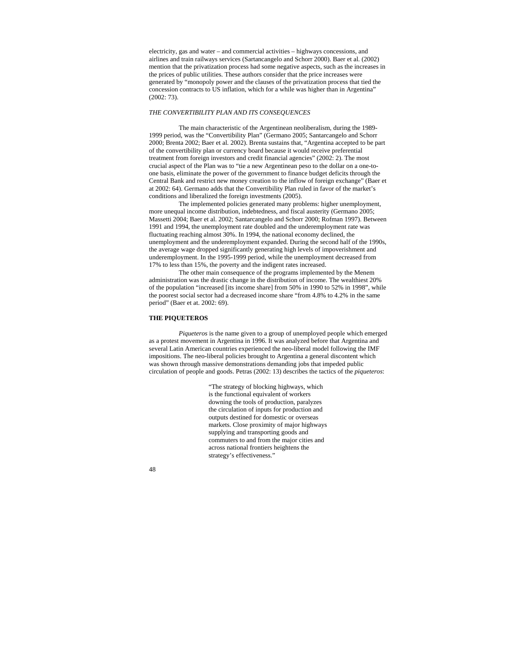electricity, gas and water – and commercial activities – highways concessions, and airlines and train railways services (Sartancangelo and Schorr 2000). Baer et al. (2002) mention that the privatization process had some negative aspects, such as the increases in the prices of public utilities. These authors consider that the price increases were generated by "monopoly power and the clauses of the privatization process that tied the concession contracts to US inflation, which for a while was higher than in Argentina" (2002: 73).

# *THE CONVERTIBILITY PLAN AND ITS CONSEQUENCES*

 The main characteristic of the Argentinean neoliberalism, during the 1989- 1999 period, was the "Convertibility Plan" (Germano 2005; Santarcangelo and Schorr 2000; Brenta 2002; Baer et al. 2002). Brenta sustains that, "Argentina accepted to be part of the convertibility plan or currency board because it would receive preferential treatment from foreign investors and credit financial agencies" (2002: 2). The most crucial aspect of the Plan was to "tie a new Argentinean peso to the dollar on a one-toone basis, eliminate the power of the government to finance budget deficits through the Central Bank and restrict new money creation to the inflow of foreign exchange" (Baer et at 2002: 64). Germano adds that the Convertibility Plan ruled in favor of the market's conditions and liberalized the foreign investments (2005).

 The implemented policies generated many problems: higher unemployment, more unequal income distribution, indebtedness, and fiscal austerity (Germano 2005; Massetti 2004; Baer et al. 2002; Santarcangelo and Schorr 2000; Rofman 1997). Between 1991 and 1994, the unemployment rate doubled and the underemployment rate was fluctuating reaching almost 30%. In 1994, the national economy declined, the unemployment and the underemployment expanded. During the second half of the 1990s, the average wage dropped significantly generating high levels of impoverishment and underemployment. In the 1995-1999 period, while the unemployment decreased from 17% to less than 15%, the poverty and the indigent rates increased.

 The other main consequence of the programs implemented by the Menem administration was the drastic change in the distribution of income. The wealthiest 20% of the population "increased [its income share] from 50% in 1990 to 52% in 1998", while the poorest social sector had a decreased income share "from 4.8% to 4.2% in the same period" (Baer et at. 2002: 69).

# **THE PIQUETEROS**

*Piqueteros* is the name given to a group of unemployed people which emerged as a protest movement in Argentina in 1996. It was analyzed before that Argentina and several Latin American countries experienced the neo-liberal model following the IMF impositions. The neo-liberal policies brought to Argentina a general discontent which was shown through massive demonstrations demanding jobs that impeded public circulation of people and goods. Petras (2002: 13) describes the tactics of the *piqueteros*:

> "The strategy of blocking highways, which is the functional equivalent of workers downing the tools of production, paralyzes the circulation of inputs for production and outputs destined for domestic or overseas markets. Close proximity of major highways supplying and transporting goods and commuters to and from the major cities and across national frontiers heightens the strategy's effectiveness."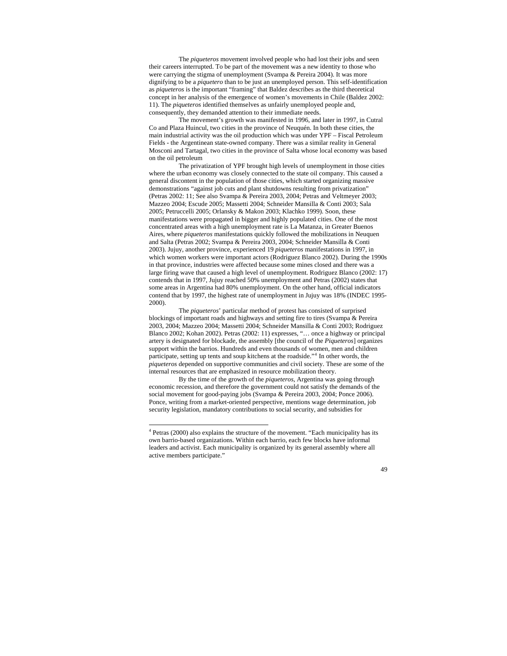The *piqueteros* movement involved people who had lost their jobs and seen their careers interrupted. To be part of the movement was a new identity to those who were carrying the stigma of unemployment (Svampa & Pereira 2004). It was more dignifying to be a *piquetero* than to be just an unemployed person. This self-identification as *piqueteros* is the important "framing" that Baldez describes as the third theoretical concept in her analysis of the emergence of women's movements in Chile (Baldez 2002: 11). The *piqueteros* identified themselves as unfairly unemployed people and, consequently, they demanded attention to their immediate needs.

 The movement's growth was manifested in 1996, and later in 1997, in Cutral Co and Plaza Huincul, two cities in the province of Neuquén. In both these cities, the main industrial activity was the oil production which was under YPF – Fiscal Petroleum Fields - the Argentinean state-owned company. There was a similar reality in General Mosconi and Tartagal, two cities in the province of Salta whose local economy was based on the oil petroleum

 The privatization of YPF brought high levels of unemployment in those cities where the urban economy was closely connected to the state oil company. This caused a general discontent in the population of those cities, which started organizing massive demonstrations "against job cuts and plant shutdowns resulting from privatization" (Petras 2002: 11; See also Svampa & Pereira 2003, 2004; Petras and Veltmeyer 2003; Mazzeo 2004; Escude 2005; Massetti 2004; Schneider Mansilla & Conti 2003; Sala 2005; Petruccelli 2005; Orlansky & Makon 2003; Klachko 1999). Soon, these manifestations were propagated in bigger and highly populated cities. One of the most concentrated areas with a high unemployment rate is La Matanza, in Greater Buenos Aires, where *piqueteros* manifestations quickly followed the mobilizations in Neuquen and Salta (Petras 2002; Svampa & Pereira 2003, 2004; Schneider Mansilla & Conti 2003). Jujuy, another province, experienced 19 *piqueteros* manifestations in 1997, in which women workers were important actors (Rodriguez Blanco 2002). During the 1990s in that province, industries were affected because some mines closed and there was a large firing wave that caused a high level of unemployment. Rodriguez Blanco (2002: 17) contends that in 1997, Jujuy reached 50% unemployment and Petras (2002) states that some areas in Argentina had 80% unemployment. On the other hand, official indicators contend that by 1997, the highest rate of unemployment in Jujuy was 18% (INDEC 1995- 2000).

 The *piqueteros*' particular method of protest has consisted of surprised blockings of important roads and highways and setting fire to tires (Svampa & Pereira 2003, 2004; Mazzeo 2004; Massetti 2004; Schneider Mansilla & Conti 2003; Rodriguez Blanco 2002; Kohan 2002). Petras (2002: 11) expresses, "… once a highway or principal artery is designated for blockade, the assembly [the council of the *Piqueteros*] organizes support within the barrios. Hundreds and even thousands of women, men and children participate, setting up tents and soup kitchens at the roadside."[4](#page-48-0) In other words, the *piqueteros* depended on supportive communities and civil society. These are some of the internal resources that are emphasized in resource mobilization theory.

 By the time of the growth of the *piqueteros*, Argentina was going through economic recession, and therefore the government could not satisfy the demands of the social movement for good-paying jobs (Svampa & Pereira 2003, 2004; Ponce 2006). Ponce, writing from a market-oriented perspective, mentions wage determination, job security legislation, mandatory contributions to social security, and subsidies for

<span id="page-48-0"></span> 4 Petras (2000) also explains the structure of the movement. "Each municipality has its own barrio-based organizations. Within each barrio, each few blocks have informal leaders and activist. Each municipality is organized by its general assembly where all active members participate."

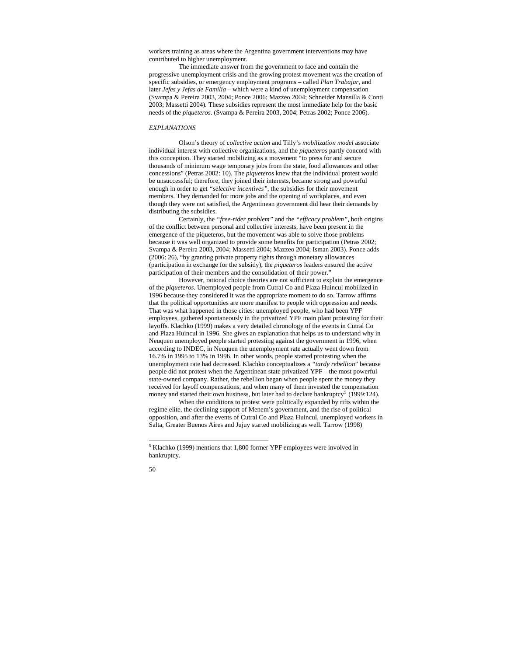workers training as areas where the Argentina government interventions may have contributed to higher unemployment.

 The immediate answer from the government to face and contain the progressive unemployment crisis and the growing protest movement was the creation of specific subsidies, or emergency employment programs – called *Plan Trabajar*, and later *Jefes y Jefas de Familia* – which were a kind of unemployment compensation (Svampa & Pereira 2003, 2004; Ponce 2006; Mazzeo 2004; Schneider Mansilla & Conti 2003; Massetti 2004). These subsidies represent the most immediate help for the basic needs of the *piqueteros*. (Svampa & Pereira 2003, 2004; Petras 2002; Ponce 2006).

# *EXPLANATIONS*

 Olson's theory of *collective action* and Tilly's *mobilization model* associate individual interest with collective organizations, and the *piqueteros* partly concord with this conception. They started mobilizing as a movement "to press for and secure thousands of minimum wage temporary jobs from the state, food allowances and other concessions" (Petras 2002: 10). The *piqueteros* knew that the individual protest would be unsuccessful; therefore, they joined their interests, became strong and powerful enough in order to get *"selective incentives"*, the subsidies for their movement members. They demanded for more jobs and the opening of workplaces, and even though they were not satisfied, the Argentinean government did hear their demands by distributing the subsidies.

 Certainly, the *"free-rider problem"* and the *"efficacy problem"*, both origins of the conflict between personal and collective interests, have been present in the emergence of the piqueteros, but the movement was able to solve those problems because it was well organized to provide some benefits for participation (Petras 2002; Svampa & Pereira 2003, 2004; Massetti 2004; Mazzeo 2004; Isman 2003). Ponce adds (2006: 26), "by granting private property rights through monetary allowances (participation in exchange for the subsidy), the *piqueteros* leaders ensured the active participation of their members and the consolidation of their power."

 However, rational choice theories are not sufficient to explain the emergence of the *piqueteros*. Unemployed people from Cutral Co and Plaza Huincul mobilized in 1996 because they considered it was the appropriate moment to do so. Tarrow affirms that the political opportunities are more manifest to people with oppression and needs. That was what happened in those cities: unemployed people, who had been YPF employees, gathered spontaneously in the privatized YPF main plant protesting for their layoffs. Klachko (1999) makes a very detailed chronology of the events in Cutral Co and Plaza Huincul in 1996. She gives an explanation that helps us to understand why in Neuquen unemployed people started protesting against the government in 1996, when according to INDEC, in Neuquen the unemployment rate actually went down from 16.7% in 1995 to 13% in 1996. In other words, people started protesting when the unemployment rate had decreased. Klachko conceptualizes a *"tardy rebellion*" because people did not protest when the Argentinean state privatized YPF – the most powerful state-owned company. Rather, the rebellion began when people spent the money they received for layoff compensations, and when many of them invested the compensation money and started their own business, but later had to declare bankruptcy<sup>[5](#page-49-0)</sup> (1999:124).

 When the conditions to protest were politically expanded by rifts within the regime elite, the declining support of Menem's government, and the rise of political opposition, and after the events of Cutral Co and Plaza Huincul, unemployed workers in Salta, Greater Buenos Aires and Jujuy started mobilizing as well. Tarrow (1998)

 $\overline{a}$ 

<sup>&</sup>lt;sup>5</sup> Klachko (1999) mentions that 1,800 former YPF employees were involved in bankruptcy.

<span id="page-49-0"></span><sup>50</sup>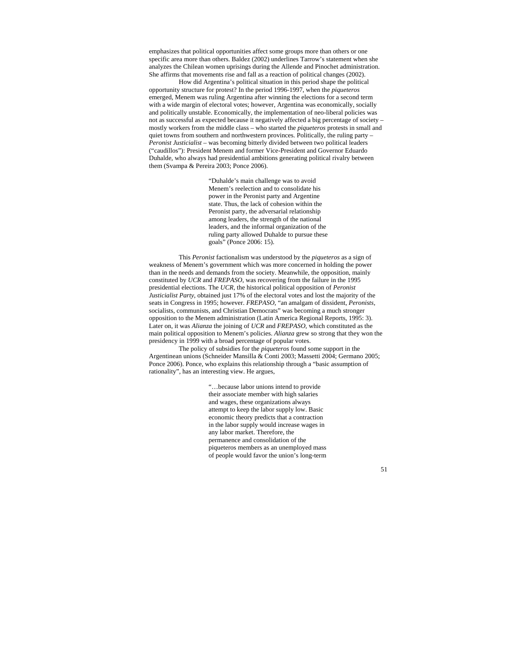emphasizes that political opportunities affect some groups more than others or one specific area more than others. Baldez (2002) underlines Tarrow's statement when she analyzes the Chilean women uprisings during the Allende and Pinochet administration. She affirms that movements rise and fall as a reaction of political changes (2002).

 How did Argentina's political situation in this period shape the political opportunity structure for protest? In the period 1996-1997, when the *piqueteros* emerged, Menem was ruling Argentina after winning the elections for a second term with a wide margin of electoral votes; however, Argentina was economically, socially and politically unstable. Economically, the implementation of neo-liberal policies was not as successful as expected because it negatively affected a big percentage of society – mostly workers from the middle class – who started the *piqueteros* protests in small and quiet towns from southern and northwestern provinces. Politically, the ruling party – *Peronist Justicialist* – was becoming bitterly divided between two political leaders ("caudillos"): President Menem and former Vice-President and Governor Eduardo Duhalde, who always had presidential ambitions generating political rivalry between them (Svampa & Pereira 2003; Ponce 2006).

> "Duhalde's main challenge was to avoid Menem's reelection and to consolidate his power in the Peronist party and Argentine state. Thus, the lack of cohesion within the Peronist party, the adversarial relationship among leaders, the strength of the national leaders, and the informal organization of the ruling party allowed Duhalde to pursue these goals" (Ponce 2006: 15).

 This *Peronist* factionalism was understood by the *piqueteros* as a sign of weakness of Menem's government which was more concerned in holding the power than in the needs and demands from the society. Meanwhile, the opposition, mainly constituted by *UCR* and *FREPASO*, was recovering from the failure in the 1995 presidential elections. The *UCR*, the historical political opposition of *Peronist Justicialist Party*, obtained just 17% of the electoral votes and lost the majority of the seats in Congress in 1995; however. *FREPASO*, "an amalgam of dissident, *Peronists*, socialists, communists, and Christian Democrats" was becoming a much stronger opposition to the Menem administration (Latin America Regional Reports, 1995: 3). Later on, it was *Alianza* the joining of *UCR* and *FREPASO*, which constituted as the main political opposition to Menem's policies. *Alianza* grew so strong that they won the presidency in 1999 with a broad percentage of popular votes.

 The policy of subsidies for the *piqueteros* found some support in the Argentinean unions (Schneider Mansilla & Conti 2003; Massetti 2004; Germano 2005; Ponce 2006). Ponce, who explains this relationship through a "basic assumption of rationality", has an interesting view. He argues,

> "…because labor unions intend to provide their associate member with high salaries and wages, these organizations always attempt to keep the labor supply low. Basic economic theory predicts that a contraction in the labor supply would increase wages in any labor market. Therefore, the permanence and consolidation of the piqueteros members as an unemployed mass of people would favor the union's long-term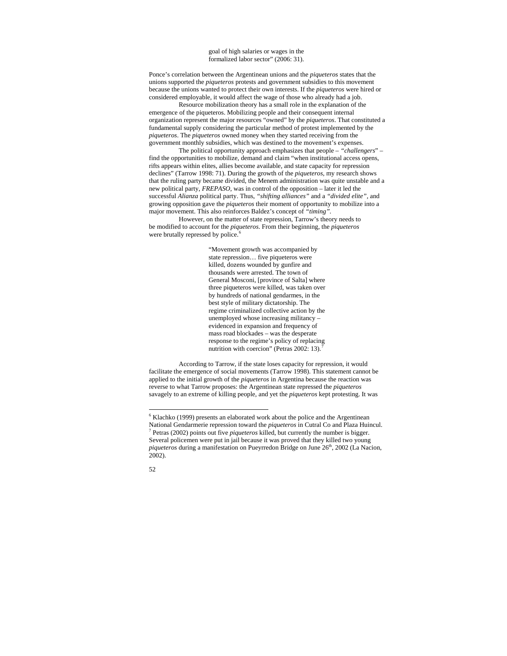goal of high salaries or wages in the formalized labor sector" (2006: 31).

Ponce's correlation between the Argentinean unions and the *piqueteros* states that the unions supported the *piqueteros* protests and government subsidies to this movement because the unions wanted to protect their own interests. If the *piqueteros* were hired or considered employable, it would affect the wage of those who already had a job. Resource mobilization theory has a small role in the explanation of the

emergence of the piqueteros. Mobilizing people and their consequent internal organization represent the major resources "owned" by the *piqueteros*. That constituted a fundamental supply considering the particular method of protest implemented by the *piqueteros*. The *piqueteros* owned money when they started receiving from the government monthly subsidies, which was destined to the movement's expenses.

 The political opportunity approach emphasizes that people – *"challengers*" – find the opportunities to mobilize, demand and claim "when institutional access opens, rifts appears within elites, allies become available, and state capacity for repression declines" (Tarrow 1998: 71). During the growth of the *piqueteros*, my research shows that the ruling party became divided, the Menem administration was quite unstable and a new political party, *FREPASO*, was in control of the opposition – later it led the successful *Alianza* political party. Thus, *"shifting alliances"* and a *"divided elite",* and growing opposition gave the *piqueteros* their moment of opportunity to mobilize into a major movement. This also reinforces Baldez's concept of *"timing".*

 However, on the matter of state repression, Tarrow's theory needs to be modified to account for the *piqueteros*. From their beginning, the *piqueteros* were brutally repressed by police.<sup>[6](#page-51-0)</sup>

> "Movement growth was accompanied by state repression… five piqueteros were killed, dozens wounded by gunfire and thousands were arrested. The town of General Mosconi, [province of Salta] where three piqueteros were killed, was taken over by hundreds of national gendarmes, in the best style of military dictatorship. The regime criminalized collective action by the unemployed whose increasing militancy – evidenced in expansion and frequency of mass road blockades – was the desperate response to the regime's policy of replacing nutrition with coercion" (Petras 2002: 13).

 According to Tarrow, if the state loses capacity for repression, it would facilitate the emergence of social movements (Tarrow 1998). This statement cannot be applied to the initial growth of the *piqueteros* in Argentina because the reaction was reverse to what Tarrow proposes: the Argentinean state repressed the *piqueteros* savagely to an extreme of killing people, and yet the *piqueteros* kept protesting. It was

<span id="page-51-1"></span><span id="page-51-0"></span> $6$  Klachko (1999) presents an elaborated work about the police and the Argentinean National Gendarmerie repression toward the *piqueteros* in Cutral Co and Plaza Huincul. 7  $^7$  Petras (2002) points out five *piqueteros* killed, but currently the number is bigger. Several policemen were put in jail because it was proved that they killed two young *piqueteros* during a manifestation on Pueyrredon Bridge on June 26<sup>th</sup>, 2002 (La Nacion, 2002).



 $\overline{a}$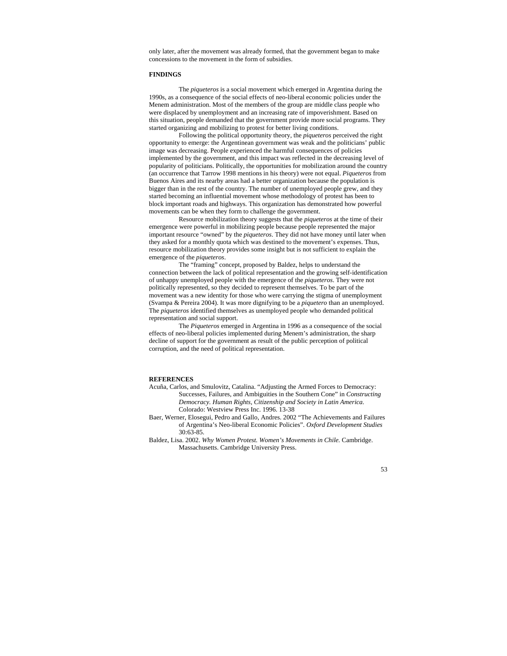only later, after the movement was already formed, that the government began to make concessions to the movement in the form of subsidies.

## **FINDINGS**

 The *piqueteros* is a social movement which emerged in Argentina during the 1990s, as a consequence of the social effects of neo-liberal economic policies under the Menem administration. Most of the members of the group are middle class people who were displaced by unemployment and an increasing rate of impoverishment. Based on this situation, people demanded that the government provide more social programs. They started organizing and mobilizing to protest for better living conditions.

 Following the political opportunity theory, the *piqueteros* perceived the right opportunity to emerge: the Argentinean government was weak and the politicians' public image was decreasing. People experienced the harmful consequences of policies implemented by the government, and this impact was reflected in the decreasing level of popularity of politicians. Politically, the opportunities for mobilization around the country (an occurrence that Tarrow 1998 mentions in his theory) were not equal. *Piqueteros* from Buenos Aires and its nearby areas had a better organization because the population is bigger than in the rest of the country. The number of unemployed people grew, and they started becoming an influential movement whose methodology of protest has been to block important roads and highways. This organization has demonstrated how powerful movements can be when they form to challenge the government.

 Resource mobilization theory suggests that the *piqueteros* at the time of their emergence were powerful in mobilizing people because people represented the major important resource "owned" by the *piqueteros*. They did not have money until later when they asked for a monthly quota which was destined to the movement's expenses. Thus, resource mobilization theory provides some insight but is not sufficient to explain the emergence of the *piqueteros*.

 The "framing" concept, proposed by Baldez, helps to understand the connection between the lack of political representation and the growing self-identification of unhappy unemployed people with the emergence of the *piqueteros*. They were not politically represented, so they decided to represent themselves. To be part of the movement was a new identity for those who were carrying the stigma of unemployment (Svampa & Pereira 2004). It was more dignifying to be a *piquetero* than an unemployed. The *piqueteros* identified themselves as unemployed people who demanded political representation and social support.

 The *Piqueteros* emerged in Argentina in 1996 as a consequence of the social effects of neo-liberal policies implemented during Menem's administration, the sharp decline of support for the government as result of the public perception of political corruption, and the need of political representation.

# **REFERENCES**

- Acuña, Carlos, and Smulovitz, Catalina. "Adjusting the Armed Forces to Democracy: Successes, Failures, and Ambiguities in the Southern Cone" in *Constructing Democracy. Human Rights, Citizenship and Society in Latin America.* Colorado: Westview Press Inc. 1996. 13-38
- Baer, Werner, Elosegui, Pedro and Gallo, Andres. 2002 "The Achievements and Failures of Argentina's Neo-liberal Economic Policies". *Oxford Development Studies*  30:63-85.
- Baldez, Lisa. 2002. *Why Women Protest. Women's Movements in Chile.* Cambridge. Massachusetts. Cambridge University Press.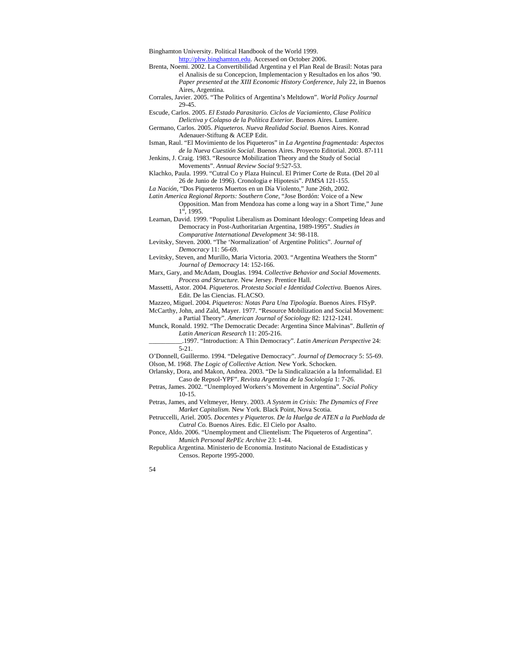Binghamton University. Political Handbook of the World 1999.

[http://phw.binghamton.edu.](http://phw.binghamton.edu/) Accessed on October 2006.

- Brenta, Noemi. 2002. La Convertibilidad Argentina y el Plan Real de Brasil: Notas para el Analisis de su Concepcion, Implementacion y Resultados en los años '90. *Paper presented at the XIII Economic History Conference*, July 22, in Buenos Aires, Argentina.
- Corrales, Javier. 2005. "The Politics of Argentina's Meltdown". *World Policy Journal*  29-45.

Escude, Carlos. 2005. *El Estado Parasitario. Ciclos de Vaciamiento, Clase Política Delictiva y Colapso de la Política Exterior.* Buenos Aires. Lumiere.

- Germano, Carlos. 2005. *Piqueteros. Nueva Realidad Social.* Buenos Aires. Konrad Adenauer-Stiftung & ACEP Edit.
- Isman, Raul. "El Movimiento de los Piqueteros" in *La Argentina fragmentada: Aspectos de la Nueva Cuestión Social*. Buenos Aires. Proyecto Editorial. 2003. 87-111
- Jenkins, J. Craig. 1983. "Resource Mobilization Theory and the Study of Social Movements". *Annual Review Social* 9:527-53.

Klachko, Paula. 1999. "Cutral Co y Plaza Huincul. El Primer Corte de Ruta. (Del 20 al 26 de Junio de 1996). Cronologia e Hipotesis". *PIMSA* 121-155.

*La Nación*, "Dos Piqueteros Muertos en un Día Violento," June 26th, 2002.

*Latin America Regional Reports: Southern Cone*, "Jose Bordón: Voice of a New Opposition. Man from Mendoza has come a long way in a Short Time," June 1st, 1995.

Leaman, David. 1999. "Populist Liberalism as Dominant Ideology: Competing Ideas and Democracy in Post-Authoritarian Argentina, 1989-1995". *Studies in Comparative International Development* 34: 98-118.

Levitsky, Steven. 2000. "The 'Normalization' of Argentine Politics". *Journal of Democracy* 11: 56-69.

Levitsky, Steven, and Murillo, Maria Victoria. 2003. "Argentina Weathers the Storm" *Journal of Democracy* 14: 152-166.

Marx, Gary, and McAdam, Douglas. 1994. *Collective Behavior and Social Movements. Process and Structure.* New Jersey. Prentice Hall.

Massetti, Astor. 2004. *Piqueteros. Protesta Social e Identidad Colectiva.* Buenos Aires. Edit. De las Ciencias. FLACSO.

Mazzeo, Miguel. 2004. *Piqueteros: Notas Para Una Tipología*. Buenos Aires. FISyP.

McCarthy, John, and Zald, Mayer. 1977. "Resource Mobilization and Social Movement: a Partial Theory". *American Journal of Sociology* 82: 1212-1241.

Munck, Ronald. 1992. "The Democratic Decade: Argentina Since Malvinas". *Bulletin of Latin American Research* 11: 205-216.

\_\_\_\_\_\_\_\_\_\_.1997. "Introduction: A Thin Democracy". *Latin American Perspective* 24: 5-21.

O'Donnell, Guillermo. 1994. "Delegative Democracy". *Journal of Democracy* 5: 55-69. Olson, M. 1968. *The Logic of Collective Action.* New York. Schocken.

Orlansky, Dora, and Makon, Andrea. 2003. "De la Sindicalización a la Informalidad. El Caso de Repsol-YPF". *Revista Argentina de la Sociología* 1: 7-26.

Petras, James. 2002. "Unemployed Workers's Movement in Argentina". *Social Policy*  10-15*.*

Petras, James, and Veltmeyer, Henry. 2003. *A System in Crisis: The Dynamics of Free Market Capitalism.* New York. Black Point, Nova Scotia.

Petruccelli, Ariel. 2005. *Docentes y Piqueteros. De la Huelga de ATEN a la Pueblada de Cutral Co.* Buenos Aires. Edic. El Cielo por Asalto.

Ponce, Aldo. 2006. "Unemployment and Clientelism: The Piqueteros of Argentina". *Munich Personal RePEc Archive* 23: 1-44.

Republica Argentina. Ministerio de Economia. Instituto Nacional de Estadisticas y Censos. Reporte 1995-2000.

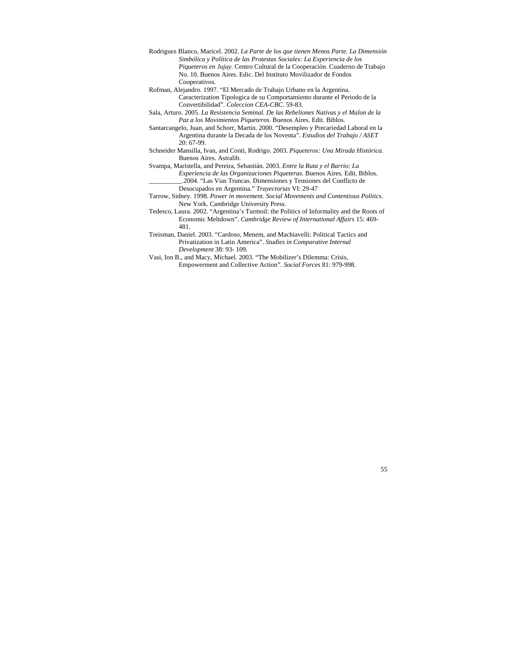- Rodriguez Blanco, Maricel. 2002. *La Parte de los que tienen Menos Parte. La Dimensión Simbólica y Política de las Protestas Sociales: La Experiencia de los Piqueteros en Jujuy.* Centro Cultural de la Cooperación. Cuaderno de Trabajo No. 10. Buenos Aires. Edic. Del Instituto Movilizador de Fondos Cooperativos.
- Rofman, Alejandro. 1997. "El Mercado de Trabajo Urbano en la Argentina. Caracterization Tipologica de su Comportamiento durante el Periodo de la Convertibilidad". *Coleccion CEA-CBC*. 59-83*.*
- Sala, Arturo. 2005. *La Resistencia Seminal. De las Rebeliones Nativas y el Malon de la Paz a los Movimientos Piqueteros.* Buenos Aires. Edit. Biblos.
- Santarcangelo, Juan, and Schorr, Martin. 2000. "Desempleo y Precariedad Laboral en la Argentina durante la Decada de los Noventa". *Estudios del Trabajo / ASET*  20: 67-99.
- Schneider Mansilla, Ivan, and Conti, Rodrigo. 2003. *Piqueteros: Una Mirada Histórica*. Buenos Aires. Astralib.
- Svampa, Maristella, and Pereira, Sebastián. 2003. *Entre la Ruta y el Barrio: La Experiencia de las Organizaciones Piqueteras.* Buenos Aires. Edit. Biblos. \_\_\_\_\_\_\_\_\_\_.2004. "Las Vias Truncas. Dimensiones y Tensiones del Conflicto de Desocupados en Argentina." *Trayectorias* VI: 29-47
- Tarrow, Sidney. 1998. *Power in movement. Social Movements and Contentious Politics*. New York. Cambridge University Press.
- Tedesco, Laura. 2002. "Argentina's Turmoil: the Politics of Informality and the Roots of Economic Meltdown". *Cambridge Review of International Affairs* 15: 469- 481.
- Treisman, Daniel. 2003. "Cardoso, Menem, and Machiavelli: Political Tactics and Privatization in Latin America". *Studies in Comparative Internal Development* 38: 93- 109.
- Vasi, Ion B., and Macy, Michael. 2003. "The Mobilizer's Dilemma: Crisis, Empowerment and Collective Action". *Social Forces* 81: 979-998.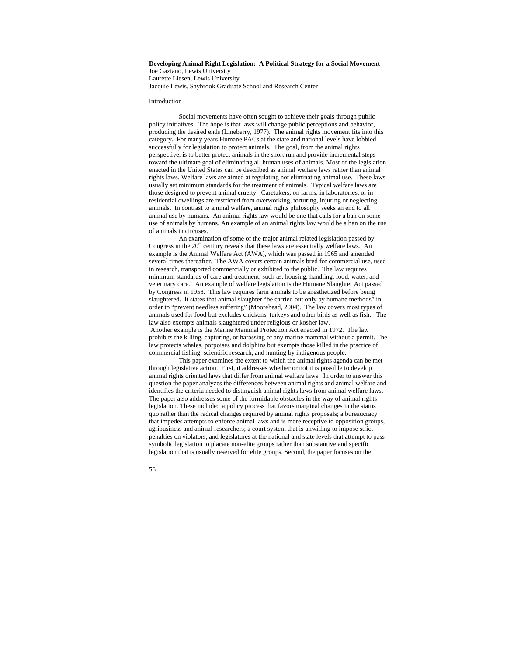# **Developing Animal Right Legislation: A Political Strategy for a Social Movement**  Joe Gaziano, Lewis University Laurette Liesen, Lewis University

Jacquie Lewis, Saybrook Graduate School and Research Center

## Introduction

Social movements have often sought to achieve their goals through public policy initiatives. The hope is that laws will change public perceptions and behavior, producing the desired ends (Lineberry, 1977). The animal rights movement fits into this category. For many years Humane PACs at the state and national levels have lobbied successfully for legislation to protect animals. The goal, from the animal rights perspective, is to better protect animals in the short run and provide incremental steps toward the ultimate goal of eliminating all human uses of animals. Most of the legislation enacted in the United States can be described as animal welfare laws rather than animal rights laws. Welfare laws are aimed at regulating not eliminating animal use. These laws usually set minimum standards for the treatment of animals. Typical welfare laws are those designed to prevent animal cruelty. Caretakers, on farms, in laboratories, or in residential dwellings are restricted from overworking, torturing, injuring or neglecting animals. In contrast to animal welfare, animal rights philosophy seeks an end to all animal use by humans. An animal rights law would be one that calls for a ban on some use of animals by humans. An example of an animal rights law would be a ban on the use of animals in circuses.

An examination of some of the major animal related legislation passed by Congress in the  $20<sup>th</sup>$  century reveals that these laws are essentially welfare laws. An example is the Animal Welfare Act (AWA), which was passed in 1965 and amended several times thereafter. The AWA covers certain animals bred for commercial use, used in research, transported commercially or exhibited to the public. The law requires minimum standards of care and treatment, such as, housing, handling, food, water, and veterinary care. An example of welfare legislation is the Humane Slaughter Act passed by Congress in 1958. This law requires farm animals to be anesthetized before being slaughtered. It states that animal slaughter "be carried out only by humane methods" in order to "prevent needless suffering" (Moorehead, 2004). The law covers most types of animals used for food but excludes chickens, turkeys and other birds as well as fish. The law also exempts animals slaughtered under religious or kosher law. Another example is the Marine Mammal Protection Act enacted in 1972. The law prohibits the killing, capturing, or harassing of any marine mammal without a permit. The law protects whales, porpoises and dolphins but exempts those killed in the practice of commercial fishing, scientific research, and hunting by indigenous people.

This paper examines the extent to which the animal rights agenda can be met through legislative action. First, it addresses whether or not it is possible to develop animal rights oriented laws that differ from animal welfare laws. In order to answer this question the paper analyzes the differences between animal rights and animal welfare and identifies the criteria needed to distinguish animal rights laws from animal welfare laws. The paper also addresses some of the formidable obstacles in the way of animal rights legislation. These include: a policy process that favors marginal changes in the status quo rather than the radical changes required by animal rights proposals; a bureaucracy that impedes attempts to enforce animal laws and is more receptive to opposition groups, agribusiness and animal researchers; a court system that is unwilling to impose strict penalties on violators; and legislatures at the national and state levels that attempt to pass symbolic legislation to placate non-elite groups rather than substantive and specific legislation that is usually reserved for elite groups. Second, the paper focuses on the

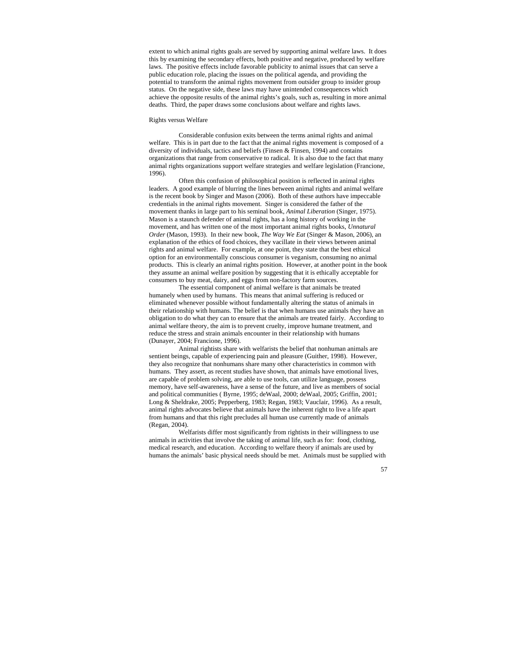extent to which animal rights goals are served by supporting animal welfare laws. It does this by examining the secondary effects, both positive and negative, produced by welfare laws. The positive effects include favorable publicity to animal issues that can serve a public education role, placing the issues on the political agenda, and providing the potential to transform the animal rights movement from outsider group to insider group status. On the negative side, these laws may have unintended consequences which achieve the opposite results of the animal rights's goals, such as, resulting in more animal deaths. Third, the paper draws some conclusions about welfare and rights laws.

## Rights versus Welfare

Considerable confusion exits between the terms animal rights and animal welfare. This is in part due to the fact that the animal rights movement is composed of a diversity of individuals, tactics and beliefs (Finsen & Finsen, 1994) and contains organizations that range from conservative to radical. It is also due to the fact that many animal rights organizations support welfare strategies and welfare legislation (Francione, 1996).

Often this confusion of philosophical position is reflected in animal rights leaders. A good example of blurring the lines between animal rights and animal welfare is the recent book by Singer and Mason (2006). Both of these authors have impeccable credentials in the animal rights movement. Singer is considered the father of the movement thanks in large part to his seminal book, *Animal Liberation* (Singer, 1975). Mason is a staunch defender of animal rights, has a long history of working in the movement, and has written one of the most important animal rights books, *Unnatural Order* (Mason, 1993). In their new book, *The Way We Eat* (Singer & Mason, 2006), an explanation of the ethics of food choices, they vacillate in their views between animal rights and animal welfare. For example, at one point, they state that the best ethical option for an environmentally conscious consumer is veganism, consuming no animal products. This is clearly an animal rights position. However, at another point in the book they assume an animal welfare position by suggesting that it is ethically acceptable for consumers to buy meat, dairy, and eggs from non-factory farm sources.

The essential component of animal welfare is that animals be treated humanely when used by humans. This means that animal suffering is reduced or eliminated whenever possible without fundamentally altering the status of animals in their relationship with humans. The belief is that when humans use animals they have an obligation to do what they can to ensure that the animals are treated fairly. According to animal welfare theory, the aim is to prevent cruelty, improve humane treatment, and reduce the stress and strain animals encounter in their relationship with humans (Dunayer, 2004; Francione, 1996).

Animal rightists share with welfarists the belief that nonhuman animals are sentient beings, capable of experiencing pain and pleasure (Guither, 1998). However, they also recognize that nonhumans share many other characteristics in common with humans. They assert, as recent studies have shown, that animals have emotional lives, are capable of problem solving, are able to use tools, can utilize language, possess memory, have self-awareness, have a sense of the future, and live as members of social and political communities ( Byrne, 1995; deWaal, 2000; deWaal, 2005; Griffin, 2001; Long & Sheldrake, 2005; Pepperberg, 1983; Regan, 1983; Vauclair, 1996). As a result, animal rights advocates believe that animals have the inherent right to live a life apart from humans and that this right precludes all human use currently made of animals (Regan, 2004).

Welfarists differ most significantly from rightists in their willingness to use animals in activities that involve the taking of animal life, such as for: food, clothing, medical research, and education. According to welfare theory if animals are used by humans the animals' basic physical needs should be met. Animals must be supplied with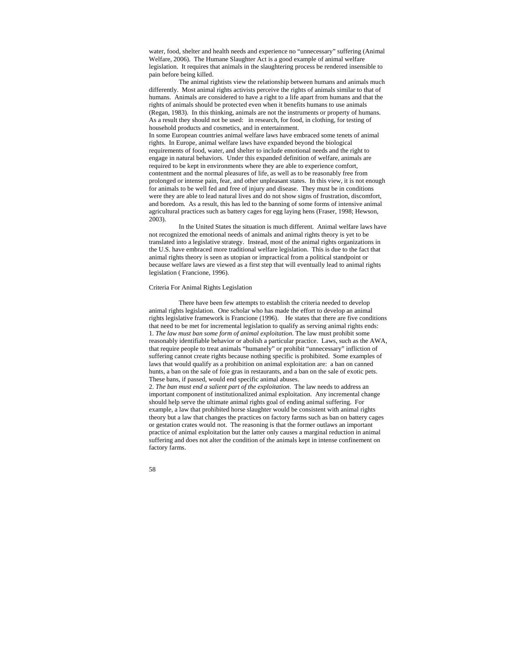water, food, shelter and health needs and experience no "unnecessary" suffering (Animal Welfare, 2006). The Humane Slaughter Act is a good example of animal welfare legislation. It requires that animals in the slaughtering process be rendered insensible to pain before being killed.

The animal rightists view the relationship between humans and animals much differently. Most animal rights activists perceive the rights of animals similar to that of humans. Animals are considered to have a right to a life apart from humans and that the rights of animals should be protected even when it benefits humans to use animals (Regan, 1983). In this thinking, animals are not the instruments or property of humans. As a result they should not be used: in research, for food, in clothing, for testing of household products and cosmetics, and in entertainment.

In some European countries animal welfare laws have embraced some tenets of animal rights. In Europe, animal welfare laws have expanded beyond the biological requirements of food, water, and shelter to include emotional needs and the right to engage in natural behaviors. Under this expanded definition of welfare, animals are required to be kept in environments where they are able to experience comfort, contentment and the normal pleasures of life, as well as to be reasonably free from prolonged or intense pain, fear, and other unpleasant states. In this view, it is not enough for animals to be well fed and free of injury and disease. They must be in conditions were they are able to lead natural lives and do not show signs of frustration, discomfort, and boredom. As a result, this has led to the banning of some forms of intensive animal agricultural practices such as battery cages for egg laying hens (Fraser, 1998; Hewson, 2003).

In the United States the situation is much different. Animal welfare laws have not recognized the emotional needs of animals and animal rights theory is yet to be translated into a legislative strategy. Instead, most of the animal rights organizations in the U.S. have embraced more traditional welfare legislation. This is due to the fact that animal rights theory is seen as utopian or impractical from a political standpoint or because welfare laws are viewed as a first step that will eventually lead to animal rights legislation ( Francione, 1996).

### Criteria For Animal Rights Legislation

There have been few attempts to establish the criteria needed to develop animal rights legislation. One scholar who has made the effort to develop an animal rights legislative framework is Francione (1996). He states that there are five conditions that need to be met for incremental legislation to qualify as serving animal rights ends: 1*. The law must ban some form of animal exploitation*. The law must prohibit some reasonably identifiable behavior or abolish a particular practice. Laws, such as the AWA, that require people to treat animals "humanely" or prohibit "unnecessary" infliction of suffering cannot create rights because nothing specific is prohibited. Some examples of laws that would qualify as a prohibition on animal exploitation are: a ban on canned hunts, a ban on the sale of foie gras in restaurants, and a ban on the sale of exotic pets. These bans, if passed, would end specific animal abuses.

2. *The ban must end a salient part of the exploitation*. The law needs to address an important component of institutionalized animal exploitation. Any incremental change should help serve the ultimate animal rights goal of ending animal suffering. For example, a law that prohibited horse slaughter would be consistent with animal rights theory but a law that changes the practices on factory farms such as ban on battery cages or gestation crates would not. The reasoning is that the former outlaws an important practice of animal exploitation but the latter only causes a marginal reduction in animal suffering and does not alter the condition of the animals kept in intense confinement on factory farms.

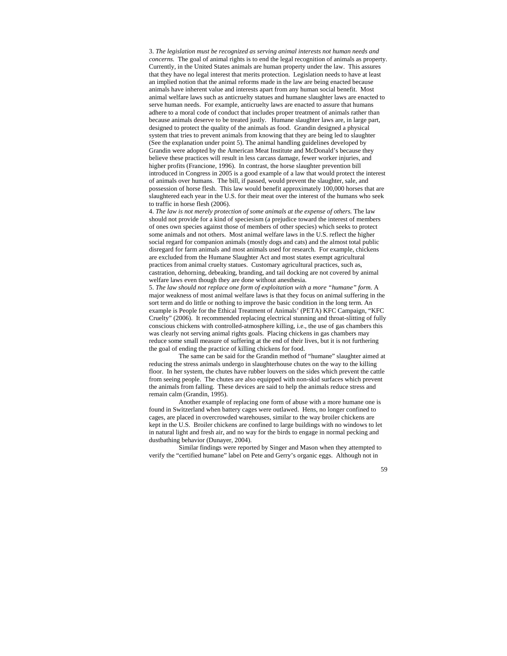3. *The legislation must be recognized as serving animal interests not human needs and concerns.* The goal of animal rights is to end the legal recognition of animals as property. Currently, in the United States animals are human property under the law. This assures that they have no legal interest that merits protection. Legislation needs to have at least an implied notion that the animal reforms made in the law are being enacted because animals have inherent value and interests apart from any human social benefit. Most animal welfare laws such as anticruelty statues and humane slaughter laws are enacted to serve human needs. For example, anticruelty laws are enacted to assure that humans adhere to a moral code of conduct that includes proper treatment of animals rather than because animals deserve to be treated justly. Humane slaughter laws are, in large part, designed to protect the quality of the animals as food. Grandin designed a physical system that tries to prevent animals from knowing that they are being led to slaughter (See the explanation under point 5). The animal handling guidelines developed by Grandin were adopted by the American Meat Institute and McDonald's because they believe these practices will result in less carcass damage, fewer worker injuries, and higher profits (Francione, 1996). In contrast, the horse slaughter prevention bill introduced in Congress in 2005 is a good example of a law that would protect the interest of animals over humans. The bill, if passed, would prevent the slaughter, sale, and possession of horse flesh. This law would benefit approximately 100,000 horses that are slaughtered each year in the U.S. for their meat over the interest of the humans who seek to traffic in horse flesh (2006).

4. *The law is not merely protection of some animals at the expense of others.* The law should not provide for a kind of speciesism (a prejudice toward the interest of members of ones own species against those of members of other species) which seeks to protect some animals and not others. Most animal welfare laws in the U.S. reflect the higher social regard for companion animals (mostly dogs and cats) and the almost total public disregard for farm animals and most animals used for research. For example, chickens are excluded from the Humane Slaughter Act and most states exempt agricultural practices from animal cruelty statues. Customary agricultural practices, such as, castration, dehorning, debeaking, branding, and tail docking are not covered by animal welfare laws even though they are done without anesthesia.

5. *The law should not replace one form of exploitation with a more "humane" form.* A major weakness of most animal welfare laws is that they focus on animal suffering in the sort term and do little or nothing to improve the basic condition in the long term. An example is People for the Ethical Treatment of Animals' (PETA) KFC Campaign, "KFC Cruelty" (2006). It recommended replacing electrical stunning and throat-slitting of fully conscious chickens with controlled-atmosphere killing, i.e., the use of gas chambers this was clearly not serving animal rights goals. Placing chickens in gas chambers may reduce some small measure of suffering at the end of their lives, but it is not furthering the goal of ending the practice of killing chickens for food.

The same can be said for the Grandin method of "humane" slaughter aimed at reducing the stress animals undergo in slaughterhouse chutes on the way to the killing floor. In her system, the chutes have rubber louvers on the sides which prevent the cattle from seeing people. The chutes are also equipped with non-skid surfaces which prevent the animals from falling. These devices are said to help the animals reduce stress and remain calm (Grandin, 1995).

Another example of replacing one form of abuse with a more humane one is found in Switzerland when battery cages were outlawed. Hens, no longer confined to cages, are placed in overcrowded warehouses, similar to the way broiler chickens are kept in the U.S. Broiler chickens are confined to large buildings with no windows to let in natural light and fresh air, and no way for the birds to engage in normal pecking and dustbathing behavior (Dunayer, 2004).

Similar findings were reported by Singer and Mason when they attempted to verify the "certified humane" label on Pete and Gerry's organic eggs. Although not in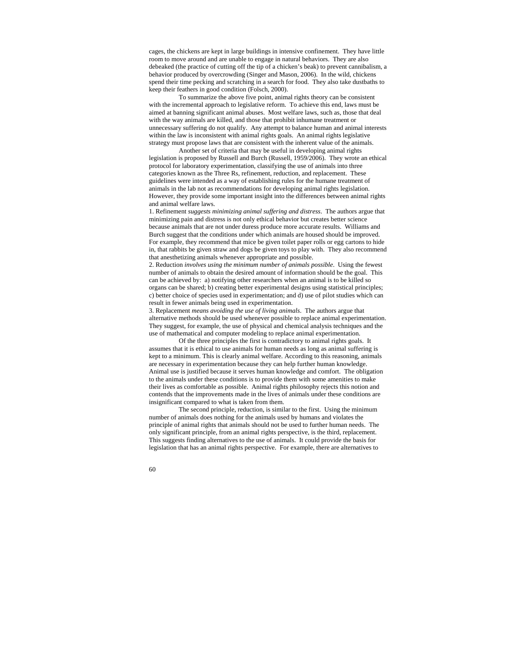cages, the chickens are kept in large buildings in intensive confinement. They have little room to move around and are unable to engage in natural behaviors. They are also debeaked (the practice of cutting off the tip of a chicken's beak) to prevent cannibalism, a behavior produced by overcrowding (Singer and Mason, 2006).In the wild, chickens spend their time pecking and scratching in a search for food. They also take dustbaths to keep their feathers in good condition (Folsch, 2000).

To summarize the above five point, animal rights theory can be consistent with the incremental approach to legislative reform. To achieve this end, laws must be aimed at banning significant animal abuses. Most welfare laws, such as, those that deal with the way animals are killed, and those that prohibit inhumane treatment or unnecessary suffering do not qualify. Any attempt to balance human and animal interests within the law is inconsistent with animal rights goals. An animal rights legislative strategy must propose laws that are consistent with the inherent value of the animals.

 Another set of criteria that may be useful in developing animal rights legislation is proposed by Russell and Burch (Russell, 1959/2006). They wrote an ethical protocol for laboratory experimentation, classifying the use of animals into three categories known as the Three Rs, refinement, reduction, and replacement. These guidelines were intended as a way of establishing rules for the humane treatment of animals in the lab not as recommendations for developing animal rights legislation. However, they provide some important insight into the differences between animal rights and animal welfare laws.

1. Refinement *suggests minimizing animal suffering and distress*. The authors argue that minimizing pain and distress is not only ethical behavior but creates better science because animals that are not under duress produce more accurate results. Williams and Burch suggest that the conditions under which animals are housed should be improved. For example, they recommend that mice be given toilet paper rolls or egg cartons to hide in, that rabbits be given straw and dogs be given toys to play with. They also recommend that anesthetizing animals whenever appropriate and possible.

2. Reduction *involves using the minimum number of animals possible*. Using the fewest number of animals to obtain the desired amount of information should be the goal. This can be achieved by: a) notifying other researchers when an animal is to be killed so organs can be shared; b) creating better experimental designs using statistical principles; c) better choice of species used in experimentation; and d) use of pilot studies which can result in fewer animals being used in experimentation.

3. Replacement *means avoiding the use of living animals*. The authors argue that alternative methods should be used whenever possible to replace animal experimentation. They suggest, for example, the use of physical and chemical analysis techniques and the use of mathematical and computer modeling to replace animal experimentation.

Of the three principles the first is contradictory to animal rights goals. It assumes that it is ethical to use animals for human needs as long as animal suffering is kept to a minimum. This is clearly animal welfare. According to this reasoning, animals are necessary in experimentation because they can help further human knowledge. Animal use is justified because it serves human knowledge and comfort. The obligation to the animals under these conditions is to provide them with some amenities to make their lives as comfortable as possible. Animal rights philosophy rejects this notion and contends that the improvements made in the lives of animals under these conditions are insignificant compared to what is taken from them.

The second principle, reduction, is similar to the first. Using the minimum number of animals does nothing for the animals used by humans and violates the principle of animal rights that animals should not be used to further human needs. The only significant principle, from an animal rights perspective, is the third, replacement. This suggests finding alternatives to the use of animals. It could provide the basis for legislation that has an animal rights perspective. For example, there are alternatives to

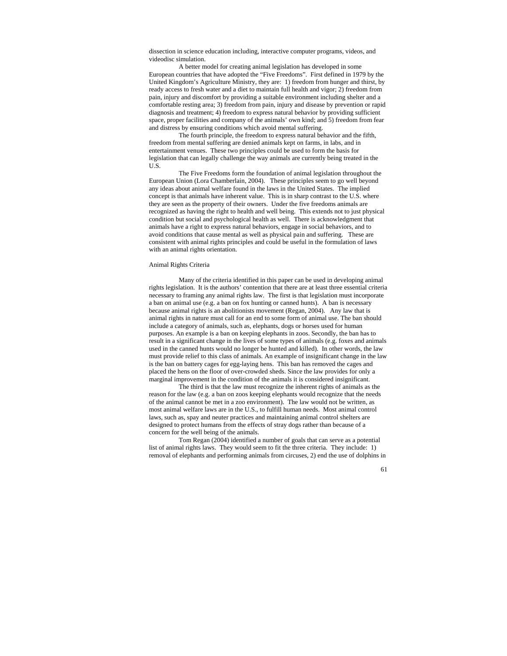dissection in science education including, interactive computer programs, videos, and videodisc simulation.

A better model for creating animal legislation has developed in some European countries that have adopted the "Five Freedoms". First defined in 1979 by the United Kingdom's Agriculture Ministry, they are: 1) freedom from hunger and thirst, by ready access to fresh water and a diet to maintain full health and vigor; 2) freedom from pain, injury and discomfort by providing a suitable environment including shelter and a comfortable resting area; 3) freedom from pain, injury and disease by prevention or rapid diagnosis and treatment; 4) freedom to express natural behavior by providing sufficient space, proper facilities and company of the animals' own kind; and 5) freedom from fear and distress by ensuring conditions which avoid mental suffering.

The fourth principle, the freedom to express natural behavior and the fifth, freedom from mental suffering are denied animals kept on farms, in labs, and in entertainment venues. These two principles could be used to form the basis for legislation that can legally challenge the way animals are currently being treated in the U.S.

The Five Freedoms form the foundation of animal legislation throughout the European Union (Lora Chamberlain, 2004). These principles seem to go well beyond any ideas about animal welfare found in the laws in the United States. The implied concept is that animals have inherent value. This is in sharp contrast to the U.S. where they are seen as the property of their owners. Under the five freedoms animals are recognized as having the right to health and well being. This extends not to just physical condition but social and psychological health as well. There is acknowledgment that animals have a right to express natural behaviors, engage in social behaviors, and to avoid conditions that cause mental as well as physical pain and suffering. These are consistent with animal rights principles and could be useful in the formulation of laws with an animal rights orientation.

## Animal Rights Criteria

Many of the criteria identified in this paper can be used in developing animal rights legislation. It is the authors' contention that there are at least three essential criteria necessary to framing any animal rights law. The first is that legislation must incorporate a ban on animal use (e.g. a ban on fox hunting or canned hunts). A ban is necessary because animal rights is an abolitionists movement (Regan, 2004). Any law that is animal rights in nature must call for an end to some form of animal use. The ban should include a category of animals, such as, elephants, dogs or horses used for human purposes. An example is a ban on keeping elephants in zoos. Secondly, the ban has to result in a significant change in the lives of some types of animals (e.g. foxes and animals used in the canned hunts would no longer be hunted and killed). In other words, the law must provide relief to this class of animals. An example of insignificant change in the law is the ban on battery cages for egg-laying hens. This ban has removed the cages and placed the hens on the floor of over-crowded sheds. Since the law provides for only a marginal improvement in the condition of the animals it is considered insignificant.

The third is that the law must recognize the inherent rights of animals as the reason for the law (e.g. a ban on zoos keeping elephants would recognize that the needs of the animal cannot be met in a zoo environment). The law would not be written, as most animal welfare laws are in the U.S., to fulfill human needs. Most animal control laws, such as, spay and neuter practices and maintaining animal control shelters are designed to protect humans from the effects of stray dogs rather than because of a concern for the well being of the animals.

Tom Regan (2004) identified a number of goals that can serve as a potential list of animal rights laws. They would seem to fit the three criteria. They include: 1) removal of elephants and performing animals from circuses, 2) end the use of dolphins in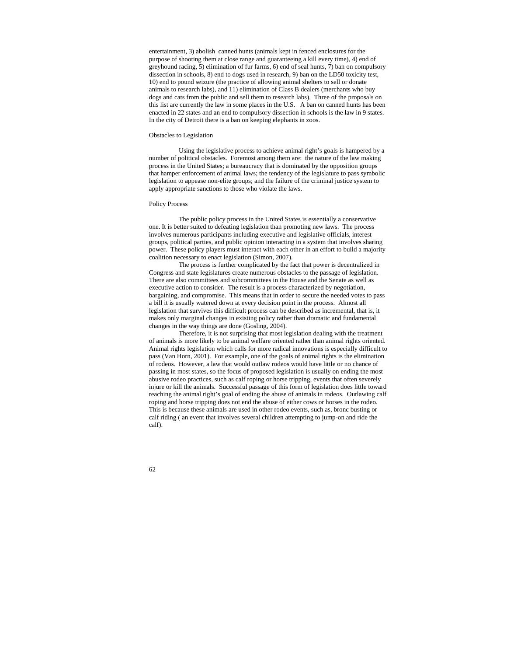entertainment, 3) abolish canned hunts (animals kept in fenced enclosures for the purpose of shooting them at close range and guaranteeing a kill every time), 4) end of greyhound racing, 5) elimination of fur farms, 6) end of seal hunts, 7) ban on compulsory dissection in schools, 8) end to dogs used in research, 9) ban on the LD50 toxicity test, 10) end to pound seizure (the practice of allowing animal shelters to sell or donate animals to research labs), and 11) elimination of Class B dealers (merchants who buy dogs and cats from the public and sell them to research labs). Three of the proposals on this list are currently the law in some places in the U.S. A ban on canned hunts has been enacted in 22 states and an end to compulsory dissection in schools is the law in 9 states. In the city of Detroit there is a ban on keeping elephants in zoos.

## Obstacles to Legislation

Using the legislative process to achieve animal right's goals is hampered by a number of political obstacles. Foremost among them are: the nature of the law making process in the United States; a bureaucracy that is dominated by the opposition groups that hamper enforcement of animal laws; the tendency of the legislature to pass symbolic legislation to appease non-elite groups; and the failure of the criminal justice system to apply appropriate sanctions to those who violate the laws.

# Policy Process

The public policy process in the United States is essentially a conservative one. It is better suited to defeating legislation than promoting new laws. The process involves numerous participants including executive and legislative officials, interest groups, political parties, and public opinion interacting in a system that involves sharing power. These policy players must interact with each other in an effort to build a majority coalition necessary to enact legislation (Simon, 2007).

The process is further complicated by the fact that power is decentralized in Congress and state legislatures create numerous obstacles to the passage of legislation. There are also committees and subcommittees in the House and the Senate as well as executive action to consider. The result is a process characterized by negotiation, bargaining, and compromise. This means that in order to secure the needed votes to pass a bill it is usually watered down at every decision point in the process. Almost all legislation that survives this difficult process can be described as incremental, that is, it makes only marginal changes in existing policy rather than dramatic and fundamental changes in the way things are done (Gosling, 2004).

Therefore, it is not surprising that most legislation dealing with the treatment of animals is more likely to be animal welfare oriented rather than animal rights oriented. Animal rights legislation which calls for more radical innovations is especially difficult to pass (Van Horn, 2001). For example, one of the goals of animal rights is the elimination of rodeos. However, a law that would outlaw rodeos would have little or no chance of passing in most states, so the focus of proposed legislation is usually on ending the most abusive rodeo practices, such as calf roping or horse tripping, events that often severely injure or kill the animals. Successful passage of this form of legislation does little toward reaching the animal right's goal of ending the abuse of animals in rodeos. Outlawing calf roping and horse tripping does not end the abuse of either cows or horses in the rodeo. This is because these animals are used in other rodeo events, such as, bronc busting or calf riding ( an event that involves several children attempting to jump-on and ride the calf).

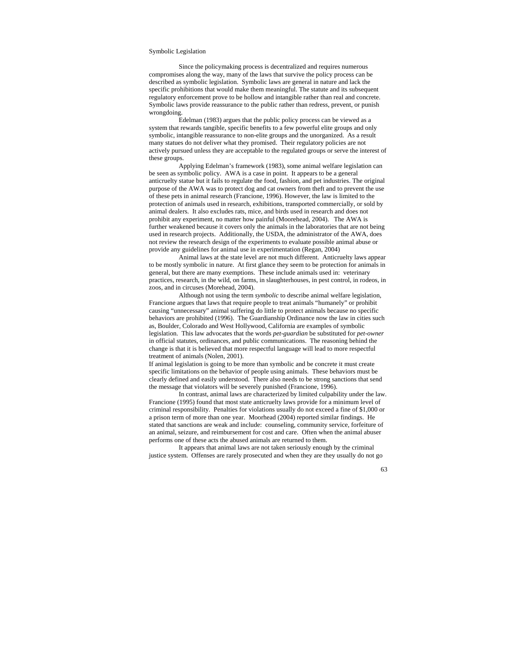#### Symbolic Legislation

Since the policymaking process is decentralized and requires numerous compromises along the way, many of the laws that survive the policy process can be described as symbolic legislation. Symbolic laws are general in nature and lack the specific prohibitions that would make them meaningful. The statute and its subsequent regulatory enforcement prove to be hollow and intangible rather than real and concrete. Symbolic laws provide reassurance to the public rather than redress, prevent, or punish wrongdoing.

Edelman (1983) argues that the public policy process can be viewed as a system that rewards tangible, specific benefits to a few powerful elite groups and only symbolic, intangible reassurance to non-elite groups and the unorganized. As a result many statues do not deliver what they promised. Their regulatory policies are not actively pursued unless they are acceptable to the regulated groups or serve the interest of these groups.

Applying Edelman's framework (1983), some animal welfare legislation can be seen as symbolic policy. AWA is a case in point. It appears to be a general anticruelty statue but it fails to regulate the food, fashion, and pet industries. The original purpose of the AWA was to protect dog and cat owners from theft and to prevent the use of these pets in animal research (Francione, 1996). However, the law is limited to the protection of animals used in research, exhibitions, transported commercially, or sold by animal dealers. It also excludes rats, mice, and birds used in research and does not prohibit any experiment, no matter how painful (Moorehead, 2004). The AWA is further weakened because it covers only the animals in the laboratories that are not being used in research projects. Additionally, the USDA, the administrator of the AWA, does not review the research design of the experiments to evaluate possible animal abuse or provide any guidelines for animal use in experimentation (Regan, 2004)

Animal laws at the state level are not much different. Anticruelty laws appear to be mostly symbolic in nature. At first glance they seem to be protection for animals in general, but there are many exemptions. These include animals used in: veterinary practices, research, in the wild, on farms, in slaughterhouses, in pest control, in rodeos, in zoos, and in circuses (Morehead, 2004).

Although not using the term *symbolic* to describe animal welfare legislation, Francione argues that laws that require people to treat animals "humanely" or prohibit causing "unnecessary" animal suffering do little to protect animals because no specific behaviors are prohibited (1996). The Guardianship Ordinance now the law in cities such as, Boulder, Colorado and West Hollywood, California are examples of symbolic legislation. This law advocates that the words *pet-guardian* be substituted for *pet-owner* in official statutes, ordinances, and public communications. The reasoning behind the change is that it is believed that more respectful language will lead to more respectful treatment of animals (Nolen, 2001).

If animal legislation is going to be more than symbolic and be concrete it must create specific limitations on the behavior of people using animals. These behaviors must be clearly defined and easily understood. There also needs to be strong sanctions that send the message that violators will be severely punished (Francione, 1996).

In contrast, animal laws are characterized by limited culpability under the law. Francione (1995) found that most state anticruelty laws provide for a minimum level of criminal responsibility. Penalties for violations usually do not exceed a fine of \$1,000 or a prison term of more than one year. Moorhead (2004) reported similar findings. He stated that sanctions are weak and include: counseling, community service, forfeiture of an animal, seizure, and reimbursement for cost and care. Often when the animal abuser performs one of these acts the abused animals are returned to them.

It appears that animal laws are not taken seriously enough by the criminal justice system. Offenses are rarely prosecuted and when they are they usually do not go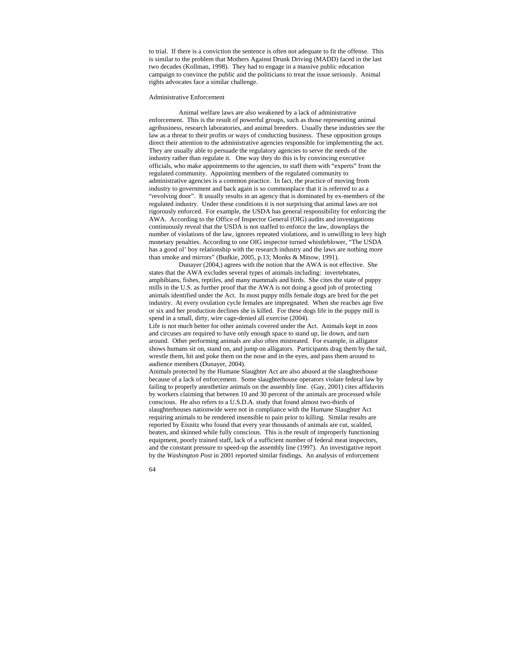to trial. If there is a conviction the sentence is often not adequate to fit the offense. This is similar to the problem that Mothers Against Drunk Driving (MADD) faced in the last two decades (Kollman, 1998). They had to engage in a massive public education campaign to convince the public and the politicians to treat the issue seriously. Animal rights advocates face a similar challenge.

### Administrative Enforcement

Animal welfare laws are also weakened by a lack of administrative enforcement. This is the result of powerful groups, such as those representing animal agribusiness, research laboratories, and animal breeders. Usually these industries see the law as a threat to their profits or ways of conducting business. These opposition groups direct their attention to the administrative agencies responsible for implementing the act. They are usually able to persuade the regulatory agencies to serve the needs of the industry rather than regulate it. One way they do this is by convincing executive officials, who make appointments to the agencies, to staff them with "experts" from the regulated community. Appointing members of the regulated community to administrative agencies is a common practice. In fact, the practice of moving from industry to government and back again is so commonplace that it is referred to as a "revolving door". It usually results in an agency that is dominated by ex-members of the regulated industry. Under these conditions it is not surprising that animal laws are not rigorously enforced. For example, the USDA has general responsibility for enforcing the AWA. According to the Office of Inspector General (OIG) audits and investigations continuously reveal that the USDA is not staffed to enforce the law, downplays the number of violations of the law, ignores repeated violations, and is unwilling to levy high monetary penalties. According to one OIG inspector turned whistleblower, "The USDA has a good ol' boy relationship with the research industry and the laws are nothing more than smoke and mirrors" (Budkie, 2005, p.13; Monks & Minow, 1991).

Dunayer (2004,) agrees with the notion that the AWA is not effective. She states that the AWA excludes several types of animals including: invertebrates, amphibians, fishes, reptiles, and many mammals and birds. She cites the state of puppy mills in the U.S. as further proof that the AWA is not doing a good job of protecting animals identified under the Act. In most puppy mills female dogs are bred for the pet industry. At every ovulation cycle females are impregnated. When she reaches age five or six and her production declines she is killed. For these dogs life in the puppy mill is spend in a small, dirty, wire cage-denied all exercise (2004).

Life is not much better for other animals covered under the Act. Animals kept in zoos and circuses are required to have only enough space to stand up, lie down, and turn around. Other performing animals are also often mistreated. For example, in alligator shows humans sit on, stand on, and jump on alligators. Participants drag them by the tail, wrestle them, hit and poke them on the nose and in the eyes, and pass them around to audience members (Dunayer, 2004).

Animals protected by the Humane Slaughter Act are also abused at the slaughterhouse because of a lack of enforcement. Some slaughterhouse operators violate federal law by failing to properly anesthetize animals on the assembly line. (Gay, 2001) cites affidavits by workers claiming that between 10 and 30 percent of the animals are processed while conscious. He also refers to a U.S.D.A. study that found almost two-thirds of slaughterhouses nationwide were not in compliance with the Humane Slaughter Act requiring animals to be rendered insensible to pain prior to killing. Similar results are reported by Eisnitz who found that every year thousands of animals are cut, scalded, beaten, and skinned while fully conscious. This is the result of improperly functioning equipment, poorly trained staff, lack of a sufficient number of federal meat inspectors, and the constant pressure to speed-up the assembly line (1997). An investigative report by the *Washington Post* in 2001 reported similar findings. An analysis of enforcement

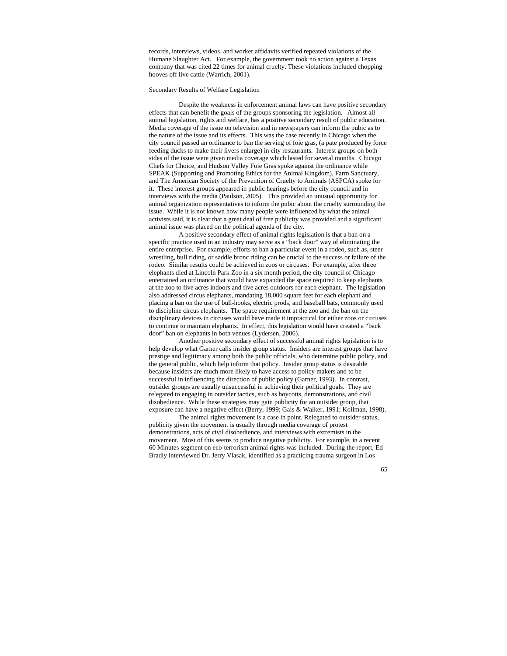records, interviews, videos, and worker affidavits verified repeated violations of the Humane Slaughter Act. For example, the government took no action against a Texas company that was cited 22 times for animal cruelty. These violations included chopping hooves off live cattle (Warrich, 2001).

# Secondary Results of Welfare Legislation

Despite the weakness in enforcement animal laws can have positive secondary effects that can benefit the goals of the groups sponsoring the legislation. Almost all animal legislation, rights and welfare, has a positive secondary result of public education. Media coverage of the issue on television and in newspapers can inform the pubic as to the nature of the issue and its effects. This was the case recently in Chicago when the city council passed an ordinance to ban the serving of foie gras, (a pate produced by force feeding ducks to make their livers enlarge) in city restaurants. Interest groups on both sides of the issue were given media coverage which lasted for several months. Chicago Chefs for Choice, and Hudson Valley Foie Gras spoke against the ordinance while SPEAK (Supporting and Promoting Ethics for the Animal Kingdom), Farm Sanctuary, and The American Society of the Prevention of Cruelty to Animals (ASPCA) spoke for it. These interest groups appeared in public hearings before the city council and in interviews with the media (Paulson, 2005). This provided an unusual opportunity for animal organization representatives to inform the pubic about the cruelty surrounding the issue. While it is not known how many people were influenced by what the animal activists said, it is clear that a great deal of free publicity was provided and a significant animal issue was placed on the political agenda of the city.

A positive secondary effect of animal rights legislation is that a ban on a specific practice used in an industry may serve as a "back door" way of eliminating the entire enterprise. For example, efforts to ban a particular event in a rodeo, such as, steer wrestling, bull riding, or saddle bronc riding can be crucial to the success or failure of the rodeo. Similar results could be achieved in zoos or circuses. For example, after three elephants died at Lincoln Park Zoo in a six month period, the city council of Chicago entertained an ordinance that would have expanded the space required to keep elephants at the zoo to five acres indoors and five acres outdoors for each elephant. The legislation also addressed circus elephants, mandating 18,000 square feet for each elephant and placing a ban on the use of bull-hooks, electric prods, and baseball bats, commonly used to discipline circus elephants. The space requirement at the zoo and the ban on the disciplinary devices in circuses would have made it impractical for either zoos or circuses to continue to maintain elephants. In effect, this legislation would have created a "back door" ban on elephants in both venues (Lydersen, 2006).

Another positive secondary effect of successful animal rights legislation is to help develop what Garner calls insider group status. Insiders are interest groups that have prestige and legitimacy among both the public officials, who determine public policy, and the general public, which help inform that policy. Insider group status is desirable because insiders are much more likely to have access to policy makers and to be successful in influencing the direction of public policy (Garner, 1993). In contrast, outsider groups are usually unsuccessful in achieving their political goals. They are relegated to engaging in outsider tactics, such as boycotts, demonstrations, and civil disobedience. While these strategies may gain publicity for an outsider group, that exposure can have a negative effect (Berry, 1999; Gais & Walker, 1991; Kollman, 1998).

The animal rights movement is a case in point. Relegated to outsider status, publicity given the movement is usually through media coverage of protest demonstrations, acts of civil disobedience, and interviews with extremists in the movement. Most of this seems to produce negative publicity. For example, in a recent 60 Minutes segment on eco-terrorism animal rights was included. During the report, Ed Bradly interviewed Dr. Jerry Vlasak, identified as a practicing trauma surgeon in Los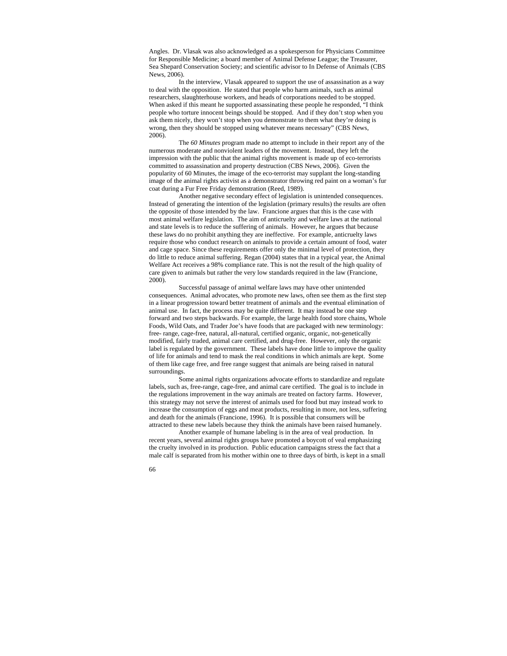Angles. Dr. Vlasak was also acknowledged as a spokesperson for Physicians Committee for Responsible Medicine; a board member of Animal Defense League; the Treasurer, Sea Shepard Conservation Society; and scientific advisor to In Defense of Animals (CBS News, 2006).

In the interview, Vlasak appeared to support the use of assassination as a way to deal with the opposition. He stated that people who harm animals, such as animal researchers, slaughterhouse workers, and heads of corporations needed to be stopped. When asked if this meant he supported assassinating these people he responded, "I think people who torture innocent beings should be stopped. And if they don't stop when you ask them nicely, they won't stop when you demonstrate to them what they're doing is wrong, then they should be stopped using whatever means necessary" (CBS News, 2006).

The *60 Minutes* program made no attempt to include in their report any of the numerous moderate and nonviolent leaders of the movement. Instead, they left the impression with the public that the animal rights movement is made up of eco-terrorists committed to assassination and property destruction (CBS News, 2006). Given the popularity of 60 Minutes, the image of the eco-terrorist may supplant the long-standing image of the animal rights activist as a demonstrator throwing red paint on a woman's fur coat during a Fur Free Friday demonstration (Reed, 1989).

Another negative secondary effect of legislation is unintended consequences. Instead of generating the intention of the legislation (primary results) the results are often the opposite of those intended by the law. Francione argues that this is the case with most animal welfare legislation. The aim of anticruelty and welfare laws at the national and state levels is to reduce the suffering of animals. However, he argues that because these laws do no prohibit anything they are ineffective. For example, anticruelty laws require those who conduct research on animals to provide a certain amount of food, water and cage space. Since these requirements offer only the minimal level of protection, they do little to reduce animal suffering. Regan (2004) states that in a typical year, the Animal Welfare Act receives a 98% compliance rate. This is not the result of the high quality of care given to animals but rather the very low standards required in the law (Francione, 2000).

Successful passage of animal welfare laws may have other unintended consequences. Animal advocates, who promote new laws, often see them as the first step in a linear progression toward better treatment of animals and the eventual elimination of animal use. In fact, the process may be quite different. It may instead be one step forward and two steps backwards. For example, the large health food store chains, Whole Foods, Wild Oats, and Trader Joe's have foods that are packaged with new terminology: free- range, cage-free, natural, all-natural, certified organic, organic, not-genetically modified, fairly traded, animal care certified, and drug-free. However, only the organic label is regulated by the government. These labels have done little to improve the quality of life for animals and tend to mask the real conditions in which animals are kept. Some of them like cage free, and free range suggest that animals are being raised in natural surroundings.

 Some animal rights organizations advocate efforts to standardize and regulate labels, such as, free-range, cage-free, and animal care certified. The goal is to include in the regulations improvement in the way animals are treated on factory farms. However, this strategy may not serve the interest of animals used for food but may instead work to increase the consumption of eggs and meat products, resulting in more, not less, suffering and death for the animals (Francione, 1996). It is possible that consumers will be attracted to these new labels because they think the animals have been raised humanely.

Another example of humane labeling is in the area of veal production. In recent years, several animal rights groups have promoted a boycott of veal emphasizing the cruelty involved in its production. Public education campaigns stress the fact that a male calf is separated from his mother within one to three days of birth, is kept in a small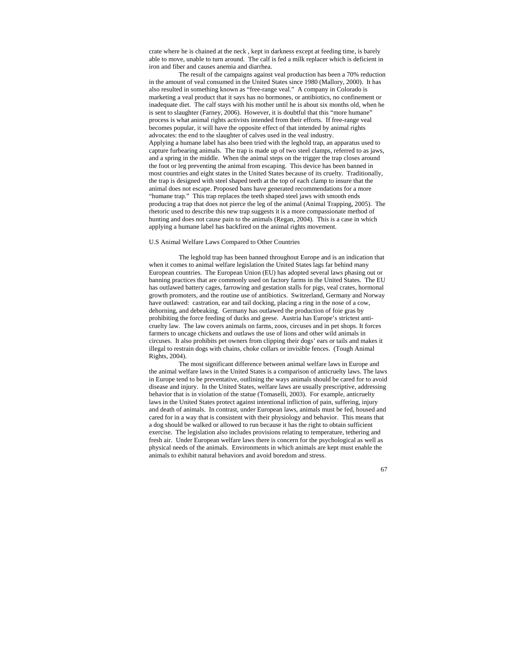crate where he is chained at the neck , kept in darkness except at feeding time, is barely able to move, unable to turn around. The calf is fed a milk replacer which is deficient in iron and fiber and causes anemia and diarrhea.

 The result of the campaigns against veal production has been a 70% reduction in the amount of veal consumed in the United States since 1980 (Mallory, 2000). It has also resulted in something known as "free-range veal." A company in Colorado is marketing a veal product that it says has no hormones, or antibiotics, no confinement or inadequate diet. The calf stays with his mother until he is about six months old, when he is sent to slaughter (Farney, 2006). However, it is doubtful that this "more humane" process is what animal rights activists intended from their efforts. If free-range veal becomes popular, it will have the opposite effect of that intended by animal rights advocates: the end to the slaughter of calves used in the veal industry. Applying a humane label has also been tried with the leghold trap, an apparatus used to capture furbearing animals. The trap is made up of two steel clamps, referred to as jaws, and a spring in the middle. When the animal steps on the trigger the trap closes around the foot or leg preventing the animal from escaping. This device has been banned in most countries and eight states in the United States because of its cruelty. Traditionally, the trap is designed with steel shaped teeth at the top of each clamp to insure that the animal does not escape. Proposed bans have generated recommendations for a more "humane trap." This trap replaces the teeth shaped steel jaws with smooth ends producing a trap that does not pierce the leg of the animal (Animal Trapping, 2005). The rhetoric used to describe this new trap suggests it is a more compassionate method of hunting and does not cause pain to the animals (Regan, 2004). This is a case in which applying a humane label has backfired on the animal rights movement.

# U.S Animal Welfare Laws Compared to Other Countries

The leghold trap has been banned throughout Europe and is an indication that when it comes to animal welfare legislation the United States lags far behind many European countries. The European Union (EU) has adopted several laws phasing out or banning practices that are commonly used on factory farms in the United States. The EU has outlawed battery cages, farrowing and gestation stalls for pigs, veal crates, hormonal growth promoters, and the routine use of antibiotics. Switzerland, Germany and Norway have outlawed: castration, ear and tail docking, placing a ring in the nose of a cow, dehorning, and debeaking. Germany has outlawed the production of foie gras by prohibiting the force feeding of ducks and geese. Austria has Europe's strictest anticruelty law. The law covers animals on farms, zoos, circuses and in pet shops. It forces farmers to uncage chickens and outlaws the use of lions and other wild animals in circuses. It also prohibits pet owners from clipping their dogs' ears or tails and makes it illegal to restrain dogs with chains, choke collars or invisible fences. (Tough Animal Rights, 2004).

The most significant difference between animal welfare laws in Europe and the animal welfare laws in the United States is a comparison of anticruelty laws. The laws in Europe tend to be preventative, outlining the ways animals should be cared for to avoid disease and injury. In the United States, welfare laws are usually prescriptive, addressing behavior that is in violation of the statue (Tomaselli, 2003). For example, anticruelty laws in the United States protect against intentional infliction of pain, suffering, injury and death of animals. In contrast, under European laws, animals must be fed, housed and cared for in a way that is consistent with their physiology and behavior. This means that a dog should be walked or allowed to run because it has the right to obtain sufficient exercise. The legislation also includes provisions relating to temperature, tethering and fresh air. Under European welfare laws there is concern for the psychological as well as physical needs of the animals. Environments in which animals are kept must enable the animals to exhibit natural behaviors and avoid boredom and stress.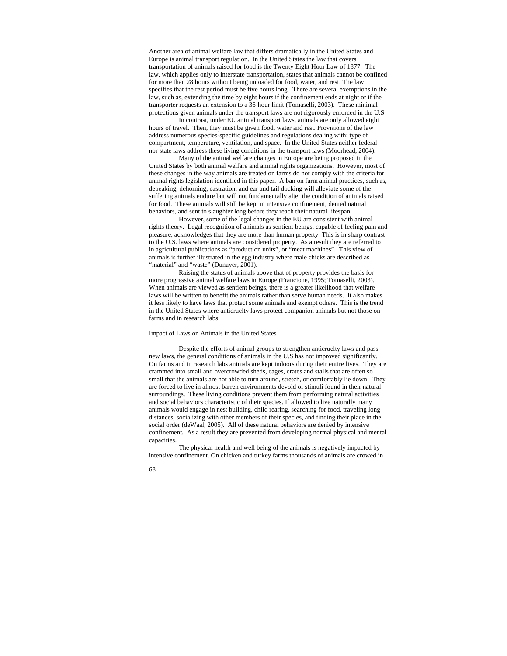Another area of animal welfare law that differs dramatically in the United States and Europe is animal transport regulation. In the United States the law that covers transportation of animals raised for food is the Twenty Eight Hour Law of 1877. The law, which applies only to interstate transportation, states that animals cannot be confined for more than 28 hours without being unloaded for food, water, and rest. The law specifies that the rest period must be five hours long. There are several exemptions in the law, such as, extending the time by eight hours if the confinement ends at night or if the transporter requests an extension to a 36-hour limit (Tomaselli, 2003). These minimal protections given animals under the transport laws are not rigorously enforced in the U.S.

In contrast, under EU animal transport laws, animals are only allowed eight hours of travel. Then, they must be given food, water and rest. Provisions of the law address numerous species-specific guidelines and regulations dealing with: type of compartment, temperature, ventilation, and space. In the United States neither federal nor state laws address these living conditions in the transport laws (Moorhead, 2004).

Many of the animal welfare changes in Europe are being proposed in the United States by both animal welfare and animal rights organizations. However, most of these changes in the way animals are treated on farms do not comply with the criteria for animal rights legislation identified in this paper. A ban on farm animal practices, such as, debeaking, dehorning, castration, and ear and tail docking will alleviate some of the suffering animals endure but will not fundamentally alter the condition of animals raised for food. These animals will still be kept in intensive confinement, denied natural behaviors, and sent to slaughter long before they reach their natural lifespan.

However, some of the legal changes in the EU are consistent with animal rights theory. Legal recognition of animals as sentient beings, capable of feeling pain and pleasure, acknowledges that they are more than human property. This is in sharp contrast to the U.S. laws where animals are considered property. As a result they are referred to in agricultural publications as "production units", or "meat machines". This view of animals is further illustrated in the egg industry where male chicks are described as "material" and "waste" (Dunayer, 2001).

Raising the status of animals above that of property provides the basis for more progressive animal welfare laws in Europe (Francione, 1995; Tomaselli, 2003). When animals are viewed as sentient beings, there is a greater likelihood that welfare laws will be written to benefit the animals rather than serve human needs. It also makes it less likely to have laws that protect some animals and exempt others. This is the trend in the United States where anticruelty laws protect companion animals but not those on farms and in research labs.

## Impact of Laws on Animals in the United States

Despite the efforts of animal groups to strengthen anticruelty laws and pass new laws, the general conditions of animals in the U.S has not improved significantly. On farms and in research labs animals are kept indoors during their entire lives. They are crammed into small and overcrowded sheds, cages, crates and stalls that are often so small that the animals are not able to turn around, stretch, or comfortably lie down. They are forced to live in almost barren environments devoid of stimuli found in their natural surroundings. These living conditions prevent them from performing natural activities and social behaviors characteristic of their species. If allowed to live naturally many animals would engage in nest building, child rearing, searching for food, traveling long distances, socializing with other members of their species, and finding their place in the social order (deWaal, 2005). All of these natural behaviors are denied by intensive confinement. As a result they are prevented from developing normal physical and mental capacities.

The physical health and well being of the animals is negatively impacted by intensive confinement. On chicken and turkey farms thousands of animals are crowed in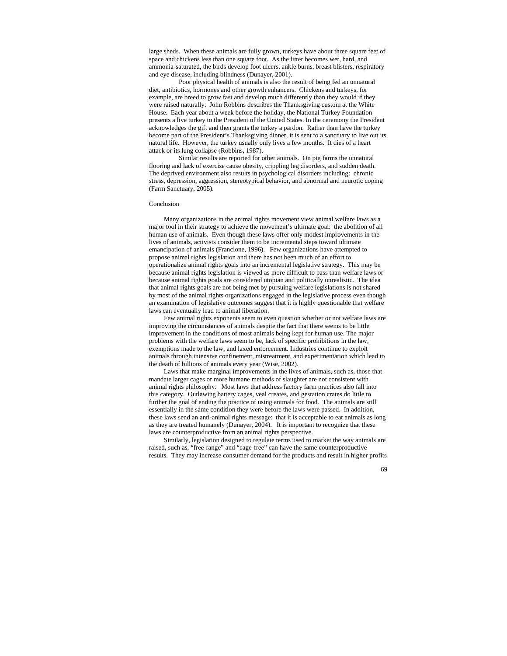large sheds. When these animals are fully grown, turkeys have about three square feet of space and chickens less than one square foot. As the litter becomes wet, hard, and ammonia-saturated, the birds develop foot ulcers, ankle burns, breast blisters, respiratory and eye disease, including blindness (Dunayer, 2001).

Poor physical health of animals is also the result of being fed an unnatural diet, antibiotics, hormones and other growth enhancers. Chickens and turkeys, for example, are breed to grow fast and develop much differently than they would if they were raised naturally. John Robbins describes the Thanksgiving custom at the White House. Each year about a week before the holiday, the National Turkey Foundation presents a live turkey to the President of the United States. In the ceremony the President acknowledges the gift and then grants the turkey a pardon. Rather than have the turkey become part of the President's Thanksgiving dinner, it is sent to a sanctuary to live out its natural life. However, the turkey usually only lives a few months. It dies of a heart attack or its lung collapse (Robbins, 1987).

Similar results are reported for other animals. On pig farms the unnatural flooring and lack of exercise cause obesity, crippling leg disorders, and sudden death. The deprived environment also results in psychological disorders including: chronic stress, depression, aggression, stereotypical behavior, and abnormal and neurotic coping (Farm Sanctuary, 2005).

#### Conclusion

Many organizations in the animal rights movement view animal welfare laws as a major tool in their strategy to achieve the movement's ultimate goal: the abolition of all human use of animals. Even though these laws offer only modest improvements in the lives of animals, activists consider them to be incremental steps toward ultimate emancipation of animals (Francione, 1996). Few organizations have attempted to propose animal rights legislation and there has not been much of an effort to operationalize animal rights goals into an incremental legislative strategy. This may be because animal rights legislation is viewed as more difficult to pass than welfare laws or because animal rights goals are considered utopian and politically unrealistic. The idea that animal rights goals are not being met by pursuing welfare legislations is not shared by most of the animal rights organizations engaged in the legislative process even though an examination of legislative outcomes suggest that it is highly questionable that welfare laws can eventually lead to animal liberation.

Few animal rights exponents seem to even question whether or not welfare laws are improving the circumstances of animals despite the fact that there seems to be little improvement in the conditions of most animals being kept for human use. The major problems with the welfare laws seem to be, lack of specific prohibitions in the law, exemptions made to the law, and laxed enforcement. Industries continue to exploit animals through intensive confinement, mistreatment, and experimentation which lead to the death of billions of animals every year (Wise, 2002).

Laws that make marginal improvements in the lives of animals, such as, those that mandate larger cages or more humane methods of slaughter are not consistent with animal rights philosophy. Most laws that address factory farm practices also fall into this category. Outlawing battery cages, veal creates, and gestation crates do little to further the goal of ending the practice of using animals for food. The animals are still essentially in the same condition they were before the laws were passed. In addition, these laws send an anti-animal rights message: that it is acceptable to eat animals as long as they are treated humanely (Dunayer, 2004). It is important to recognize that these laws are counterproductive from an animal rights perspective.

Similarly, legislation designed to regulate terms used to market the way animals are raised, such as, "free-range" and "cage-free" can have the same counterproductive results. They may increase consumer demand for the products and result in higher profits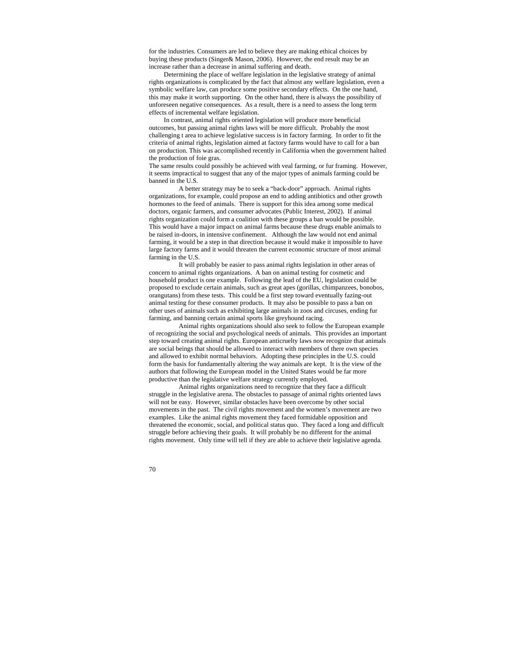for the industries. Consumers are led to believe they are making ethical choices by buying these products (Singer& Mason, 2006). However, the end result may be an increase rather than a decrease in animal suffering and death.

Determining the place of welfare legislation in the legislative strategy of animal rights organizations is complicated by the fact that almost any welfare legislation, even a symbolic welfare law, can produce some positive secondary effects. On the one hand, this may make it worth supporting. On the other hand, there is always the possibility of unforeseen negative consequences. As a result, there is a need to assess the long term effects of incremental welfare legislation.

In contrast, animal rights oriented legislation will produce more beneficial outcomes, but passing animal rights laws will be more difficult. Probably the most challenging t area to achieve legislative success is in factory farming. In order to fit the criteria of animal rights, legislation aimed at factory farms would have to call for a ban on production. This was accomplished recently in California when the government halted the production of foie gras.

The same results could possibly be achieved with veal farming, or fur framing. However, it seems impractical to suggest that any of the major types of animals farming could be banned in the U.S.

A better strategy may be to seek a "back-door" approach. Animal rights organizations, for example, could propose an end to adding antibiotics and other growth hormones to the feed of animals. There is support for this idea among some medical doctors, organic farmers, and consumer advocates (Public Interest, 2002). If animal rights organization could form a coalition with these groups a ban would be possible. This would have a major impact on animal farms because these drugs enable animals to be raised in-doors, in intensive confinement. Although the law would not end animal farming, it would be a step in that direction because it would make it impossible to have large factory farms and it would threaten the current economic structure of most animal farming in the U.S.

It will probably be easier to pass animal rights legislation in other areas of concern to animal rights organizations. A ban on animal testing for cosmetic and household product is one example. Following the lead of the EU, legislation could be proposed to exclude certain animals, such as great apes (gorillas, chimpanzees, bonobos, orangutans) from these tests. This could be a first step toward eventually fazing-out animal testing for these consumer products. It may also be possible to pass a ban on other uses of animals such as exhibiting large animals in zoos and circuses, ending fur farming, and banning certain animal sports like greyhound racing.

Animal rights organizations should also seek to follow the European example of recognizing the social and psychological needs of animals. This provides an important step toward creating animal rights. European anticruelty laws now recognize that animals are social beings that should be allowed to interact with members of there own species and allowed to exhibit normal behaviors. Adopting these principles in the U.S. could form the basis for fundamentally altering the way animals are kept. It is the view of the authors that following the European model in the United States would be far more productive than the legislative welfare strategy currently employed.

Animal rights organizations need to recognize that they face a difficult struggle in the legislative arena. The obstacles to passage of animal rights oriented laws will not be easy. However, similar obstacles have been overcome by other social movements in the past. The civil rights movement and the women's movement are two examples. Like the animal rights movement they faced formidable opposition and threatened the economic, social, and political status quo. They faced a long and difficult struggle before achieving their goals. It will probably be no different for the animal rights movement. Only time will tell if they are able to achieve their legislative agenda.

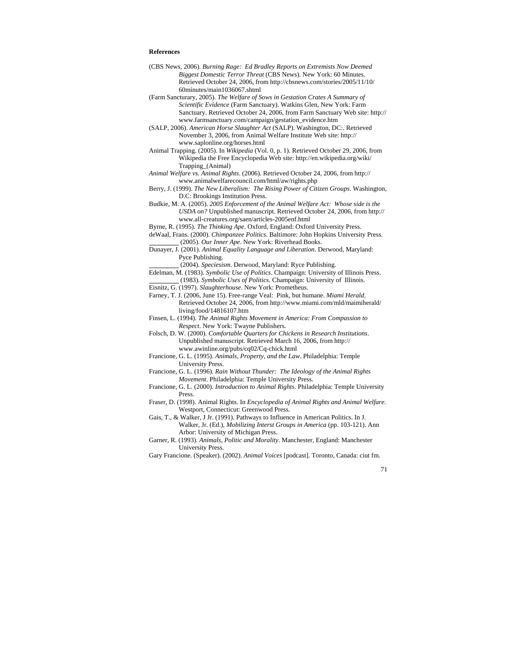## **References**

- (CBS News, 2006). *Burning Rage: Ed Bradley Reports on Extremists Now Deemed Biggest Domestic Terror Threat* (CBS News). New York: 60 Minutes. Retrieved October 24, 2006, from http://cbsnews.com/stories/2005/11/10/ 60minutes/main1036067.shtml
- (Farm Sancturary, 2005). *The Welfare of Sows in Gestation Crates A Summary of Scientific Evidence* (Farm Sanctuary). Watkins Glen, New York: Farm Sanctuary. Retrieved October 24, 2006, from Farm Sanctuary Web site: http:// www.farmsanctuary.com/campaign/gestation\_evidence.htm
- (SALP, 2006). *American Horse Slaughter Act* (SALP). Washington, DC:. Retrieved November 3, 2006, from Animal Welfare Institute Web site: http:// www.saplonline.org/horses.html
- Animal Trapping. (2005). In *Wikipedia* (Vol. 0, p. 1). Retrieved October 29, 2006, from Wikipedia the Free Encyclopedia Web site: http://en.wikipedia.org/wiki/ Trapping\_(Animal)
- *Animal Welfare vs. Animal Rights*. (2006). Retrieved October 24, 2006, from http:// www.animalwelfarecouncil.com/html/aw/rights.php
- Berry, J. (1999). *The New Liberalism: The Rising Power of Citizen Groups*. Washington, D.C: Brookings Institution Press.
- Budkie, M. A. (2005). *2005 Enforcement of the Animal Welfare Act: Whose side is the USDA on?* Unpublished manuscript. Retrieved October 24, 2006, from http:// www.all-creatures.org/saen/articles-2005enf.html
- Byrne, R. (1995). *The Thinking Ape*. Oxford, England: Oxford University Press.
- deWaal, Frans. (2000). *Chimpanzee Politics*. Baltimore: John Hopkins University Press. (2005). *Our Inner Ape*. New York: Riverhead Books.
- Dunayer, J. (2001). *Animal Equality Language and Liberation*. Derwood, Maryland: Pyce Publishing.
	- (2004). *Speciesism*. Derwood, Maryland: Ryce Publishing.
- Edelman, M. (1983). *Symbolic Use of Politics*. Champaign: University of Illinois Press. (1983). *Symbolic Uses of Politics*. Champaign: University of Illinois.
- Eisnitz, G. (1997). *Slaughterhouse*. New York: Prometheus.
- Farney, T. J. (2006, June 15). Free-range Veal: Pink, but humane. *Miami Herald*. Retrieved October 24, 2006, from http://www.miami.com/mld/maimiherald/ living/food/14816107.htm
- Finsen, L. (1994). *The Animal Rights Movement in America: From Compassion to Respect*. New York: Twayne Publishers.
- Folsch, D. W. (2000). *Comfortable Quarters for Chickens in Research Institutions*. Unpublished manuscript. Retrieved March 16, 2006, from http:// www.awinline.org/pubs/cq02/Cq-chick.html
- Francione, G. L. (1995). *Animals, Property, and the Law*. Philadelphia: Temple University Press.
- Francione, G. L. (1996). *Rain Without Thunder: The Ideology of the Animal Rights Movement*. Philadelphia: Temple University Press.
- Francione, G. L. (2000). *Introduction to Animal Rights*. Philadelphia: Temple University Press.
- Fraser, D. (1998). Animal Rights. In *Encyclopedia of Animal Rights and Animal Welfare*. Westport, Connecticut: Greenwood Press.
- Gais, T., & Walker, J Jr. (1991). Pathways to Influence in American Politics. In J. Walker, Jr. (Ed.), *Mobilizing Interst Groups in America* (pp. 103-121). Ann Arbor: University of Michigan Press.
- Garner, R. (1993). *Animals, Politic and Morality*. Manchester, England: Manchester University Press.
- Gary Francione. (Speaker). (2002). *Animal Voices* [podcast]. Toronto, Canada: ciut fm.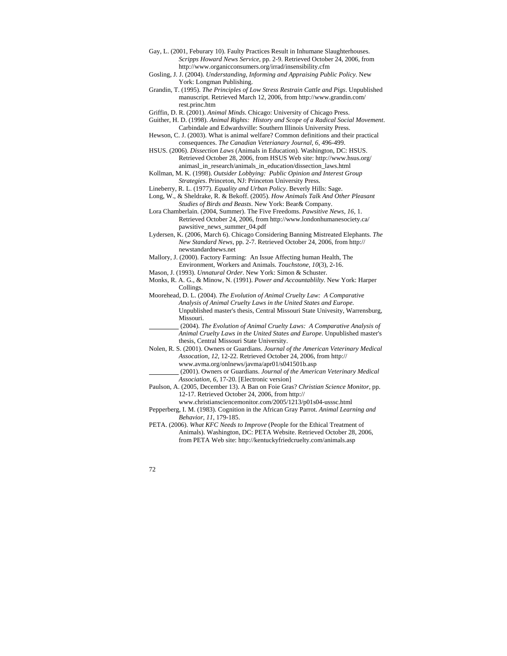- Gay, L. (2001, Feburary 10). Faulty Practices Result in Inhumane Slaughterhouses. *Scripps Howard News Service*, pp. 2-9. Retrieved October 24, 2006, from http://www.organicconsumers.org/irrad/insensibility.cfm
- Gosling, J. J. (2004). *Understanding, Informing and Appraising Public Policy*. New York: Longman Publishing.
- Grandin, T. (1995). *The Principles of Low Stress Restrain Cattle and Pigs*. Unpublished manuscript. Retrieved March 12, 2006, from http://www.grandin.com/ rest.princ.htm
- Griffin, D. R. (2001). *Animal Minds*. Chicago: University of Chicago Press.
- Guither, H. D. (1998). *Animal Rights: History and Scope of a Radical Social Movement*. Carbindale and Edwardsville: Southern Illinois University Press.
- Hewson, C. J. (2003). What is animal welfare? Common definitions and their practical consequences. *The Canadian Veterianary Journal, 6*, 496-499.
- HSUS. (2006). *Dissection Laws* (Animals in Education). Washington, DC: HSUS. Retrieved October 28, 2006, from HSUS Web site: http://www.hsus.org/ animasl\_in\_research/animals\_in\_education/dissection\_laws.html
- Kollman, M. K. (1998). *Outsider Lobbying: Public Opinion and Interest Group Strategies*. Princeton, NJ: Princeton University Press.
- Lineberry, R. L. (1977). *Equality and Urban Policy*. Beverly Hills: Sage.
- Long, W., & Sheldrake, R. & Bekoff. (2005). *How Animals Talk And Other Pleasant Studies of Birds and Beasts*. New York: Bear& Company.
- Lora Chamberlain. (2004, Summer). The Five Freedoms. *Pawsitive News, 16*, 1. Retrieved October 24, 2006, from http://www.londonhumanesociety.ca/ pawsitive\_news\_summer\_04.pdf
- Lydersen, K. (2006, March 6). Chicago Considering Banning Mistreated Elephants. *The New Standard News*, pp. 2-7. Retrieved October 24, 2006, from http:// newstandardnews.net
- Mallory, J. (2000). Factory Farming: An Issue Affecting human Health, The Environment, Workers and Animals. *Touchstone, 10*(3), 2-16.
- Mason, J. (1993). *Unnatural Order*. New York: Simon & Schuster.
- Monks, R. A. G., & Minow, N. (1991). *Power and Accountablilty*. New York: Harper Collings.
- Moorehead, D. L. (2004). *The Evolution of Animal Cruelty Law: A Comparative Analysis of Animal Cruelty Laws in the United States and Europe*. Unpublished master's thesis, Central Missouri State Univesity, Warrensburg, Missouri.
- (2004). *The Evolution of Animal Cruelty Laws: A Comparative Analysis of Animal Cruelty Laws in the United States and Europe*. Unpublished master's thesis, Central Missouri State University.
- Nolen, R. S. (2001). Owners or Guardians. *Journal of the American Veterinary Medical Assocation, 12*, 12-22. Retrieved October 24, 2006, from http:// www.avma.org/onlnews/javma/apr01/s041501b.asp
	- (2001). Owners or Guardians. *Journal of the American Veterinary Medical Association, 6*, 17-20. [Electronic version]
- Paulson, A. (2005, December 13). A Ban on Foie Gras? *Christian Science Monitor*, pp. 12-17. Retrieved October 24, 2006, from http://
	- www.christiansciencemonitor.com/2005/1213/p01s04-usssc.html
- Pepperberg, I. M. (1983). Cognition in the African Gray Parrot. *Animal Learning and Behavior, 11*, 179-185.
- PETA. (2006). *What KFC Needs to Improve* (People for the Ethical Treatment of Animals). Washington, DC: PETA Website. Retrieved October 28, 2006, from PETA Web site: http://kentuckyfriedcruelty.com/animals.asp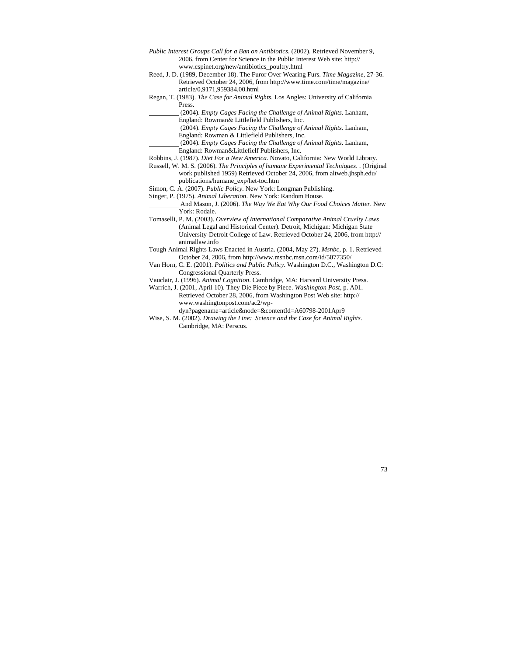- *Public Interest Groups Call for a Ban on Antibiotics*. (2002). Retrieved November 9, 2006, from Center for Science in the Public Interest Web site: http:// www.cspinet.org/new/antibiotics\_poultry.html
- Reed, J. D. (1989, December 18). The Furor Over Wearing Furs. *Time Magazine*, 27-36. Retrieved October 24, 2006, from http://www.time.com/time/magazine/ article/0,9171,959384,00.html
- Regan, T. (1983). *The Case for Animal Rights*. Los Angles: University of California Press.
	- (2004). *Empty Cages Facing the Challenge of Animal Rights*. Lanham, England: Rowman& Littlefield Publishers, Inc.
	- (2004). *Empty Cages Facing the Challenge of Animal Rights*. Lanham, England: Rowman & Littlefield Publishers, Inc.

 (2004). *Empty Cages Facing the Challenge of Animal Rights*. Lanham, England: Rowman&Littlefielf Publishers, Inc.

- Robbins, J. (1987). *Diet For a New America*. Novato, California: New World Library.
- Russell, W. M. S. (2006). *The Principles of humane Experimental Techniques*. . (Original work published 1959) Retrieved October 24, 2006, from altweb.jhsph.edu/
	- publications/humane\_exp/het-toc.htm
- Simon, C. A. (2007). *Public Policy*. New York: Longman Publishing. Singer, P. (1975). *Animal Liberation*. New York: Random House.

 And Mason, J. (2006). *The Way We Eat Why Our Food Choices Matter*. New York: Rodale.

Tomaselli, P. M. (2003). *Overview of International Comparative Animal Cruelty Laws* (Animal Legal and Historical Center). Detroit, Michigan: Michigan State University-Detroit College of Law. Retrieved October 24, 2006, from http:// animallaw.info

- Tough Animal Rights Laws Enacted in Austria. (2004, May 27). *Msnbc*, p. 1. Retrieved October 24, 2006, from http://www.msnbc.msn.com/id/5077350/
- Van Horn, C. E. (2001). *Politics and Public Policy*. Washington D.C., Washington D.C: Congressional Quarterly Press.

Vauclair, J. (1996). *Animal Cognition*. Cambridge, MA: Harvard University Press.

Warrich, J. (2001, April 10). They Die Piece by Piece. *Washington Post*, p. A01. Retrieved October 28, 2006, from Washington Post Web site: http:// www.washingtonpost.com/ac2/wp-

dyn?pagename=article&node=&contentId=A60798-2001Apr9

Wise, S. M. (2002). *Drawing the Line: Science and the Case for Animal Rights*. Cambridge, MA: Perscus.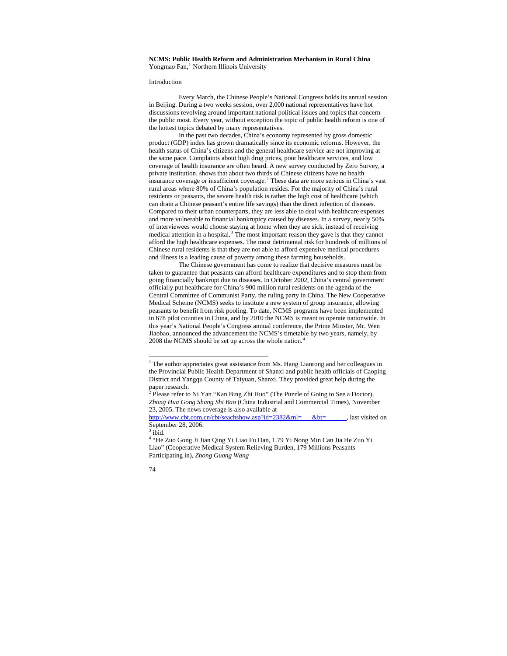# **NCMS: Public Health Reform and Administration Mechanism in Rural China**  Yongmao Fan,<sup>[1](#page-73-0)</sup> Northern Illinois University

#### Introduction

Every March, the Chinese People's National Congress holds its annual session in Beijing. During a two weeks session, over 2,000 national representatives have hot discussions revolving around important national political issues and topics that concern the public most. Every year, without exception the topic of public health reform is one of the hottest topics debated by many representatives.

In the past two decades, China's economy represented by gross domestic product (GDP) index has grown dramatically since its economic reforms. However, the health status of China's citizens and the general healthcare service are not improving at the same pace. Complaints about high drug prices, poor healthcare services, and low coverage of health insurance are often heard. A new survey conducted by Zero Survey, a private institution, shows that about two thirds of Chinese citizens have no health insurance coverage or insufficient coverage.<sup>[2](#page-73-1)</sup> These data are more serious in China's vast rural areas where 80% of China's population resides. For the majority of China's rural residents or peasants, the severe health risk is rather the high cost of healthcare (which can drain a Chinese peasant's entire life savings) than the direct infection of diseases. Compared to their urban counterparts, they are less able to deal with healthcare expenses and more vulnerable to financial bankruptcy caused by diseases. In a survey, nearly 50% of interviewees would choose staying at home when they are sick, instead of receiving medical attention in a hospital. $3$  The most important reason they gave is that they cannot afford the high healthcare expenses. The most detrimental risk for hundreds of millions of Chinese rural residents is that they are not able to afford expensive medical procedures and illness is a leading cause of poverty among these farming households.

The Chinese government has come to realize that decisive measures must be taken to guarantee that peasants can afford healthcare expenditures and to stop them from going financially bankrupt due to diseases. In October 2002, China's central government officially put healthcare for China's 900 million rural residents on the agenda of the Central Committee of Communist Party, the ruling party in China. The New Cooperative Medical Scheme (NCMS) seeks to institute a new system of group insurance, allowing peasants to benefit from risk pooling. To date, NCMS programs have been implemented in 678 pilot counties in China, and by 2010 the NCMS is meant to operate nationwide. In this year's National People's Congress annual conference, the Prime Minster, Mr. Wen Jiaobao, announced the advancement the NCMS's timetable by two years, namely, by 2008 the NCMS should be set up across the whole nation.[4](#page-73-3)

<sup>&</sup>lt;sup>1</sup> The author appreciates great assistance from Ms. Hang Lianrong and her colleagues in the Provincial Public Health Department of Shanxi and public health officials of Caoping District and Yangqu County of Taiyuan, Shanxi. They provided great help during the paper research.<br><sup>2</sup> Please refer to

Please refer to Ni Yan "Kan Bing Zhi Huo" (The Puzzle of Going to See a Doctor), *Zhong Hua Gong Shang Shi Bao* (China Industrial and Commercial Times), November 23, 2005. The news coverage is also available at

http://www.cbt.com.cn/cbt/seachshow.asp?id=2382&ml= &bt=, last visited on September 28, 2006.

<sup>3</sup> ibid.

<sup>&</sup>lt;sup>4</sup> "He Zuo Gong Ji Jian Qing Yi Liao Fu Dan, 1.79 Yi Nong Min Can Jia He Zuo Yi Liao" (Cooperative Medical System Relieving Burden, 179 Millions Peasants Participating in), *Zhong Guang Wang*

<span id="page-73-3"></span><span id="page-73-2"></span><span id="page-73-1"></span><span id="page-73-0"></span><sup>74</sup>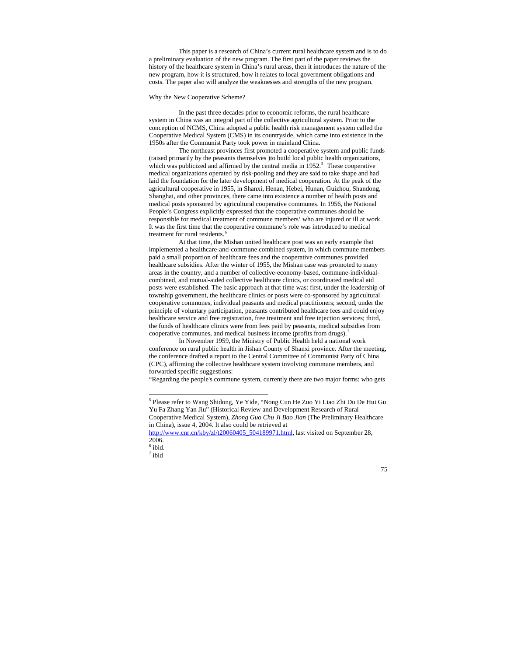This paper is a research of China's current rural healthcare system and is to do a preliminary evaluation of the new program. The first part of the paper reviews the history of the healthcare system in China's rural areas, then it introduces the nature of the new program, how it is structured, how it relates to local government obligations and costs. The paper also will analyze the weaknesses and strengths of the new program.

### Why the New Cooperative Scheme?

In the past three decades prior to economic reforms, the rural healthcare system in China was an integral part of the collective agricultural system. Prior to the conception of NCMS, China adopted a public health risk management system called the Cooperative Medical System (CMS) in its countryside, which came into existence in the 1950s after the Communist Party took power in mainland China.

The northeast provinces first promoted a cooperative system and public funds (raised primarily by the peasants themselves )to build local public health organizations, which was publicized and affirmed by the central media in  $1952$  $1952$  $1952$ <sup>5</sup>. These cooperative medical organizations operated by risk-pooling and they are said to take shape and had laid the foundation for the later development of medical cooperation. At the peak of the agricultural cooperative in 1955, in Shanxi, Henan, Hebei, Hunan, Guizhou, Shandong, Shanghai, and other provinces, there came into existence a number of health posts and medical posts sponsored by agricultural cooperative communes. In 1956, the National People's Congress explicitly expressed that the cooperative communes should be responsible for medical treatment of commune members' who are injured or ill at work. It was the first time that the cooperative commune's role was introduced to medical treatment for rural residents.<sup>[6](#page-74-1)</sup>

At that time, the Mishan united healthcare post was an early example that implemented a healthcare-and-commune combined system, in which commune members paid a small proportion of healthcare fees and the cooperative communes provided healthcare subsidies. After the winter of 1955, the Mishan case was promoted to many areas in the country, and a number of collective-economy-based, commune-individualcombined, and mutual-aided collective healthcare clinics, or coordinated medical aid posts were established. The basic approach at that time was: first, under the leadership of township government, the healthcare clinics or posts were co-sponsored by agricultural cooperative communes, individual peasants and medical practitioners; second, under the principle of voluntary participation, peasants contributed healthcare fees and could enjoy healthcare service and free registration, free treatment and free injection services; third, the funds of healthcare clinics were from fees paid by peasants, medical subsidies from cooperative communes, and medical business income (profits from drugs).<sup>[7](#page-74-2)</sup>

In November 1959, the Ministry of Public Health held a national work conference on rural public health in Jishan County of Shanxi province. After the meeting, the conference drafted a report to the Central Committee of Communist Party of China (CPC), affirming the collective healthcare system involving commune members, and forwarded specific suggestions:

"Regarding the people's commune system, currently there are two major forms: who gets

 $\overline{a}$ 

<span id="page-74-2"></span><span id="page-74-1"></span><span id="page-74-0"></span>7 ibid

<sup>5</sup> Please refer to Wang Shidong, Ye Yide, "Nong Cun He Zuo Yi Liao Zhi Du De Hui Gu Yu Fa Zhang Yan Jiu" (Historical Review and Development Research of Rural Cooperative Medical System), *Zhong Guo Chu Ji Bao Jian* (The Preliminary Healthcare in China), issue 4, 2004. It also could be retrieved at

[http://www.cnr.cn/kby/zl/t20060405\\_504189971.html,](http://www.cnr.cn/kby/zl/t20060405_504189971.html) last visited on September 28, 2006.

 $<sup>6</sup>$  ibid.</sup>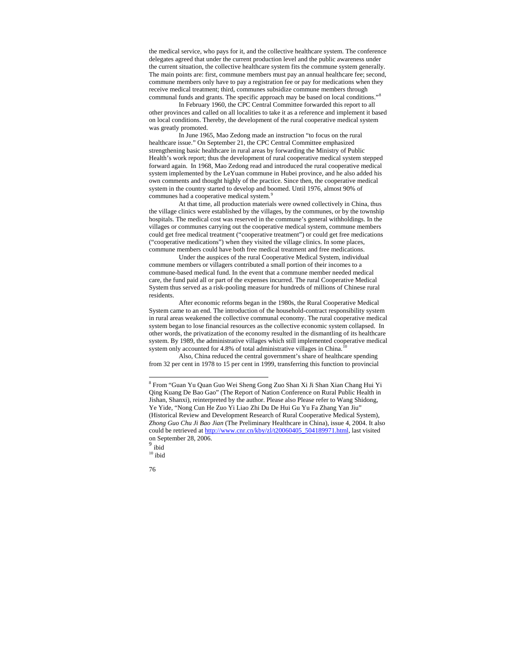the medical service, who pays for it, and the collective healthcare system. The conference delegates agreed that under the current production level and the public awareness under the current situation, the collective healthcare system fits the commune system generally. The main points are: first, commune members must pay an annual healthcare fee; second, commune members only have to pay a registration fee or pay for medications when they receive medical treatment; third, communes subsidize commune members through communal funds and grants. The specific approach may be based on local conditions."[8](#page-75-0)

In February 1960, the CPC Central Committee forwarded this report to all other provinces and called on all localities to take it as a reference and implement it based on local conditions. Thereby, the development of the rural cooperative medical system was greatly promoted.

In June 1965, Mao Zedong made an instruction "to focus on the rural healthcare issue." On September 21, the CPC Central Committee emphasized strengthening basic healthcare in rural areas by forwarding the Ministry of Public Health's work report; thus the development of rural cooperative medical system stepped forward again. In 1968, Mao Zedong read and introduced the rural cooperative medical system implemented by the LeYuan commune in Hubei province, and he also added his own comments and thought highly of the practice. Since then, the cooperative medical system in the country started to develop and boomed. Until 1976, almost 90% of communes had a cooperative medical system.<sup>[9](#page-75-1)</sup>

At that time, all production materials were owned collectively in China, thus the village clinics were established by the villages, by the communes, or by the township hospitals. The medical cost was reserved in the commune's general withholdings. In the villages or communes carrying out the cooperative medical system, commune members could get free medical treatment ("cooperative treatment") or could get free medications ("cooperative medications") when they visited the village clinics. In some places, commune members could have both free medical treatment and free medications.

Under the auspices of the rural Cooperative Medical System, individual commune members or villagers contributed a small portion of their incomes to a commune-based medical fund. In the event that a commune member needed medical care, the fund paid all or part of the expenses incurred. The rural Cooperative Medical System thus served as a risk-pooling measure for hundreds of millions of Chinese rural residents.

After economic reforms began in the 1980s, the Rural Cooperative Medical System came to an end. The introduction of the household-contract responsibility system in rural areas weakened the collective communal economy. The rural cooperative medical system began to lose financial resources as the collective economic system collapsed. In other words, the privatization of the economy resulted in the dismantling of its healthcare system. By 1989, the administrative villages which still implemented cooperative medical system only accounted for 4.8% of total administrative villages in China.

Also, China reduced the central government's share of healthcare spending from 32 per cent in 1978 to 15 per cent in 1999, transferring this function to provincial

<sup>8</sup> From "Guan Yu Quan Guo Wei Sheng Gong Zuo Shan Xi Ji Shan Xian Chang Hui Yi Qing Kuang De Bao Gao" (The Report of Nation Conference on Rural Public Health in Jishan, Shanxi), reinterpreted by the author. Please also Please refer to Wang Shidong, Ye Yide, "Nong Cun He Zuo Yi Liao Zhi Du De Hui Gu Yu Fa Zhang Yan Jiu" (Historical Review and Development Research of Rural Cooperative Medical System), *Zhong Guo Chu Ji Bao Jian* (The Preliminary Healthcare in China), issue 4, 2004. It also could be retrieved at [http://www.cnr.cn/kby/zl/t20060405\\_504189971.html](http://www.cnr.cn/kby/zl/t20060405_504189971.html), last visited on September 28, 2006.

ibid

 $^{10}$ ibid

<span id="page-75-2"></span><span id="page-75-1"></span><span id="page-75-0"></span><sup>76</sup>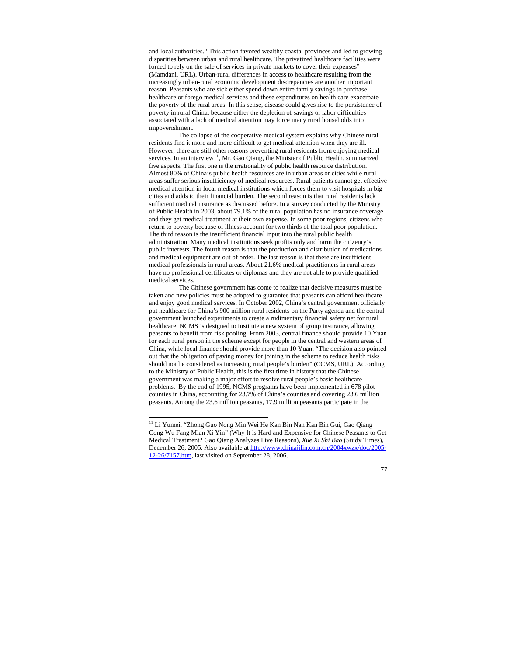and local authorities. "This action favored wealthy coastal provinces and led to growing disparities between urban and rural healthcare. The privatized healthcare facilities were forced to rely on the sale of services in private markets to cover their expenses" (Mamdani, URL). Urban-rural differences in access to healthcare resulting from the increasingly urban-rural economic development discrepancies are another important reason. Peasants who are sick either spend down entire family savings to purchase healthcare or forego medical services and these expenditures on health care exacerbate the poverty of the rural areas. In this sense, disease could gives rise to the persistence of poverty in rural China, because either the depletion of savings or labor difficulties associated with a lack of medical attention may force many rural households into impoverishment.

The collapse of the cooperative medical system explains why Chinese rural residents find it more and more difficult to get medical attention when they are ill. However, there are still other reasons preventing rural residents from enjoying medical services. In an interview<sup>[11](#page-76-0)</sup>, Mr. Gao Qiang, the Minister of Public Health, summarized five aspects. The first one is the irrationality of public health resource distribution. Almost 80% of China's public health resources are in urban areas or cities while rural areas suffer serious insufficiency of medical resources. Rural patients cannot get effective medical attention in local medical institutions which forces them to visit hospitals in big cities and adds to their financial burden. The second reason is that rural residents lack sufficient medical insurance as discussed before. In a survey conducted by the Ministry of Public Health in 2003, about 79.1% of the rural population has no insurance coverage and they get medical treatment at their own expense. In some poor regions, citizens who return to poverty because of illness account for two thirds of the total poor population. The third reason is the insufficient financial input into the rural public health administration. Many medical institutions seek profits only and harm the citizenry's public interests. The fourth reason is that the production and distribution of medications and medical equipment are out of order. The last reason is that there are insufficient medical professionals in rural areas. About 21.6% medical practitioners in rural areas have no professional certificates or diplomas and they are not able to provide qualified medical services.

The Chinese government has come to realize that decisive measures must be taken and new policies must be adopted to guarantee that peasants can afford healthcare and enjoy good medical services. In October 2002, China's central government officially put healthcare for China's 900 million rural residents on the Party agenda and the central government launched experiments to create a rudimentary financial safety net for rural healthcare. NCMS is designed to institute a new system of group insurance, allowing peasants to benefit from risk pooling. From 2003, central finance should provide 10 Yuan for each rural person in the scheme except for people in the central and western areas of China, while local finance should provide more than 10 Yuan. "The decision also pointed out that the obligation of paying money for joining in the scheme to reduce health risks should not be considered as increasing rural people's burden" (CCMS, URL). According to the Ministry of Public Health, this is the first time in history that the Chinese government was making a major effort to resolve rural people's basic healthcare problems. By the end of 1995, NCMS programs have been implemented in 678 pilot counties in China, accounting for 23.7% of China's counties and covering 23.6 million peasants. Among the 23.6 million peasants, 17.9 million peasants participate in the

<span id="page-76-0"></span><sup>&</sup>lt;sup>11</sup> Li Yumei, "Zhong Guo Nong Min Wei He Kan Bin Nan Kan Bin Gui, Gao Qiang Cong Wu Fang Mian Xi Yin" (Why It is Hard and Expensive for Chinese Peasants to Get Medical Treatment? Gao Qiang Analyzes Five Reasons), *Xue Xi Shi Bao* (Study Times), December 26, 2005. Also available at [http://www.chinajilin.com.cn/2004xwzx/doc/2005-](http://www.chinajilin.com.cn/2004xwzx/doc/2005-12-26/7157.htm) [12-26/7157.htm](http://www.chinajilin.com.cn/2004xwzx/doc/2005-12-26/7157.htm), last visited on September 28, 2006.

<sup>77</sup>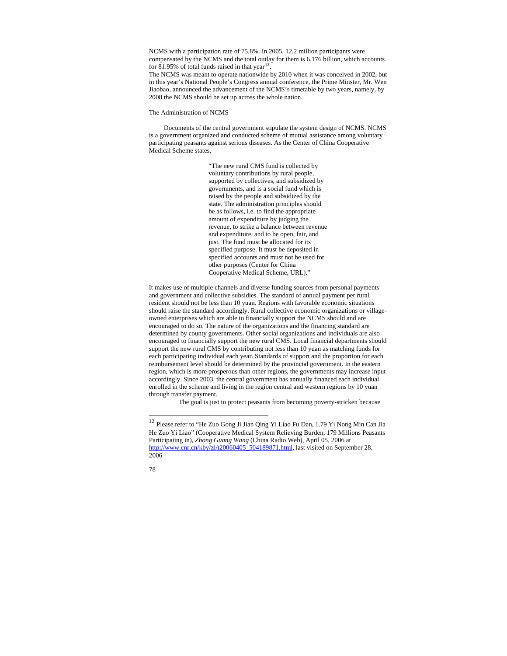NCMS with a participation rate of 75.8%. In 2005, 12.2 million participants were compensated by the NCMS and the total outlay for them is 6.176 billion, which accounts for 81.95% of total funds raised in that year<sup>[12](#page-77-0)</sup>

The NCMS was meant to operate nationwide by 2010 when it was conceived in 2002, but in this year's National People's Congress annual conference, the Prime Minster, Mr. Wen Jiaobao, announced the advancement of the NCMS's timetable by two years, namely, by 2008 the NCMS should be set up across the whole nation.

The Administration of NCMS

Documents of the central government stipulate the system design of NCMS. NCMS is a government organized and conducted scheme of mutual assistance among voluntary participating peasants against serious diseases. As the Center of China Cooperative Medical Scheme states,

> "The new rural CMS fund is collected by voluntary contributions by rural people, supported by collectives, and subsidized by governments, and is a social fund which is raised by the people and subsidized by the state. The administration principles should be as follows, i.e. to find the appropriate amount of expenditure by judging the revenue, to strike a balance between revenue and expenditure, and to be open, fair, and just. The fund must be allocated for its specified purpose. It must be deposited in specified accounts and must not be used for other purposes (Center for China Cooperative Medical Scheme, URL)."

It makes use of multiple channels and diverse funding sources from personal payments and government and collective subsidies. The standard of annual payment per rural resident should not be less than 10 yuan. Regions with favorable economic situations should raise the standard accordingly. Rural collective economic organizations or villageowned enterprises which are able to financially support the NCMS should and are encouraged to do so. The nature of the organizations and the financing standard are determined by county governments. Other social organizations and individuals are also encouraged to financially support the new rural CMS. Local financial departments should support the new rural CMS by contributing not less than 10 yuan as matching funds for each participating individual each year. Standards of support and the proportion for each reimbursement level should be determined by the provincial government. In the eastern region, which is more prosperous than other regions, the governments may increase input accordingly. Since 2003, the central government has annually financed each individual enrolled in the scheme and living in the region central and western regions by 10 yuan through transfer payment.

The goal is just to protect peasants from becoming poverty-stricken because

 $^{12}$  Please refer to "He Zuo Gong Ji Jian Qing Yi Liao Fu Dan,  $1.79$  Yi Nong Min Can Jia He Zuo Yi Liao" (Cooperative Medical System Relieving Burden, 179 Millions Peasants Participating in), *Zhong Guang Wang* (China Radio Web), April 05, 2006 at [http://www.cnr.cn/kby/zl/t20060405\\_504189871.html,](http://www.cnr.cn/kby/zl/t20060405_504189871.html) last visited on September 28, 2006

<span id="page-77-0"></span><sup>78</sup>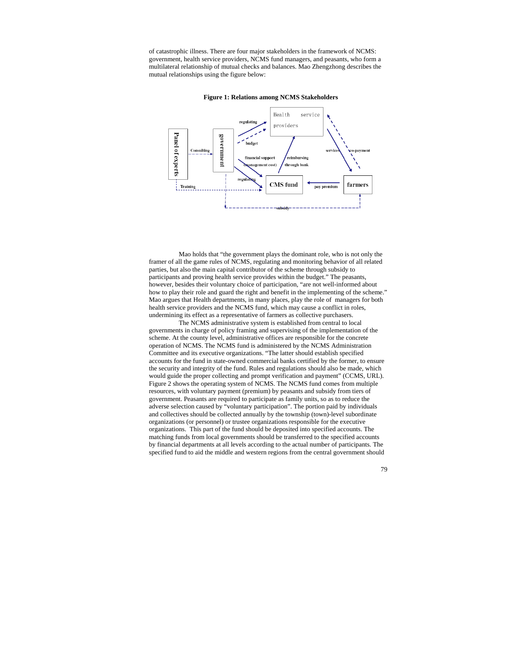of catastrophic illness. There are four major stakeholders in the framework of NCMS: government, health service providers, NCMS fund managers, and peasants, who form a multilateral relationship of mutual checks and balances. Mao Zhengzhong describes the mutual relationships using the figure below:





Mao holds that "the government plays the dominant role, who is not only the framer of all the game rules of NCMS, regulating and monitoring behavior of all related parties, but also the main capital contributor of the scheme through subsidy to participants and proving health service provides within the budget." The peasants, however, besides their voluntary choice of participation, "are not well-informed about how to play their role and guard the right and benefit in the implementing of the scheme." Mao argues that Health departments, in many places, play the role of managers for both health service providers and the NCMS fund, which may cause a conflict in roles, undermining its effect as a representative of farmers as collective purchasers.

 The NCMS administrative system is established from central to local governments in charge of policy framing and supervising of the implementation of the scheme. At the county level, administrative offices are responsible for the concrete operation of NCMS. The NCMS fund is administered by the NCMS Administration Committee and its executive organizations. "The latter should establish specified accounts for the fund in state-owned commercial banks certified by the former, to ensure the security and integrity of the fund. Rules and regulations should also be made, which would guide the proper collecting and prompt verification and payment" (CCMS, URL). Figure 2 shows the operating system of NCMS. The NCMS fund comes from multiple resources, with voluntary payment (premium) by peasants and subsidy from tiers of government. Peasants are required to participate as family units, so as to reduce the adverse selection caused by "voluntary participation". The portion paid by individuals and collectives should be collected annually by the township (town)-level subordinate organizations (or personnel) or trustee organizations responsible for the executive organizations. This part of the fund should be deposited into specified accounts. The matching funds from local governments should be transferred to the specified accounts by financial departments at all levels according to the actual number of participants. The specified fund to aid the middle and western regions from the central government should

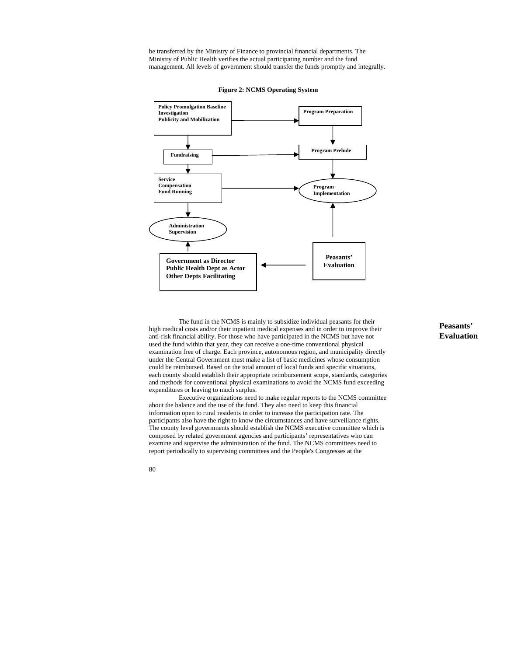be transferred by the Ministry of Finance to provincial financial departments. The Ministry of Public Health verifies the actual participating number and the fund management. All levels of government should transfer the funds promptly and integrally.



**Figure 2: NCMS Operating System** 

The fund in the NCMS is mainly to subsidize individual peasants for their high medical costs and/or their inpatient medical expenses and in order to improve their anti-risk financial ability. For those who have participated in the NCMS but have not used the fund within that year, they can receive a one-time conventional physical examination free of charge. Each province, autonomous region, and municipality directly under the Central Government must make a list of basic medicines whose consumption could be reimbursed. Based on the total amount of local funds and specific situations, each county should establish their appropriate reimbursement scope, standards, categories and methods for conventional physical examinations to avoid the NCMS fund exceeding expenditures or leaving to much surplus.

 Executive organizations need to make regular reports to the NCMS committee about the balance and the use of the fund. They also need to keep this financial information open to rural residents in order to increase the participation rate. The participants also have the right to know the circumstances and have surveillance rights. The county level governments should establish the NCMS executive committee which is composed by related government agencies and participants' representatives who can examine and supervise the administration of the fund. The NCMS committees need to report periodically to supervising committees and the People's Congresses at the

# **Peasants' Evaluation**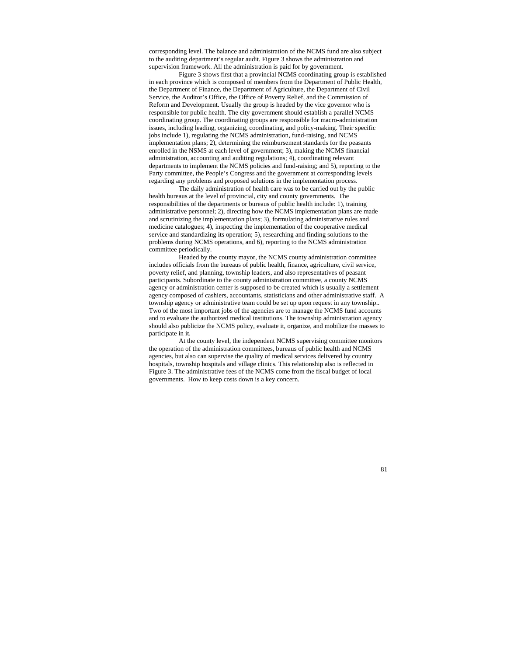corresponding level. The balance and administration of the NCMS fund are also subject to the auditing department's regular audit. Figure 3 shows the administration and supervision framework. All the administration is paid for by government.

Figure 3 shows first that a provincial NCMS coordinating group is established in each province which is composed of members from the Department of Public Health, the Department of Finance, the Department of Agriculture, the Department of Civil Service, the Auditor's Office, the Office of Poverty Relief, and the Commission of Reform and Development. Usually the group is headed by the vice governor who is responsible for public health. The city government should establish a parallel NCMS coordinating group. The coordinating groups are responsible for macro-administration issues, including leading, organizing, coordinating, and policy-making. Their specific jobs include 1), regulating the NCMS administration, fund-raising, and NCMS implementation plans; 2), determining the reimbursement standards for the peasants enrolled in the NSMS at each level of government; 3), making the NCMS financial administration, accounting and auditing regulations; 4), coordinating relevant departments to implement the NCMS policies and fund-raising; and 5), reporting to the Party committee, the People's Congress and the government at corresponding levels regarding any problems and proposed solutions in the implementation process.

The daily administration of health care was to be carried out by the public health bureaus at the level of provincial, city and county governments. The responsibilities of the departments or bureaus of public health include: 1), training administrative personnel; 2), directing how the NCMS implementation plans are made and scrutinizing the implementation plans; 3), formulating administrative rules and medicine catalogues; 4), inspecting the implementation of the cooperative medical service and standardizing its operation; 5), researching and finding solutions to the problems during NCMS operations, and 6), reporting to the NCMS administration committee periodically.

Headed by the county mayor, the NCMS county administration committee includes officials from the bureaus of public health, finance, agriculture, civil service, poverty relief, and planning, township leaders, and also representatives of peasant participants. Subordinate to the county administration committee, a county NCMS agency or administration center is supposed to be created which is usually a settlement agency composed of cashiers, accountants, statisticians and other administrative staff. A township agency or administrative team could be set up upon request in any township.. Two of the most important jobs of the agencies are to manage the NCMS fund accounts and to evaluate the authorized medical institutions. The township administration agency should also publicize the NCMS policy, evaluate it, organize, and mobilize the masses to participate in it.

At the county level, the independent NCMS supervising committee monitors the operation of the administration committees, bureaus of public health and NCMS agencies, but also can supervise the quality of medical services delivered by country hospitals, township hospitals and village clinics. This relationship also is reflected in Figure 3. The administrative fees of the NCMS come from the fiscal budget of local governments. How to keep costs down is a key concern.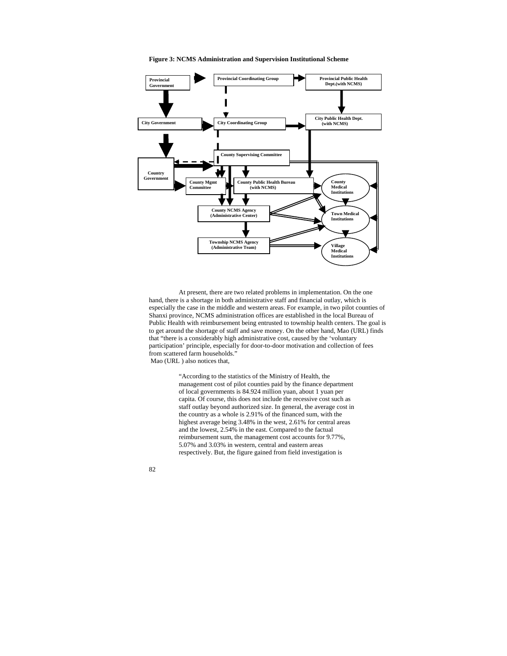**Figure 3: NCMS Administration and Supervision Institutional Scheme** 



At present, there are two related problems in implementation. On the one hand, there is a shortage in both administrative staff and financial outlay, which is especially the case in the middle and western areas. For example, in two pilot counties of Shanxi province, NCMS administration offices are established in the local Bureau of Public Health with reimbursement being entrusted to township health centers. The goal is to get around the shortage of staff and save money. On the other hand, Mao (URL) finds that "there is a considerably high administrative cost, caused by the 'voluntary participation' principle, especially for door-to-door motivation and collection of fees from scattered farm households."

Mao (URL ) also notices that,

"According to the statistics of the Ministry of Health, the management cost of pilot counties paid by the finance department of local governments is 84.924 million yuan, about 1 yuan per capita. Of course, this does not include the recessive cost such as staff outlay beyond authorized size. In general, the average cost in the country as a whole is 2.91% of the financed sum, with the highest average being 3.48% in the west, 2.61% for central areas and the lowest, 2.54% in the east. Compared to the factual reimbursement sum, the management cost accounts for 9.77%, 5.07% and 3.03% in western, central and eastern areas respectively. But, the figure gained from field investigation is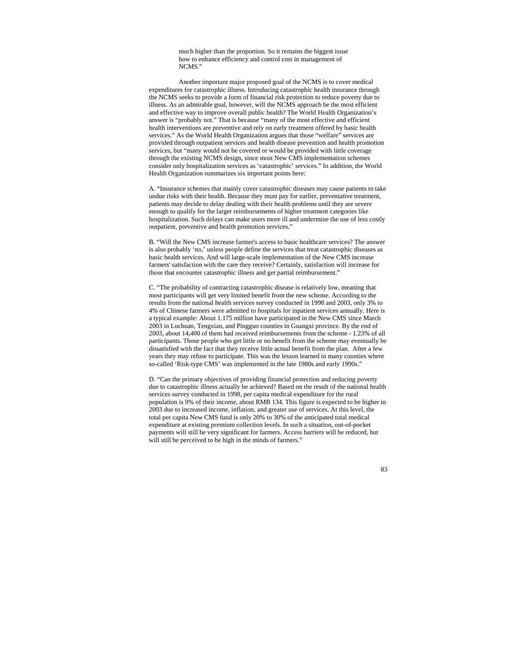much higher than the proportion. So it remains the biggest issue how to enhance efficiency and control cost in management of NCMS."

Another important major proposed goal of the NCMS is to cover medical expenditures for catastrophic illness. Introducing catastrophic health insurance through the NCMS seeks to provide a form of financial risk protection to reduce poverty due to illness. As an admirable goal, however, will the NCMS approach be the most efficient and effective way to improve overall public health? The World Health Organization's answer is "probably not." That is because "many of the most effective and efficient health interventions are preventive and rely on early treatment offered by basic health services." As the World Health Organization argues that those "welfare" services are provided through outpatient services and health disease prevention and health promotion services, but "many would not be covered or would be provided with little coverage through the existing NCMS design, since most New CMS implementation schemes consider only hospitalization services as 'catastrophic' services." In addition, the World Health Organization summarizes six important points here:

A. "Insurance schemes that mainly cover catastrophic diseases may cause patients to take undue risks with their health. Because they must pay for earlier, preventative treatment, patients may decide to delay dealing with their health problems until they are severe enough to qualify for the larger reimbursements of higher treatment categories like hospitalization. Such delays can make users more ill and undermine the use of less costly outpatient, preventive and health promotion services."

B. "Will the New CMS increase farmer's access to basic healthcare services? The answer is also probably 'no,' unless people define the services that treat catastrophic diseases as basic health services. And will large-scale implementation of the New CMS increase farmers' satisfaction with the care they receive? Certainly, satisfaction will increase for those that encounter catastrophic illness and get partial reimbursement."

C. "The probability of contracting catastrophic disease is relatively low, meaning that most participants will get very limited benefit from the new scheme. According to the results from the national health services survey conducted in 1998 and 2003, only 3% to 4% of Chinese farmers were admitted to hospitals for inpatient services annually. Here is a typical example: About 1.175 million have participated in the New CMS since March 2003 in Luchuan, Tengxian, and Pingguo counties in Guangxi province. By the end of 2003, about 14,400 of them had received reimbursements from the scheme - 1.23% of all participants. Those people who get little or no benefit from the scheme may eventually be dissatisfied with the fact that they receive little actual benefit from the plan. After a few years they may refuse to participate. This was the lesson learned in many counties where so-called 'Risk-type CMS' was implemented in the late 1980s and early 1990s."

D. "Can the primary objectives of providing financial protection and reducing poverty due to catastrophic illness actually be achieved? Based on the result of the national health services survey conducted in 1998, per capita medical expenditure for the rural population is 9% of their income, about RMB 134. This figure is expected to be higher in 2003 due to increased income, inflation, and greater use of services. At this level, the total per capita New CMS fund is only 20% to 30% of the anticipated total medical expenditure at existing premium collection levels. In such a situation, out-of-pocket payments will still be very significant for farmers. Access barriers will be reduced, but will still be perceived to be high in the minds of farmers."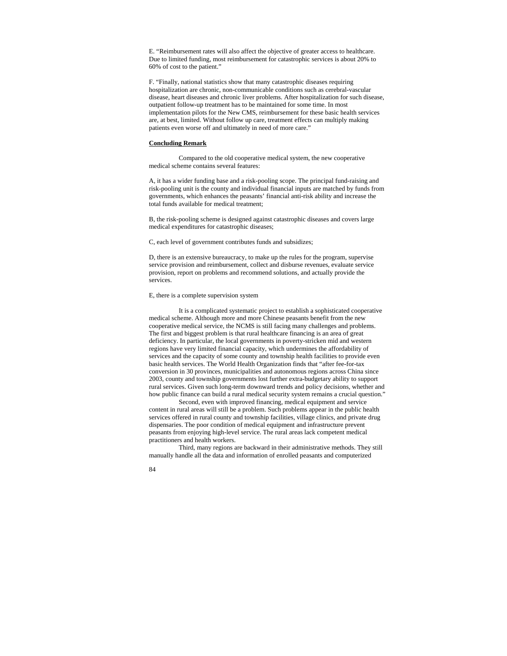E. "Reimbursement rates will also affect the objective of greater access to healthcare. Due to limited funding, most reimbursement for catastrophic services is about 20% to 60% of cost to the patient."

F. "Finally, national statistics show that many catastrophic diseases requiring hospitalization are chronic, non-communicable conditions such as cerebral-vascular disease, heart diseases and chronic liver problems. After hospitalization for such disease, outpatient follow-up treatment has to be maintained for some time. In most implementation pilots for the New CMS, reimbursement for these basic health services are, at best, limited. Without follow up care, treatment effects can multiply making patients even worse off and ultimately in need of more care."

#### **Concluding Remark**

Compared to the old cooperative medical system, the new cooperative medical scheme contains several features:

A, it has a wider funding base and a risk-pooling scope. The principal fund-raising and risk-pooling unit is the county and individual financial inputs are matched by funds from governments, which enhances the peasants' financial anti-risk ability and increase the total funds available for medical treatment;

B, the risk-pooling scheme is designed against catastrophic diseases and covers large medical expenditures for catastrophic diseases;

C, each level of government contributes funds and subsidizes;

D, there is an extensive bureaucracy, to make up the rules for the program, supervise service provision and reimbursement, collect and disburse revenues, evaluate service provision, report on problems and recommend solutions, and actually provide the services.

### E, there is a complete supervision system

It is a complicated systematic project to establish a sophisticated cooperative medical scheme. Although more and more Chinese peasants benefit from the new cooperative medical service, the NCMS is still facing many challenges and problems. The first and biggest problem is that rural healthcare financing is an area of great deficiency. In particular, the local governments in poverty-stricken mid and western regions have very limited financial capacity, which undermines the affordability of services and the capacity of some county and township health facilities to provide even basic health services. The World Health Organization finds that "after fee-for-tax conversion in 30 provinces, municipalities and autonomous regions across China since 2003, county and township governments lost further extra-budgetary ability to support rural services. Given such long-term downward trends and policy decisions, whether and how public finance can build a rural medical security system remains a crucial question."

Second, even with improved financing, medical equipment and service content in rural areas will still be a problem. Such problems appear in the public health services offered in rural county and township facilities, village clinics, and private drug dispensaries. The poor condition of medical equipment and infrastructure prevent peasants from enjoying high-level service. The rural areas lack competent medical practitioners and health workers.

Third, many regions are backward in their administrative methods. They still manually handle all the data and information of enrolled peasants and computerized

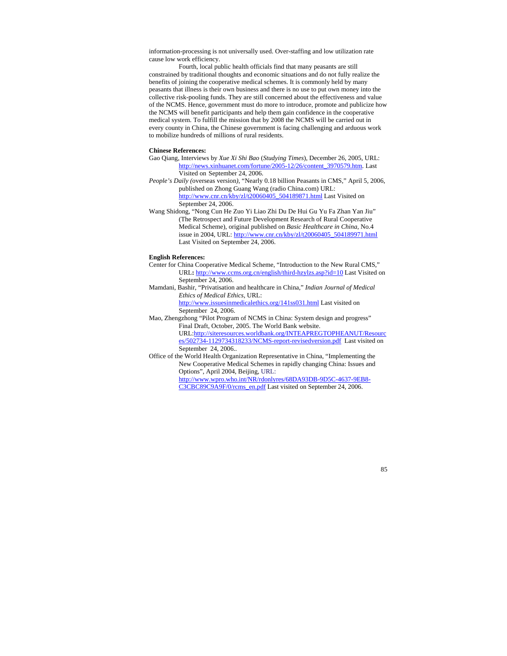information-processing is not universally used. Over-staffing and low utilization rate cause low work efficiency.

Fourth, local public health officials find that many peasants are still constrained by traditional thoughts and economic situations and do not fully realize the benefits of joining the cooperative medical schemes. It is commonly held by many peasants that illness is their own business and there is no use to put own money into the collective risk-pooling funds. They are still concerned about the effectiveness and value of the NCMS. Hence, government must do more to introduce, promote and publicize how the NCMS will benefit participants and help them gain confidence in the cooperative medical system. To fulfill the mission that by 2008 the NCMS will be carried out in every county in China, the Chinese government is facing challenging and arduous work to mobilize hundreds of millions of rural residents.

# **Chinese References:**

- Gao Qiang, Interviews by *Xue Xi Shi Bao* (*Studying Times*), December 26, 2005, URL: [http://news.xinhuanet.com/fortune/2005-12/26/content\\_3970579.htm.](http://news.xinhuanet.com/fortune/2005-12/26/content_3970579.htm) Last Visited on September 24, 2006.
- *People's Daily (*overseas version*)*, "Nearly 0.18 billion Peasants in CMS," April 5, 2006, published on Zhong Guang Wang (radio China.com) URL: [http://www.cnr.cn/kby/zl/t20060405\\_504189871.html](http://www.cnr.cn/kby/zl/t20060405_504189871.html) Last Visited on September 24, 2006.
- Wang Shidong, "Nong Cun He Zuo Yi Liao Zhi Du De Hui Gu Yu Fa Zhan Yan Jiu" (The Retrospect and Future Development Research of Rural Cooperative Medical Scheme), original published on *Basic Healthcare in China*, No.4 issue in 2004, URL: [http://www.cnr.cn/kby/zl/t20060405\\_504189971.html](http://www.cnr.cn/kby/zl/t20060405_504189971.html)  Last Visited on September 24, 2006.

#### **English References:**

- Center for China Cooperative Medical Scheme, "Introduction to the New Rural CMS," URL**:** <http://www.ccms.org.cn/english/third-hzylzs.asp?id=10>Last Visited on September 24, 2006.
- Mamdani, Bashir, "Privatisation and healthcare in China," *Indian Journal of Medical Ethics of Medical Ethics*, URL: <http://www.issuesinmedicalethics.org/141ss031.html>Last visited on September 24, 2006.
- Mao, Zhengzhong "Pilot Program of NCMS in China: System design and progress" Final Draft, October, 2005. The World Bank website. URL[:http://siteresources.worldbank.org/INTEAPREGTOPHEANUT/Resourc](http://siteresources.worldbank.org/INTEAPREGTOPHEANUT/Resources/502734-1129734318233/NCMS-report-revisedversion.pdf) [es/502734-1129734318233/NCMS-report-revisedversion.pdf](http://siteresources.worldbank.org/INTEAPREGTOPHEANUT/Resources/502734-1129734318233/NCMS-report-revisedversion.pdf) Last visited on September 24, 2006..
- Office of the World Health Organization Representative in China, "Implementing the New Cooperative Medical Schemes in rapidly changing China: Issues and Options", April 2004, Beijing, URL:

[http://www.wpro.who.int/NR/rdonlyres/68DA93DB-9D5C-4637-9EB8-](http://www.wpro.who.int/NR/rdonlyres/68DA93DB-9D5C-4637-9EB8-C3CBC89C9A9F/0/rcms_en.pdf) [C3CBC89C9A9F/0/rcms\\_en.pdf](http://www.wpro.who.int/NR/rdonlyres/68DA93DB-9D5C-4637-9EB8-C3CBC89C9A9F/0/rcms_en.pdf) Last visited on September 24, 2006.